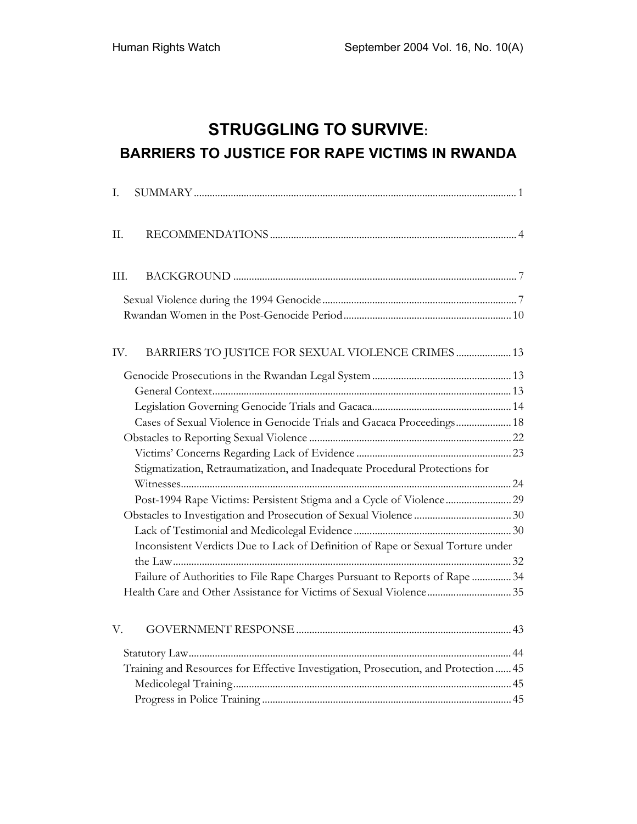# **STRUGGLING TO SURVIVE: BARRIERS TO JUSTICE FOR RAPE VICTIMS IN RWANDA**

| I.   |                                                                                     |  |
|------|-------------------------------------------------------------------------------------|--|
| II.  |                                                                                     |  |
| III. |                                                                                     |  |
|      |                                                                                     |  |
|      |                                                                                     |  |
| IV.  | BARRIERS TO JUSTICE FOR SEXUAL VIOLENCE CRIMES  13                                  |  |
|      |                                                                                     |  |
|      |                                                                                     |  |
|      |                                                                                     |  |
|      | Cases of Sexual Violence in Genocide Trials and Gacaca Proceedings 18               |  |
|      |                                                                                     |  |
|      |                                                                                     |  |
|      | Stigmatization, Retraumatization, and Inadequate Procedural Protections for         |  |
|      |                                                                                     |  |
|      |                                                                                     |  |
|      |                                                                                     |  |
|      |                                                                                     |  |
|      | Inconsistent Verdicts Due to Lack of Definition of Rape or Sexual Torture under     |  |
|      |                                                                                     |  |
|      | Failure of Authorities to File Rape Charges Pursuant to Reports of Rape  34         |  |
|      |                                                                                     |  |
| V.   |                                                                                     |  |
|      |                                                                                     |  |
|      | Training and Resources for Effective Investigation, Prosecution, and Protection  45 |  |
|      |                                                                                     |  |
|      |                                                                                     |  |
|      |                                                                                     |  |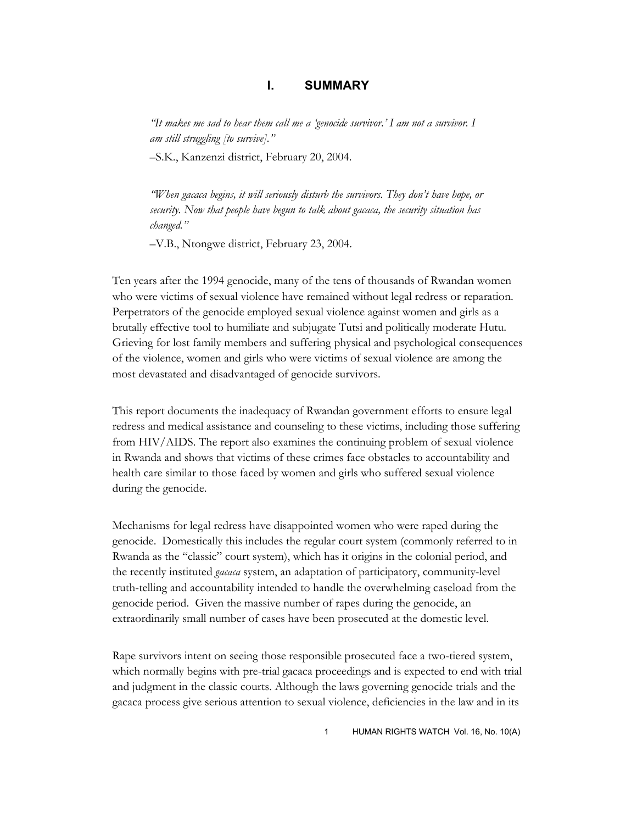## **I. SUMMARY**

*"It makes me sad to hear them call me a 'genocide survivor.' I am not a survivor. I am still struggling [to survive]."* 

–S.K., Kanzenzi district, February 20, 2004.

*"When gacaca begins, it will seriously disturb the survivors. They don't have hope, or security. Now that people have begun to talk about gacaca, the security situation has changed."* 

–V.B., Ntongwe district, February 23, 2004.

Ten years after the 1994 genocide, many of the tens of thousands of Rwandan women who were victims of sexual violence have remained without legal redress or reparation. Perpetrators of the genocide employed sexual violence against women and girls as a brutally effective tool to humiliate and subjugate Tutsi and politically moderate Hutu. Grieving for lost family members and suffering physical and psychological consequences of the violence, women and girls who were victims of sexual violence are among the most devastated and disadvantaged of genocide survivors.

This report documents the inadequacy of Rwandan government efforts to ensure legal redress and medical assistance and counseling to these victims, including those suffering from HIV/AIDS. The report also examines the continuing problem of sexual violence in Rwanda and shows that victims of these crimes face obstacles to accountability and health care similar to those faced by women and girls who suffered sexual violence during the genocide.

Mechanisms for legal redress have disappointed women who were raped during the genocide. Domestically this includes the regular court system (commonly referred to in Rwanda as the "classic" court system), which has it origins in the colonial period, and the recently instituted *gacaca* system, an adaptation of participatory, community-level truth-telling and accountability intended to handle the overwhelming caseload from the genocide period. Given the massive number of rapes during the genocide, an extraordinarily small number of cases have been prosecuted at the domestic level.

Rape survivors intent on seeing those responsible prosecuted face a two-tiered system, which normally begins with pre-trial gacaca proceedings and is expected to end with trial and judgment in the classic courts. Although the laws governing genocide trials and the gacaca process give serious attention to sexual violence, deficiencies in the law and in its

1 HUMAN RIGHTS WATCH Vol. 16, No. 10(A)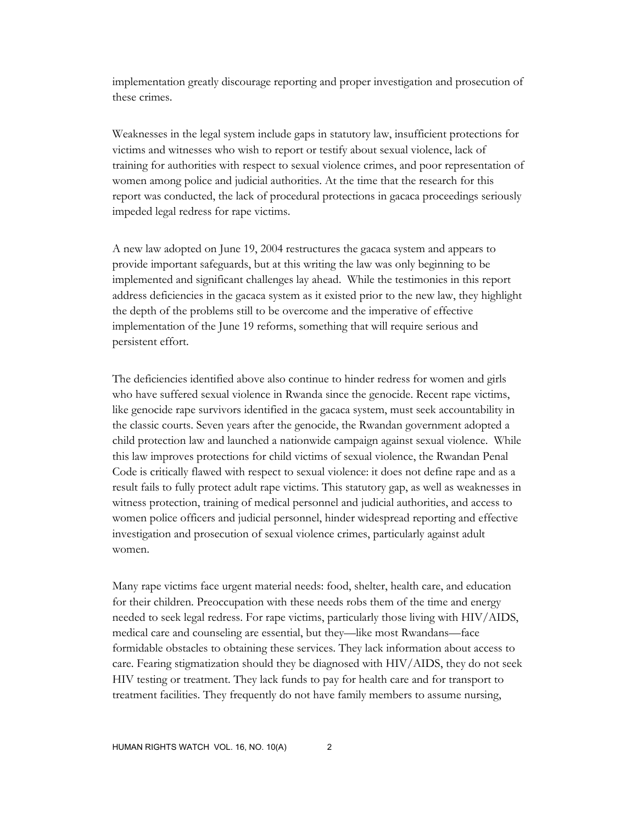implementation greatly discourage reporting and proper investigation and prosecution of these crimes.

Weaknesses in the legal system include gaps in statutory law, insufficient protections for victims and witnesses who wish to report or testify about sexual violence, lack of training for authorities with respect to sexual violence crimes, and poor representation of women among police and judicial authorities. At the time that the research for this report was conducted, the lack of procedural protections in gacaca proceedings seriously impeded legal redress for rape victims.

A new law adopted on June 19, 2004 restructures the gacaca system and appears to provide important safeguards, but at this writing the law was only beginning to be implemented and significant challenges lay ahead. While the testimonies in this report address deficiencies in the gacaca system as it existed prior to the new law, they highlight the depth of the problems still to be overcome and the imperative of effective implementation of the June 19 reforms, something that will require serious and persistent effort.

The deficiencies identified above also continue to hinder redress for women and girls who have suffered sexual violence in Rwanda since the genocide. Recent rape victims, like genocide rape survivors identified in the gacaca system, must seek accountability in the classic courts. Seven years after the genocide, the Rwandan government adopted a child protection law and launched a nationwide campaign against sexual violence. While this law improves protections for child victims of sexual violence, the Rwandan Penal Code is critically flawed with respect to sexual violence: it does not define rape and as a result fails to fully protect adult rape victims. This statutory gap, as well as weaknesses in witness protection, training of medical personnel and judicial authorities, and access to women police officers and judicial personnel, hinder widespread reporting and effective investigation and prosecution of sexual violence crimes, particularly against adult women.

Many rape victims face urgent material needs: food, shelter, health care, and education for their children. Preoccupation with these needs robs them of the time and energy needed to seek legal redress. For rape victims, particularly those living with HIV/AIDS, medical care and counseling are essential, but they—like most Rwandans—face formidable obstacles to obtaining these services. They lack information about access to care. Fearing stigmatization should they be diagnosed with HIV/AIDS, they do not seek HIV testing or treatment. They lack funds to pay for health care and for transport to treatment facilities. They frequently do not have family members to assume nursing,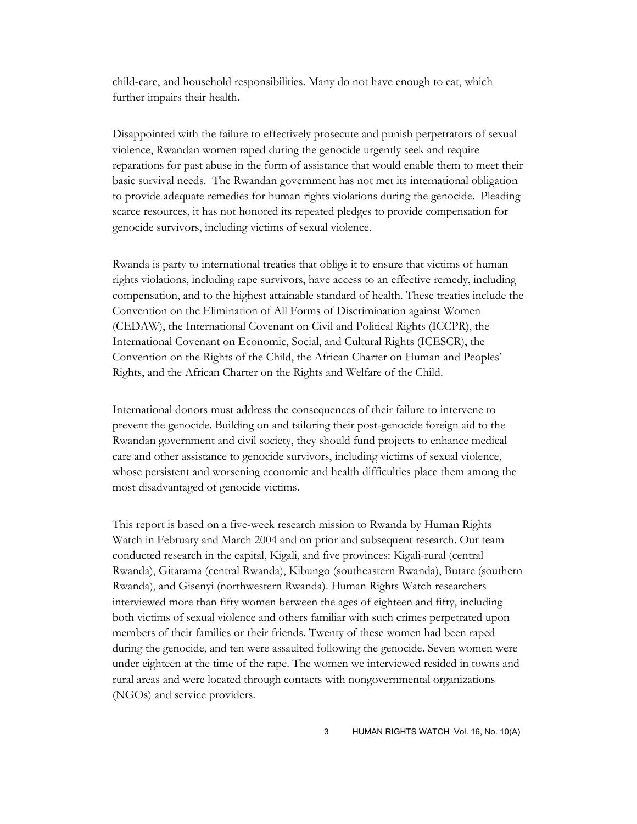child-care, and household responsibilities. Many do not have enough to eat, which further impairs their health.

Disappointed with the failure to effectively prosecute and punish perpetrators of sexual violence, Rwandan women raped during the genocide urgently seek and require reparations for past abuse in the form of assistance that would enable them to meet their basic survival needs. The Rwandan government has not met its international obligation to provide adequate remedies for human rights violations during the genocide. Pleading scarce resources, it has not honored its repeated pledges to provide compensation for genocide survivors, including victims of sexual violence.

Rwanda is party to international treaties that oblige it to ensure that victims of human rights violations, including rape survivors, have access to an effective remedy, including compensation, and to the highest attainable standard of health. These treaties include the Convention on the Elimination of All Forms of Discrimination against Women (CEDAW), the International Covenant on Civil and Political Rights (ICCPR), the International Covenant on Economic, Social, and Cultural Rights (ICESCR), the Convention on the Rights of the Child, the African Charter on Human and Peoples' Rights, and the African Charter on the Rights and Welfare of the Child.

International donors must address the consequences of their failure to intervene to prevent the genocide. Building on and tailoring their post-genocide foreign aid to the Rwandan government and civil society, they should fund projects to enhance medical care and other assistance to genocide survivors, including victims of sexual violence, whose persistent and worsening economic and health difficulties place them among the most disadvantaged of genocide victims.

This report is based on a five-week research mission to Rwanda by Human Rights Watch in February and March 2004 and on prior and subsequent research. Our team conducted research in the capital, Kigali, and five provinces: Kigali-rural (central Rwanda), Gitarama (central Rwanda), Kibungo (southeastern Rwanda), Butare (southern Rwanda), and Gisenyi (northwestern Rwanda). Human Rights Watch researchers interviewed more than fifty women between the ages of eighteen and fifty, including both victims of sexual violence and others familiar with such crimes perpetrated upon members of their families or their friends. Twenty of these women had been raped during the genocide, and ten were assaulted following the genocide. Seven women were under eighteen at the time of the rape. The women we interviewed resided in towns and rural areas and were located through contacts with nongovernmental organizations (NGOs) and service providers.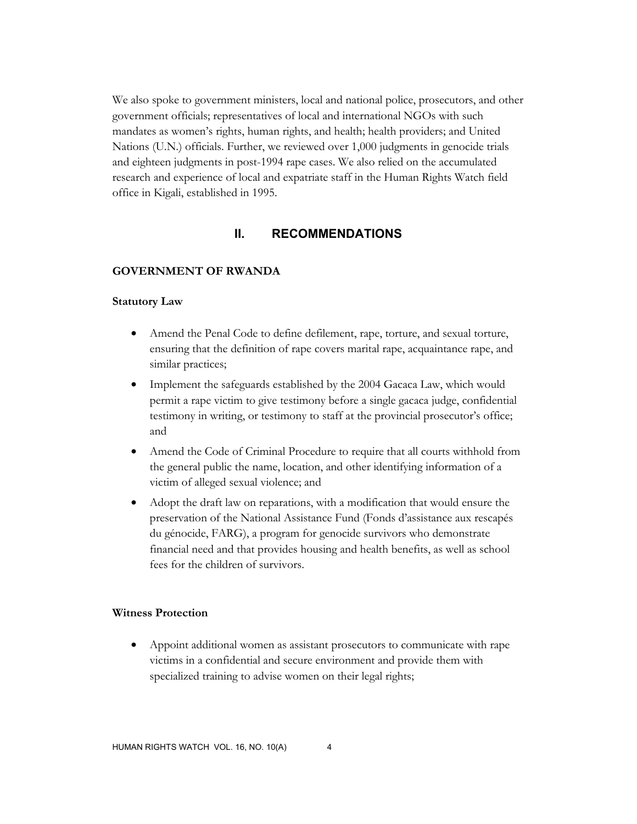We also spoke to government ministers, local and national police, prosecutors, and other government officials; representatives of local and international NGOs with such mandates as women's rights, human rights, and health; health providers; and United Nations (U.N.) officials. Further, we reviewed over 1,000 judgments in genocide trials and eighteen judgments in post-1994 rape cases. We also relied on the accumulated research and experience of local and expatriate staff in the Human Rights Watch field office in Kigali, established in 1995.

## **II. RECOMMENDATIONS**

#### **GOVERNMENT OF RWANDA**

#### **Statutory Law**

- Amend the Penal Code to define defilement, rape, torture, and sexual torture, ensuring that the definition of rape covers marital rape, acquaintance rape, and similar practices;
- Implement the safeguards established by the 2004 Gacaca Law, which would permit a rape victim to give testimony before a single gacaca judge, confidential testimony in writing, or testimony to staff at the provincial prosecutor's office; and
- Amend the Code of Criminal Procedure to require that all courts withhold from the general public the name, location, and other identifying information of a victim of alleged sexual violence; and
- Adopt the draft law on reparations, with a modification that would ensure the preservation of the National Assistance Fund (Fonds d'assistance aux rescapés du génocide, FARG), a program for genocide survivors who demonstrate financial need and that provides housing and health benefits, as well as school fees for the children of survivors.

## **Witness Protection**

• Appoint additional women as assistant prosecutors to communicate with rape victims in a confidential and secure environment and provide them with specialized training to advise women on their legal rights;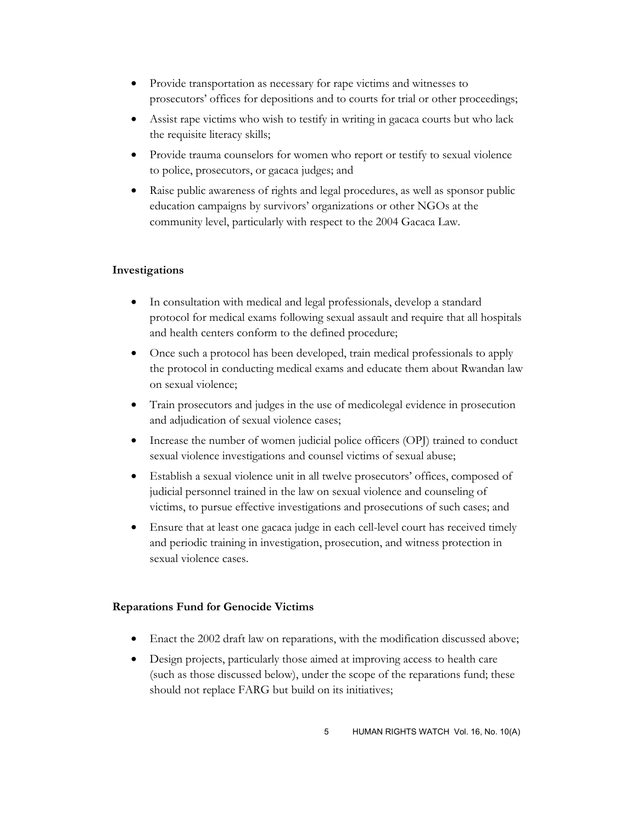- Provide transportation as necessary for rape victims and witnesses to prosecutors' offices for depositions and to courts for trial or other proceedings;
- Assist rape victims who wish to testify in writing in gacaca courts but who lack the requisite literacy skills;
- Provide trauma counselors for women who report or testify to sexual violence to police, prosecutors, or gacaca judges; and
- Raise public awareness of rights and legal procedures, as well as sponsor public education campaigns by survivors' organizations or other NGOs at the community level, particularly with respect to the 2004 Gacaca Law.

## **Investigations**

- In consultation with medical and legal professionals, develop a standard protocol for medical exams following sexual assault and require that all hospitals and health centers conform to the defined procedure;
- Once such a protocol has been developed, train medical professionals to apply the protocol in conducting medical exams and educate them about Rwandan law on sexual violence;
- Train prosecutors and judges in the use of medicolegal evidence in prosecution and adjudication of sexual violence cases;
- Increase the number of women judicial police officers (OPJ) trained to conduct sexual violence investigations and counsel victims of sexual abuse;
- Establish a sexual violence unit in all twelve prosecutors' offices, composed of judicial personnel trained in the law on sexual violence and counseling of victims, to pursue effective investigations and prosecutions of such cases; and
- Ensure that at least one gacaca judge in each cell-level court has received timely and periodic training in investigation, prosecution, and witness protection in sexual violence cases.

## **Reparations Fund for Genocide Victims**

- Enact the 2002 draft law on reparations, with the modification discussed above;
- Design projects, particularly those aimed at improving access to health care (such as those discussed below), under the scope of the reparations fund; these should not replace FARG but build on its initiatives;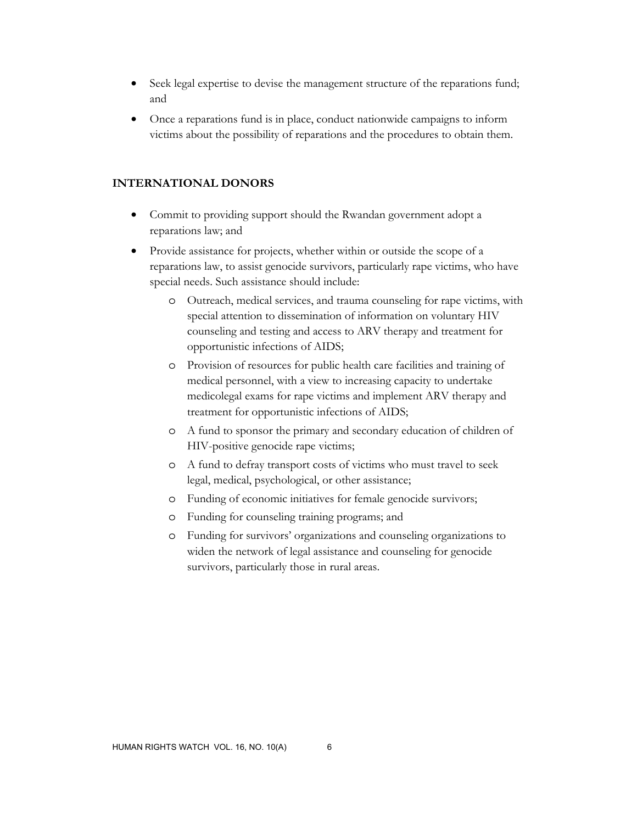- Seek legal expertise to devise the management structure of the reparations fund; and
- Once a reparations fund is in place, conduct nationwide campaigns to inform victims about the possibility of reparations and the procedures to obtain them.

## **INTERNATIONAL DONORS**

- Commit to providing support should the Rwandan government adopt a reparations law; and
- Provide assistance for projects, whether within or outside the scope of a reparations law, to assist genocide survivors, particularly rape victims, who have special needs. Such assistance should include:
	- o Outreach, medical services, and trauma counseling for rape victims, with special attention to dissemination of information on voluntary HIV counseling and testing and access to ARV therapy and treatment for opportunistic infections of AIDS;
	- o Provision of resources for public health care facilities and training of medical personnel, with a view to increasing capacity to undertake medicolegal exams for rape victims and implement ARV therapy and treatment for opportunistic infections of AIDS;
	- o A fund to sponsor the primary and secondary education of children of HIV-positive genocide rape victims;
	- o A fund to defray transport costs of victims who must travel to seek legal, medical, psychological, or other assistance;
	- o Funding of economic initiatives for female genocide survivors;
	- o Funding for counseling training programs; and
	- o Funding for survivors' organizations and counseling organizations to widen the network of legal assistance and counseling for genocide survivors, particularly those in rural areas.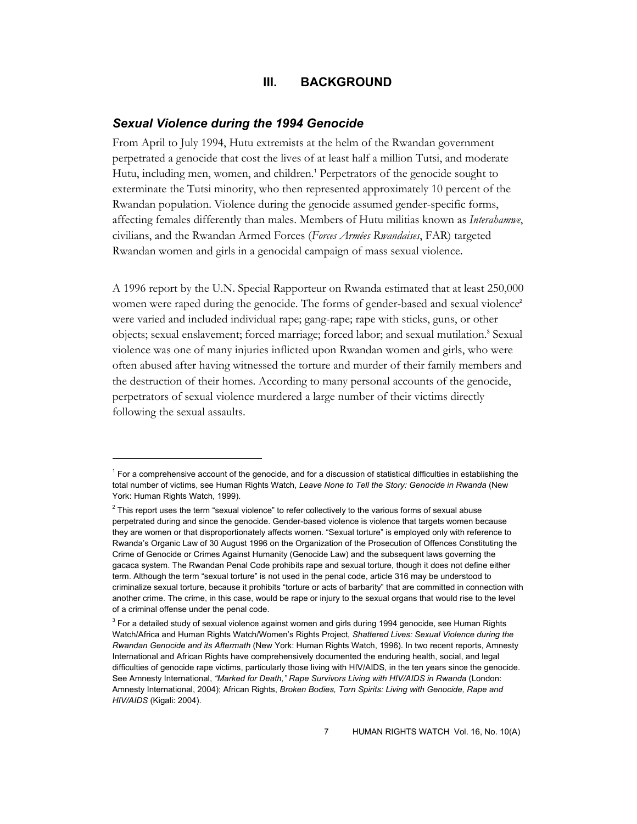## **III. BACKGROUND**

#### *Sexual Violence during the 1994 Genocide*

-

From April to July 1994, Hutu extremists at the helm of the Rwandan government perpetrated a genocide that cost the lives of at least half a million Tutsi, and moderate Hutu, including men, women, and children.<sup>1</sup> Perpetrators of the genocide sought to exterminate the Tutsi minority, who then represented approximately 10 percent of the Rwandan population. Violence during the genocide assumed gender-specific forms, affecting females differently than males. Members of Hutu militias known as *Interahamwe*, civilians, and the Rwandan Armed Forces (*Forces Armées Rwandaises*, FAR) targeted Rwandan women and girls in a genocidal campaign of mass sexual violence.

A 1996 report by the U.N. Special Rapporteur on Rwanda estimated that at least 250,000 women were raped during the genocide. The forms of gender-based and sexual violence<sup>2</sup> were varied and included individual rape; gang-rape; rape with sticks, guns, or other objects; sexual enslavement; forced marriage; forced labor; and sexual mutilation.<sup>3</sup> Sexual violence was one of many injuries inflicted upon Rwandan women and girls, who were often abused after having witnessed the torture and murder of their family members and the destruction of their homes. According to many personal accounts of the genocide, perpetrators of sexual violence murdered a large number of their victims directly following the sexual assaults.

<sup>&</sup>lt;sup>1</sup> For a comprehensive account of the genocide, and for a discussion of statistical difficulties in establishing the total number of victims, see Human Rights Watch, *Leave None to Tell the Story: Genocide in Rwanda* (New York: Human Rights Watch, 1999).

 $^2$  This report uses the term "sexual violence" to refer collectively to the various forms of sexual abuse perpetrated during and since the genocide. Gender-based violence is violence that targets women because they are women or that disproportionately affects women. "Sexual torture" is employed only with reference to Rwanda's Organic Law of 30 August 1996 on the Organization of the Prosecution of Offences Constituting the Crime of Genocide or Crimes Against Humanity (Genocide Law) and the subsequent laws governing the gacaca system. The Rwandan Penal Code prohibits rape and sexual torture, though it does not define either term. Although the term "sexual torture" is not used in the penal code, article 316 may be understood to criminalize sexual torture, because it prohibits "torture or acts of barbarity" that are committed in connection with another crime. The crime, in this case, would be rape or injury to the sexual organs that would rise to the level of a criminal offense under the penal code.

<sup>&</sup>lt;sup>3</sup> For a detailed study of sexual violence against women and girls during 1994 genocide, see Human Rights Watch/Africa and Human Rights Watch/Women's Rights Project, *Shattered Lives: Sexual Violence during the Rwandan Genocide and its Aftermath* (New York: Human Rights Watch, 1996). In two recent reports, Amnesty International and African Rights have comprehensively documented the enduring health, social, and legal difficulties of genocide rape victims, particularly those living with HIV/AIDS, in the ten years since the genocide. See Amnesty International, *"Marked for Death," Rape Survivors Living with HIV/AIDS in Rwanda* (London: Amnesty International, 2004); African Rights, *Broken Bodies, Torn Spirits: Living with Genocide, Rape and HIV/AIDS* (Kigali: 2004).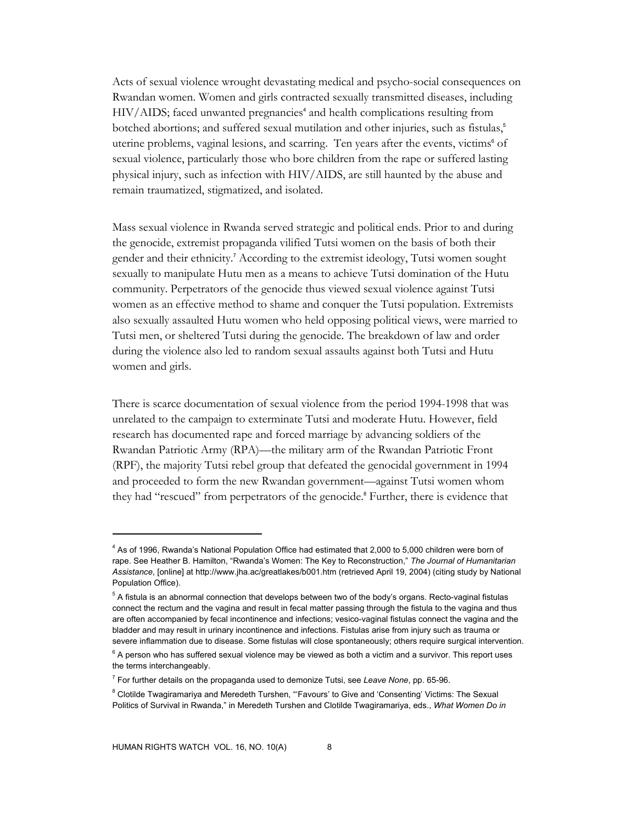Acts of sexual violence wrought devastating medical and psycho-social consequences on Rwandan women. Women and girls contracted sexually transmitted diseases, including HIV/AIDS; faced unwanted pregnancies<sup>4</sup> and health complications resulting from botched abortions; and suffered sexual mutilation and other injuries, such as fistulas,<sup>5</sup> uterine problems, vaginal lesions, and scarring. Ten years after the events, victims<sup>6</sup> of sexual violence, particularly those who bore children from the rape or suffered lasting physical injury, such as infection with HIV/AIDS, are still haunted by the abuse and remain traumatized, stigmatized, and isolated.

Mass sexual violence in Rwanda served strategic and political ends. Prior to and during the genocide, extremist propaganda vilified Tutsi women on the basis of both their gender and their ethnicity.<sup>7</sup> According to the extremist ideology, Tutsi women sought sexually to manipulate Hutu men as a means to achieve Tutsi domination of the Hutu community. Perpetrators of the genocide thus viewed sexual violence against Tutsi women as an effective method to shame and conquer the Tutsi population. Extremists also sexually assaulted Hutu women who held opposing political views, were married to Tutsi men, or sheltered Tutsi during the genocide. The breakdown of law and order during the violence also led to random sexual assaults against both Tutsi and Hutu women and girls.

There is scarce documentation of sexual violence from the period 1994-1998 that was unrelated to the campaign to exterminate Tutsi and moderate Hutu. However, field research has documented rape and forced marriage by advancing soldiers of the Rwandan Patriotic Army (RPA)—the military arm of the Rwandan Patriotic Front (RPF), the majority Tutsi rebel group that defeated the genocidal government in 1994 and proceeded to form the new Rwandan government—against Tutsi women whom they had "rescued" from perpetrators of the genocide.<sup>8</sup> Further, there is evidence that

<sup>&</sup>lt;sup>4</sup> As of 1996, Rwanda's National Population Office had estimated that 2,000 to 5,000 children were born of rape. See Heather B. Hamilton, "Rwanda's Women: The Key to Reconstruction," *The Journal of Humanitarian Assistance*, [online] at http://www.jha.ac/greatlakes/b001.htm (retrieved April 19, 2004) (citing study by National Population Office).

<sup>&</sup>lt;sup>5</sup> A fistula is an abnormal connection that develops between two of the body's organs. Recto-vaginal fistulas connect the rectum and the vagina and result in fecal matter passing through the fistula to the vagina and thus are often accompanied by fecal incontinence and infections; vesico-vaginal fistulas connect the vagina and the bladder and may result in urinary incontinence and infections. Fistulas arise from injury such as trauma or severe inflammation due to disease. Some fistulas will close spontaneously; others require surgical intervention.

 $^6$  A person who has suffered sexual violence may be viewed as both a victim and a survivor. This report uses the terms interchangeably.

<sup>7</sup> For further details on the propaganda used to demonize Tutsi, see *Leave None*, pp. 65-96.

 $8$  Clotilde Twagiramariya and Meredeth Turshen, "'Favours' to Give and 'Consenting' Victims: The Sexual Politics of Survival in Rwanda," in Meredeth Turshen and Clotilde Twagiramariya, eds., *What Women Do in*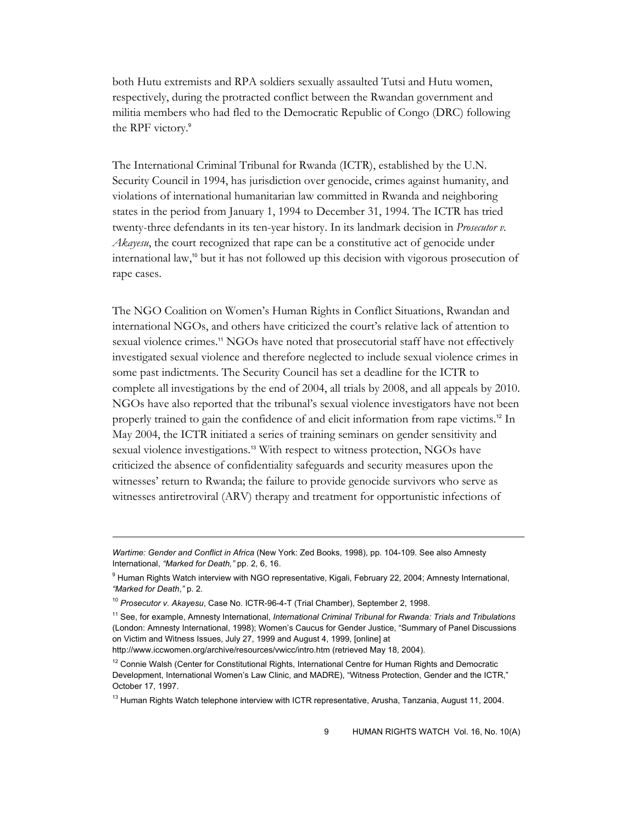both Hutu extremists and RPA soldiers sexually assaulted Tutsi and Hutu women, respectively, during the protracted conflict between the Rwandan government and militia members who had fled to the Democratic Republic of Congo (DRC) following the RPF victory.<sup>9</sup>

The International Criminal Tribunal for Rwanda (ICTR), established by the U.N. Security Council in 1994, has jurisdiction over genocide, crimes against humanity, and violations of international humanitarian law committed in Rwanda and neighboring states in the period from January 1, 1994 to December 31, 1994. The ICTR has tried twenty-three defendants in its ten-year history. In its landmark decision in *Prosecutor v. Akayesu*, the court recognized that rape can be a constitutive act of genocide under international law,<sup>10</sup> but it has not followed up this decision with vigorous prosecution of rape cases.

The NGO Coalition on Women's Human Rights in Conflict Situations, Rwandan and international NGOs, and others have criticized the court's relative lack of attention to sexual violence crimes.<sup>11</sup> NGOs have noted that prosecutorial staff have not effectively investigated sexual violence and therefore neglected to include sexual violence crimes in some past indictments. The Security Council has set a deadline for the ICTR to complete all investigations by the end of 2004, all trials by 2008, and all appeals by 2010. NGOs have also reported that the tribunal's sexual violence investigators have not been properly trained to gain the confidence of and elicit information from rape victims.12 In May 2004, the ICTR initiated a series of training seminars on gender sensitivity and sexual violence investigations.<sup>13</sup> With respect to witness protection, NGOs have criticized the absence of confidentiality safeguards and security measures upon the witnesses' return to Rwanda; the failure to provide genocide survivors who serve as witnesses antiretroviral (ARV) therapy and treatment for opportunistic infections of

*Wartime: Gender and Conflict in Africa* (New York: Zed Books, 1998), pp. 104-109. See also Amnesty International, *"Marked for Death,"* pp. 2, 6, 16.

<sup>&</sup>lt;sup>9</sup> Human Rights Watch interview with NGO representative, Kigali, February 22, 2004; Amnesty International, *"Marked for Death*,*"* p. 2.

<sup>10</sup> *Prosecutor v. Akayesu*, Case No. ICTR-96-4-T (Trial Chamber), September 2, 1998.

<sup>11</sup> See, for example, Amnesty International, *International Criminal Tribunal for Rwanda: Trials and Tribulations* (London: Amnesty International, 1998); Women's Caucus for Gender Justice, "Summary of Panel Discussions on Victim and Witness Issues, July 27, 1999 and August 4, 1999, [online] at

http://www.iccwomen.org/archive/resources/vwicc/intro.htm (retrieved May 18, 2004).

<sup>&</sup>lt;sup>12</sup> Connie Walsh (Center for Constitutional Rights, International Centre for Human Rights and Democratic Development, International Women's Law Clinic, and MADRE), "Witness Protection, Gender and the ICTR," October 17, 1997.

<sup>&</sup>lt;sup>13</sup> Human Rights Watch telephone interview with ICTR representative, Arusha, Tanzania, August 11, 2004.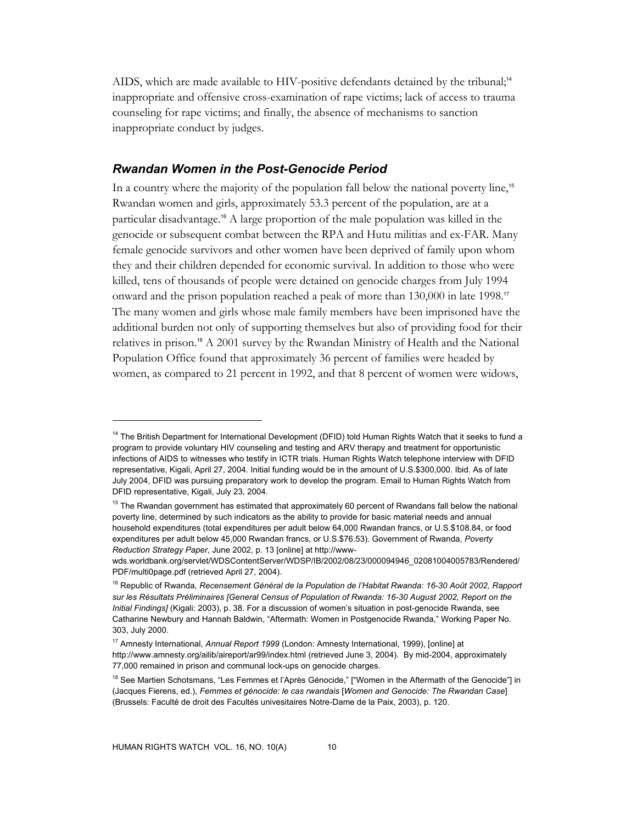AIDS, which are made available to HIV-positive defendants detained by the tribunal;<sup>14</sup> inappropriate and offensive cross-examination of rape victims; lack of access to trauma counseling for rape victims; and finally, the absence of mechanisms to sanction inappropriate conduct by judges.

## *Rwandan Women in the Post-Genocide Period*

In a country where the majority of the population fall below the national poverty line,<sup>15</sup> Rwandan women and girls, approximately 53.3 percent of the population, are at a particular disadvantage.16 A large proportion of the male population was killed in the genocide or subsequent combat between the RPA and Hutu militias and ex-FAR. Many female genocide survivors and other women have been deprived of family upon whom they and their children depended for economic survival. In addition to those who were killed, tens of thousands of people were detained on genocide charges from July 1994 onward and the prison population reached a peak of more than 130,000 in late 1998.<sup>17</sup> The many women and girls whose male family members have been imprisoned have the additional burden not only of supporting themselves but also of providing food for their relatives in prison.18 A 2001 survey by the Rwandan Ministry of Health and the National Population Office found that approximately 36 percent of families were headed by women, as compared to 21 percent in 1992, and that 8 percent of women were widows,

<sup>&</sup>lt;sup>14</sup> The British Department for International Development (DFID) told Human Rights Watch that it seeks to fund a program to provide voluntary HIV counseling and testing and ARV therapy and treatment for opportunistic infections of AIDS to witnesses who testify in ICTR trials. Human Rights Watch telephone interview with DFID representative, Kigali, April 27, 2004. Initial funding would be in the amount of U.S.\$300,000. Ibid. As of late July 2004, DFID was pursuing preparatory work to develop the program. Email to Human Rights Watch from DFID representative, Kigali, July 23, 2004.

<sup>&</sup>lt;sup>15</sup> The Rwandan government has estimated that approximately 60 percent of Rwandans fall below the national poverty line, determined by such indicators as the ability to provide for basic material needs and annual household expenditures (total expenditures per adult below 64,000 Rwandan francs, or U.S.\$108.84, or food expenditures per adult below 45,000 Rwandan francs, or U.S.\$76.53). Government of Rwanda, *Poverty Reduction Strategy Paper*, June 2002, p. 13 [online] at http://www-

wds.worldbank.org/servlet/WDSContentServer/WDSP/IB/2002/08/23/000094946\_02081004005783/Rendered/ PDF/multi0page.pdf (retrieved April 27, 2004).

<sup>16</sup> Republic of Rwanda, *Recensement Général de la Population de l'Habitat Rwanda: 16-30 Août 2002, Rapport sur les Résultats Préliminaires [General Census of Population of Rwanda: 16-30 August 2002, Report on the Initial Findings]* (Kigali: 2003), p. 38. For a discussion of women's situation in post-genocide Rwanda, see Catharine Newbury and Hannah Baldwin, "Aftermath: Women in Postgenocide Rwanda," Working Paper No. 303, July 2000.

<sup>17</sup> Amnesty International, *Annual Report 1999* (London: Amnesty International, 1999), [online] at http://www.amnesty.org/ailib/aireport/ar99/index.html (retrieved June 3, 2004). By mid-2004, approximately 77,000 remained in prison and communal lock-ups on genocide charges.

<sup>&</sup>lt;sup>18</sup> See Martien Schotsmans, "Les Femmes et l'Après Génocide," ["Women in the Aftermath of the Genocide"] in (Jacques Fierens, ed.), *Femmes et génocide: le cas rwandais* [*Women and Genocide: The Rwandan Case*] (Brussels: Faculté de droit des Facultés univesitaires Notre-Dame de la Paix, 2003), p. 120.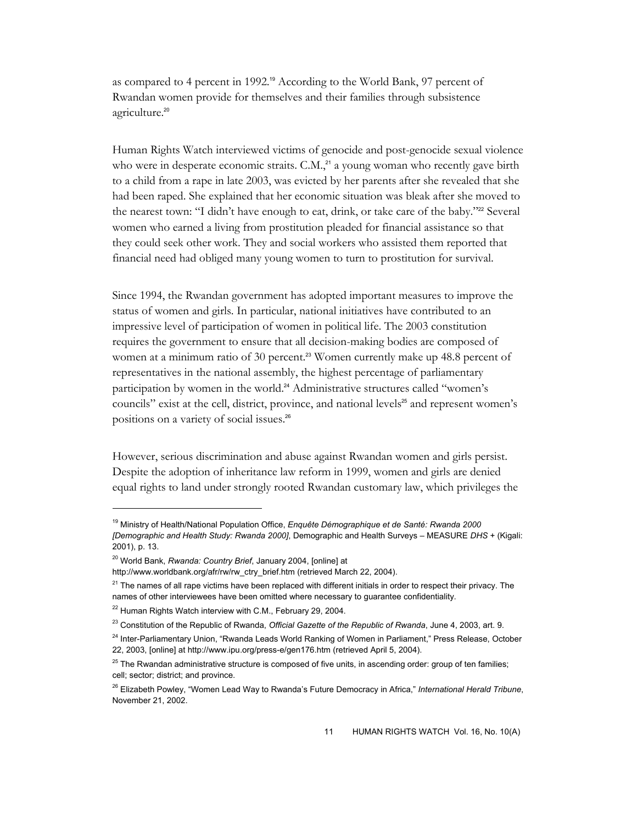as compared to 4 percent in 1992.<sup>19</sup> According to the World Bank, 97 percent of Rwandan women provide for themselves and their families through subsistence agriculture.<sup>20</sup>

Human Rights Watch interviewed victims of genocide and post-genocide sexual violence who were in desperate economic straits.  $C.M.<sub>21</sub><sup>21</sup>$  a young woman who recently gave birth to a child from a rape in late 2003, was evicted by her parents after she revealed that she had been raped. She explained that her economic situation was bleak after she moved to the nearest town: "I didn't have enough to eat, drink, or take care of the baby."<sup>22</sup> Several women who earned a living from prostitution pleaded for financial assistance so that they could seek other work. They and social workers who assisted them reported that financial need had obliged many young women to turn to prostitution for survival.

Since 1994, the Rwandan government has adopted important measures to improve the status of women and girls. In particular, national initiatives have contributed to an impressive level of participation of women in political life. The 2003 constitution requires the government to ensure that all decision-making bodies are composed of women at a minimum ratio of 30 percent.<sup>23</sup> Women currently make up 48.8 percent of representatives in the national assembly, the highest percentage of parliamentary participation by women in the world.<sup>24</sup> Administrative structures called "women's councils" exist at the cell, district, province, and national levels<sup>25</sup> and represent women's positions on a variety of social issues.26

However, serious discrimination and abuse against Rwandan women and girls persist. Despite the adoption of inheritance law reform in 1999, women and girls are denied equal rights to land under strongly rooted Rwandan customary law, which privileges the

<sup>19</sup> Ministry of Health/National Population Office, *Enquête Démographique et de Santé: Rwanda 2000 [Demographic and Health Study: Rwanda 2000]*, Demographic and Health Surveys – MEASURE *DHS* + (Kigali: 2001), p. 13.

<sup>20</sup> World Bank, *Rwanda: Country Brief*, January 2004, [online] at

http://www.worldbank.org/afr/rw/rw\_ctry\_brief.htm (retrieved March 22, 2004).

 $21$  The names of all rape victims have been replaced with different initials in order to respect their privacy. The names of other interviewees have been omitted where necessary to guarantee confidentiality.

<sup>&</sup>lt;sup>22</sup> Human Rights Watch interview with C.M., February 29, 2004.

<sup>23</sup> Constitution of the Republic of Rwanda, *Official Gazette of the Republic of Rwanda*, June 4, 2003, art. 9.

<sup>&</sup>lt;sup>24</sup> Inter-Parliamentary Union, "Rwanda Leads World Ranking of Women in Parliament," Press Release, October 22, 2003, [online] at http://www.ipu.org/press-e/gen176.htm (retrieved April 5, 2004).

<sup>&</sup>lt;sup>25</sup> The Rwandan administrative structure is composed of five units, in ascending order: group of ten families; cell; sector; district; and province.

<sup>26</sup> Elizabeth Powley, "Women Lead Way to Rwanda's Future Democracy in Africa," *International Herald Tribune*, November 21, 2002.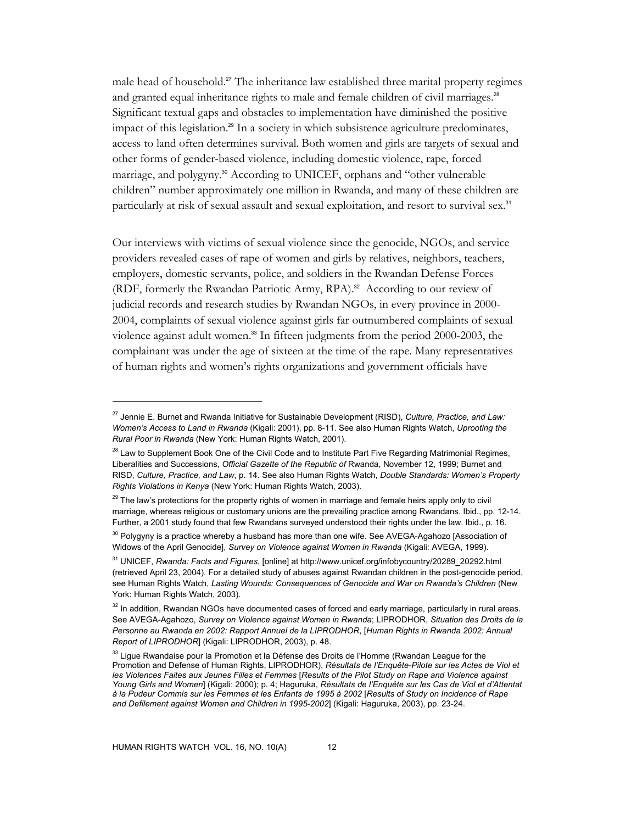male head of household.<sup>27</sup> The inheritance law established three marital property regimes and granted equal inheritance rights to male and female children of civil marriages.<sup>28</sup> Significant textual gaps and obstacles to implementation have diminished the positive impact of this legislation.29 In a society in which subsistence agriculture predominates, access to land often determines survival. Both women and girls are targets of sexual and other forms of gender-based violence, including domestic violence, rape, forced marriage, and polygyny.<sup>30</sup> According to UNICEF, orphans and "other vulnerable children" number approximately one million in Rwanda, and many of these children are particularly at risk of sexual assault and sexual exploitation, and resort to survival sex.<sup>31</sup>

Our interviews with victims of sexual violence since the genocide, NGOs, and service providers revealed cases of rape of women and girls by relatives, neighbors, teachers, employers, domestic servants, police, and soldiers in the Rwandan Defense Forces (RDF, formerly the Rwandan Patriotic Army, RPA).<sup>32</sup> According to our review of judicial records and research studies by Rwandan NGOs, in every province in 2000- 2004, complaints of sexual violence against girls far outnumbered complaints of sexual violence against adult women.<sup>33</sup> In fifteen judgments from the period 2000-2003, the complainant was under the age of sixteen at the time of the rape. Many representatives of human rights and women's rights organizations and government officials have

<sup>27</sup> Jennie E. Burnet and Rwanda Initiative for Sustainable Development (RISD), *Culture, Practice, and Law: Women's Access to Land in Rwanda* (Kigali: 2001), pp. 8-11. See also Human Rights Watch, *Uprooting the Rural Poor in Rwanda* (New York: Human Rights Watch, 2001).

<sup>&</sup>lt;sup>28</sup> Law to Supplement Book One of the Civil Code and to Institute Part Five Regarding Matrimonial Regimes, Liberalities and Successions, *Official Gazette of the Republic of* Rwanda, November 12, 1999; Burnet and RISD, *Culture, Practice, and Law*, p. 14. See also Human Rights Watch, *Double Standards: Women's Property Rights Violations in Kenya* (New York: Human Rights Watch, 2003).

<sup>&</sup>lt;sup>29</sup> The law's protections for the property rights of women in marriage and female heirs apply only to civil marriage, whereas religious or customary unions are the prevailing practice among Rwandans. Ibid., pp. 12-14. Further, a 2001 study found that few Rwandans surveyed understood their rights under the law. Ibid., p. 16.

 $30$  Polygyny is a practice whereby a husband has more than one wife. See AVEGA-Agahozo [Association of Widows of the April Genocide], *Survey on Violence against Women in Rwanda* (Kigali: AVEGA, 1999).

<sup>31</sup> UNICEF, *Rwanda: Facts and Figures*, [online] at http://www.unicef.org/infobycountry/20289\_20292.html (retrieved April 23, 2004). For a detailed study of abuses against Rwandan children in the post-genocide period, see Human Rights Watch, *Lasting Wounds: Consequences of Genocide and War on Rwanda's Children* (New York: Human Rights Watch, 2003).

 $32$  In addition, Rwandan NGOs have documented cases of forced and early marriage, particularly in rural areas. See AVEGA-Agahozo, *Survey on Violence against Women in Rwanda*; LIPRODHOR, *Situation des Droits de la Personne au Rwanda en 2002: Rapport Annuel de la LIPRODHOR*, [*Human Rights in Rwanda 2002: Annual Report of LIPRODHOR*] (Kigali: LIPRODHOR, 2003), p. 48.

 $33$  Ligue Rwandaise pour la Promotion et la Défense des Droits de l'Homme (Rwandan League for the Promotion and Defense of Human Rights, LIPRODHOR), *Résultats de l'Enquête-Pilote sur les Actes de Viol et les Violences Faites aux Jeunes Filles et Femmes* [*Results of the Pilot Study on Rape and Violence against Young Girls and Women*] (Kigali: 2000); p. 4; Haguruka, *Résultats de l'Enquête sur les Cas de Viol et d'Attentat à la Pudeur Commis sur les Femmes et les Enfants de 1995 à 2002* [*Results of Study on Incidence of Rape and Defilement against Women and Children in 1995-2002*] (Kigali: Haguruka, 2003), pp. 23-24.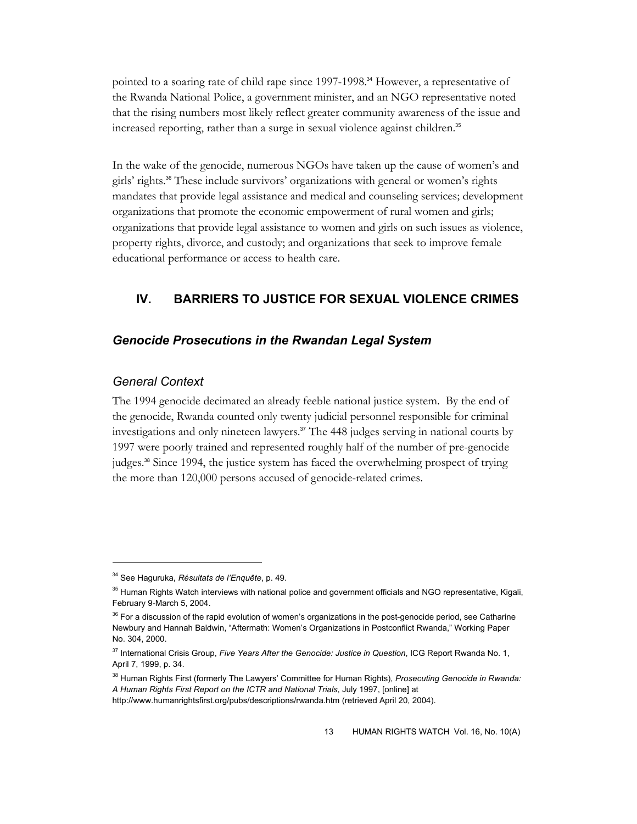pointed to a soaring rate of child rape since 1997-1998.<sup>34</sup> However, a representative of the Rwanda National Police, a government minister, and an NGO representative noted that the rising numbers most likely reflect greater community awareness of the issue and increased reporting, rather than a surge in sexual violence against children.<sup>35</sup>

In the wake of the genocide, numerous NGOs have taken up the cause of women's and girls' rights.36 These include survivors' organizations with general or women's rights mandates that provide legal assistance and medical and counseling services; development organizations that promote the economic empowerment of rural women and girls; organizations that provide legal assistance to women and girls on such issues as violence, property rights, divorce, and custody; and organizations that seek to improve female educational performance or access to health care.

## **IV. BARRIERS TO JUSTICE FOR SEXUAL VIOLENCE CRIMES**

## *Genocide Prosecutions in the Rwandan Legal System*

#### *General Context*

 $\overline{a}$ 

The 1994 genocide decimated an already feeble national justice system. By the end of the genocide, Rwanda counted only twenty judicial personnel responsible for criminal investigations and only nineteen lawyers.<sup>37</sup> The 448 judges serving in national courts by 1997 were poorly trained and represented roughly half of the number of pre-genocide judges.<sup>38</sup> Since 1994, the justice system has faced the overwhelming prospect of trying the more than 120,000 persons accused of genocide-related crimes.

<sup>34</sup> See Haguruka, *Résultats de l'Enquête*, p. 49.

<sup>&</sup>lt;sup>35</sup> Human Rights Watch interviews with national police and government officials and NGO representative, Kigali, February 9-March 5, 2004.

<sup>&</sup>lt;sup>36</sup> For a discussion of the rapid evolution of women's organizations in the post-genocide period, see Catharine Newbury and Hannah Baldwin, "Aftermath: Women's Organizations in Postconflict Rwanda," Working Paper No. 304, 2000.

<sup>37</sup> International Crisis Group, *Five Years After the Genocide: Justice in Question*, ICG Report Rwanda No. 1, April 7, 1999, p. 34.

<sup>38</sup> Human Rights First (formerly The Lawyers' Committee for Human Rights), *Prosecuting Genocide in Rwanda: A Human Rights First Report on the ICTR and National Trials*, July 1997, [online] at

http://www.humanrightsfirst.org/pubs/descriptions/rwanda.htm (retrieved April 20, 2004).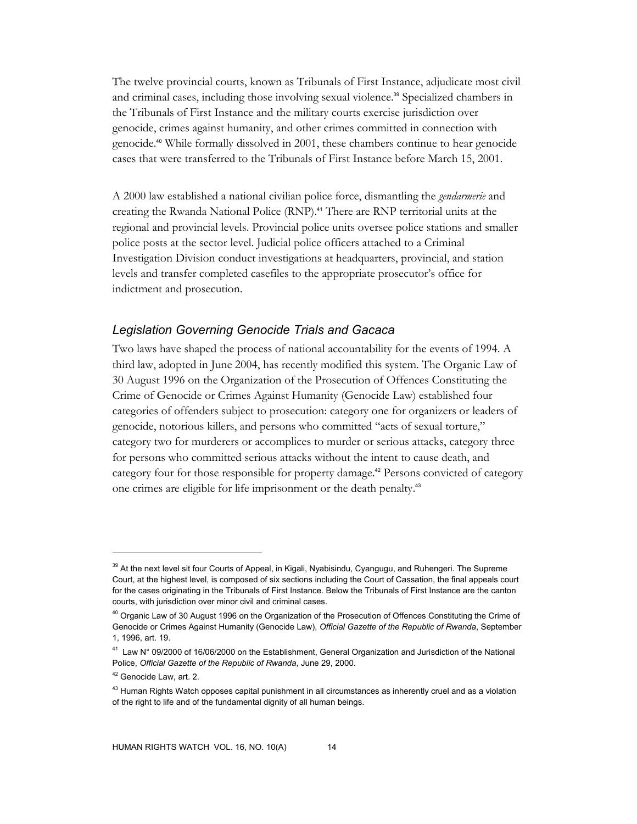The twelve provincial courts, known as Tribunals of First Instance, adjudicate most civil and criminal cases, including those involving sexual violence.<sup>39</sup> Specialized chambers in the Tribunals of First Instance and the military courts exercise jurisdiction over genocide, crimes against humanity, and other crimes committed in connection with genocide.40 While formally dissolved in 2001, these chambers continue to hear genocide cases that were transferred to the Tribunals of First Instance before March 15, 2001.

A 2000 law established a national civilian police force, dismantling the *gendarmerie* and creating the Rwanda National Police (RNP).<sup>41</sup> There are RNP territorial units at the regional and provincial levels. Provincial police units oversee police stations and smaller police posts at the sector level. Judicial police officers attached to a Criminal Investigation Division conduct investigations at headquarters, provincial, and station levels and transfer completed casefiles to the appropriate prosecutor's office for indictment and prosecution.

## *Legislation Governing Genocide Trials and Gacaca*

Two laws have shaped the process of national accountability for the events of 1994. A third law, adopted in June 2004, has recently modified this system. The Organic Law of 30 August 1996 on the Organization of the Prosecution of Offences Constituting the Crime of Genocide or Crimes Against Humanity (Genocide Law) established four categories of offenders subject to prosecution: category one for organizers or leaders of genocide, notorious killers, and persons who committed "acts of sexual torture," category two for murderers or accomplices to murder or serious attacks, category three for persons who committed serious attacks without the intent to cause death, and category four for those responsible for property damage.<sup>42</sup> Persons convicted of category one crimes are eligible for life imprisonment or the death penalty.<sup>43</sup>

<sup>&</sup>lt;sup>39</sup> At the next level sit four Courts of Appeal, in Kigali, Nyabisindu, Cyangugu, and Ruhengeri. The Supreme Court, at the highest level, is composed of six sections including the Court of Cassation, the final appeals court for the cases originating in the Tribunals of First Instance. Below the Tribunals of First Instance are the canton courts, with jurisdiction over minor civil and criminal cases.

<sup>&</sup>lt;sup>40</sup> Organic Law of 30 August 1996 on the Organization of the Prosecution of Offences Constituting the Crime of Genocide or Crimes Against Humanity (Genocide Law), *Official Gazette of the Republic of Rwanda*, September 1, 1996, art. 19.

<sup>41</sup> Law N° 09/2000 of 16/06/2000 on the Establishment, General Organization and Jurisdiction of the National Police, *Official Gazette of the Republic of Rwanda*, June 29, 2000.

<sup>&</sup>lt;sup>42</sup> Genocide Law, art. 2.

<sup>&</sup>lt;sup>43</sup> Human Rights Watch opposes capital punishment in all circumstances as inherently cruel and as a violation of the right to life and of the fundamental dignity of all human beings.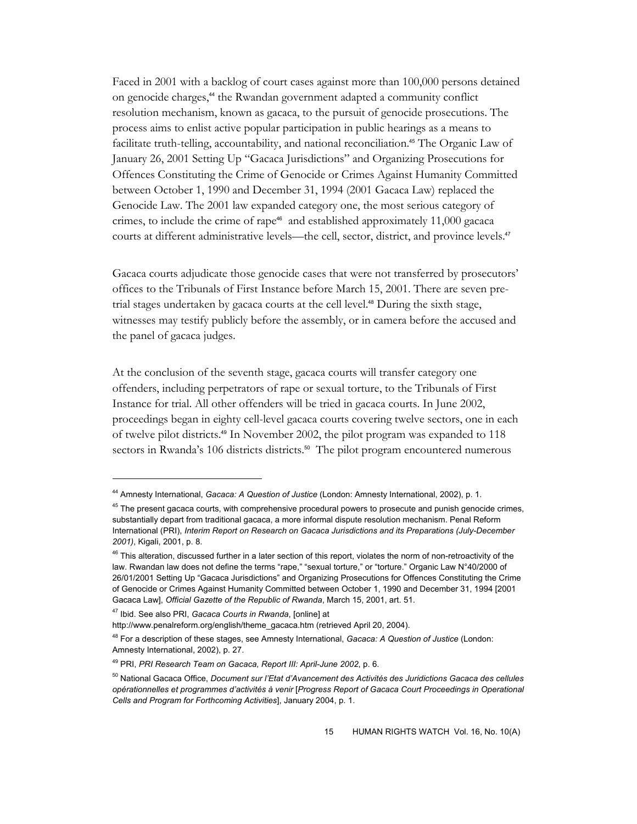Faced in 2001 with a backlog of court cases against more than 100,000 persons detained on genocide charges,<sup>44</sup> the Rwandan government adapted a community conflict resolution mechanism, known as gacaca, to the pursuit of genocide prosecutions. The process aims to enlist active popular participation in public hearings as a means to facilitate truth-telling, accountability, and national reconciliation.<sup>45</sup> The Organic Law of January 26, 2001 Setting Up "Gacaca Jurisdictions" and Organizing Prosecutions for Offences Constituting the Crime of Genocide or Crimes Against Humanity Committed between October 1, 1990 and December 31, 1994 (2001 Gacaca Law) replaced the Genocide Law. The 2001 law expanded category one, the most serious category of crimes, to include the crime of rape<sup>46</sup> and established approximately 11,000 gacaca courts at different administrative levels—the cell, sector, district, and province levels.<sup>47</sup>

Gacaca courts adjudicate those genocide cases that were not transferred by prosecutors' offices to the Tribunals of First Instance before March 15, 2001. There are seven pretrial stages undertaken by gacaca courts at the cell level.48 During the sixth stage, witnesses may testify publicly before the assembly, or in camera before the accused and the panel of gacaca judges.

At the conclusion of the seventh stage, gacaca courts will transfer category one offenders, including perpetrators of rape or sexual torture, to the Tribunals of First Instance for trial. All other offenders will be tried in gacaca courts. In June 2002, proceedings began in eighty cell-level gacaca courts covering twelve sectors, one in each of twelve pilot districts.49 In November 2002, the pilot program was expanded to 118 sectors in Rwanda's 106 districts districts.<sup>50</sup> The pilot program encountered numerous

<sup>44</sup> Amnesty International, *Gacaca: A Question of Justice* (London: Amnesty International, 2002), p. 1.

<sup>&</sup>lt;sup>45</sup> The present gacaca courts, with comprehensive procedural powers to prosecute and punish genocide crimes, substantially depart from traditional gacaca, a more informal dispute resolution mechanism. Penal Reform International (PRI), *Interim Report on Research on Gacaca Jurisdictions and its Preparations (July-December 2001)*, Kigali, 2001, p. 8.

<sup>&</sup>lt;sup>46</sup> This alteration, discussed further in a later section of this report, violates the norm of non-retroactivity of the law. Rwandan law does not define the terms "rape," "sexual torture," or "torture." Organic Law N°40/2000 of 26/01/2001 Setting Up "Gacaca Jurisdictions" and Organizing Prosecutions for Offences Constituting the Crime of Genocide or Crimes Against Humanity Committed between October 1, 1990 and December 31, 1994 [2001 Gacaca Law], *Official Gazette of the Republic of Rwanda*, March 15, 2001, art. 51.

<sup>47</sup> Ibid. See also PRI, *Gacaca Courts in Rwanda*, [online] at

http://www.penalreform.org/english/theme\_gacaca.htm (retrieved April 20, 2004).

<sup>48</sup> For a description of these stages, see Amnesty International, *Gacaca: A Question of Justice* (London: Amnesty International, 2002), p. 27.

<sup>49</sup> PRI, *PRI Research Team on Gacaca, Report III: April-June 2002*, p. 6.

<sup>50</sup> National Gacaca Office, *Document sur l'Etat d'Avancement des Activités des Juridictions Gacaca des cellules opérationnelles et programmes d'activités à venir* [*Progress Report of Gacaca Court Proceedings in Operational Cells and Program for Forthcoming Activities*], January 2004, p. 1.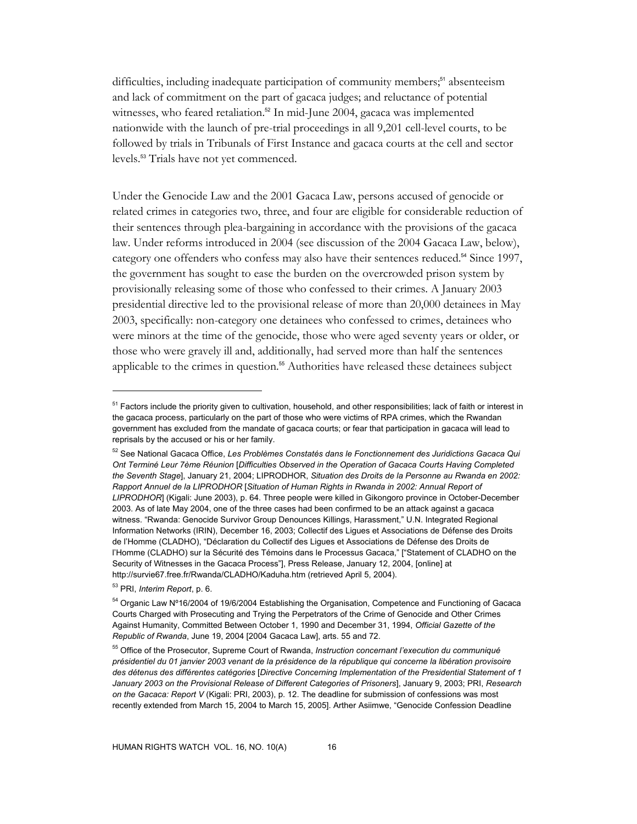difficulties, including inadequate participation of community members;<sup>51</sup> absenteeism and lack of commitment on the part of gacaca judges; and reluctance of potential witnesses, who feared retaliation.<sup>52</sup> In mid-June 2004, gacaca was implemented nationwide with the launch of pre-trial proceedings in all 9,201 cell-level courts, to be followed by trials in Tribunals of First Instance and gacaca courts at the cell and sector levels.53 Trials have not yet commenced.

Under the Genocide Law and the 2001 Gacaca Law, persons accused of genocide or related crimes in categories two, three, and four are eligible for considerable reduction of their sentences through plea-bargaining in accordance with the provisions of the gacaca law. Under reforms introduced in 2004 (see discussion of the 2004 Gacaca Law, below), category one offenders who confess may also have their sentences reduced.<sup>54</sup> Since 1997, the government has sought to ease the burden on the overcrowded prison system by provisionally releasing some of those who confessed to their crimes. A January 2003 presidential directive led to the provisional release of more than 20,000 detainees in May 2003, specifically: non-category one detainees who confessed to crimes, detainees who were minors at the time of the genocide, those who were aged seventy years or older, or those who were gravely ill and, additionally, had served more than half the sentences applicable to the crimes in question.<sup>55</sup> Authorities have released these detainees subject

<sup>&</sup>lt;sup>51</sup> Factors include the priority given to cultivation, household, and other responsibilities; lack of faith or interest in the gacaca process, particularly on the part of those who were victims of RPA crimes, which the Rwandan government has excluded from the mandate of gacaca courts; or fear that participation in gacaca will lead to reprisals by the accused or his or her family.

<sup>52</sup> See National Gacaca Office, *Les Problèmes Constatés dans le Fonctionnement des Juridictions Gacaca Qui Ont Terminé Leur 7ème Réunion* [*Difficulties Observed in the Operation of Gacaca Courts Having Completed the Seventh Stage*], January 21, 2004; LIPRODHOR, *Situation des Droits de la Personne au Rwanda en 2002: Rapport Annuel de la LIPRODHOR* [*Situation of Human Rights in Rwanda in 2002: Annual Report of LIPRODHOR*] (Kigali: June 2003), p. 64. Three people were killed in Gikongoro province in October-December 2003. As of late May 2004, one of the three cases had been confirmed to be an attack against a gacaca witness. "Rwanda: Genocide Survivor Group Denounces Killings, Harassment," U.N. Integrated Regional Information Networks (IRIN), December 16, 2003; Collectif des Ligues et Associations de Défense des Droits de l'Homme (CLADHO), "Déclaration du Collectif des Ligues et Associations de Défense des Droits de l'Homme (CLADHO) sur la Sécurité des Témoins dans le Processus Gacaca," ["Statement of CLADHO on the Security of Witnesses in the Gacaca Process"], Press Release, January 12, 2004, [online] at http://survie67.free.fr/Rwanda/CLADHO/Kaduha.htm (retrieved April 5, 2004).

<sup>53</sup> PRI, *Interim Report*, p. 6.

<sup>&</sup>lt;sup>54</sup> Organic Law N°16/2004 of 19/6/2004 Establishing the Organisation, Competence and Functioning of Gacaca Courts Charged with Prosecuting and Trying the Perpetrators of the Crime of Genocide and Other Crimes Against Humanity, Committed Between October 1, 1990 and December 31, 1994, *Official Gazette of the Republic of Rwanda*, June 19, 2004 [2004 Gacaca Law], arts. 55 and 72.

<sup>55</sup> Office of the Prosecutor, Supreme Court of Rwanda, *Instruction concernant l'execution du communiqué présidentiel du 01 janvier 2003 venant de la présidence de la république qui concerne la libération provisoire des détenus des différentes catégories* [*Directive Concerning Implementation of the Presidential Statement of 1 January 2003 on the Provisional Release of Different Categories of Prisoners*], January 9, 2003; PRI, *Research on the Gacaca: Report V* (Kigali: PRI, 2003), p. 12. The deadline for submission of confessions was most recently extended from March 15, 2004 to March 15, 2005]. Arther Asiimwe, "Genocide Confession Deadline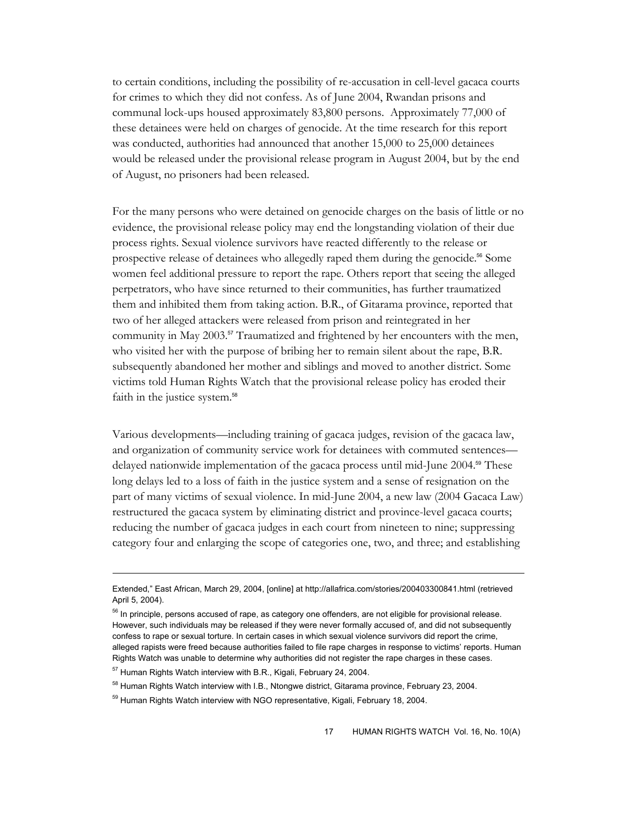to certain conditions, including the possibility of re-accusation in cell-level gacaca courts for crimes to which they did not confess. As of June 2004, Rwandan prisons and communal lock-ups housed approximately 83,800 persons. Approximately 77,000 of these detainees were held on charges of genocide. At the time research for this report was conducted, authorities had announced that another 15,000 to 25,000 detainees would be released under the provisional release program in August 2004, but by the end of August, no prisoners had been released.

For the many persons who were detained on genocide charges on the basis of little or no evidence, the provisional release policy may end the longstanding violation of their due process rights. Sexual violence survivors have reacted differently to the release or prospective release of detainees who allegedly raped them during the genocide.56 Some women feel additional pressure to report the rape. Others report that seeing the alleged perpetrators, who have since returned to their communities, has further traumatized them and inhibited them from taking action. B.R., of Gitarama province, reported that two of her alleged attackers were released from prison and reintegrated in her community in May 2003.<sup>57</sup> Traumatized and frightened by her encounters with the men, who visited her with the purpose of bribing her to remain silent about the rape, B.R. subsequently abandoned her mother and siblings and moved to another district. Some victims told Human Rights Watch that the provisional release policy has eroded their faith in the justice system.<sup>58</sup>

Various developments—including training of gacaca judges, revision of the gacaca law, and organization of community service work for detainees with commuted sentences delayed nationwide implementation of the gacaca process until mid-June 2004.<sup>59</sup> These long delays led to a loss of faith in the justice system and a sense of resignation on the part of many victims of sexual violence. In mid-June 2004, a new law (2004 Gacaca Law) restructured the gacaca system by eliminating district and province-level gacaca courts; reducing the number of gacaca judges in each court from nineteen to nine; suppressing category four and enlarging the scope of categories one, two, and three; and establishing

Extended," East African, March 29, 2004, [online] at http://allafrica.com/stories/200403300841.html (retrieved April 5, 2004).

<sup>&</sup>lt;sup>56</sup> In principle, persons accused of rape, as category one offenders, are not eligible for provisional release. However, such individuals may be released if they were never formally accused of, and did not subsequently confess to rape or sexual torture. In certain cases in which sexual violence survivors did report the crime, alleged rapists were freed because authorities failed to file rape charges in response to victims' reports. Human Rights Watch was unable to determine why authorities did not register the rape charges in these cases.

<sup>&</sup>lt;sup>57</sup> Human Rights Watch interview with B.R., Kigali, February 24, 2004.

<sup>&</sup>lt;sup>58</sup> Human Rights Watch interview with I.B., Ntongwe district, Gitarama province, February 23, 2004.

<sup>&</sup>lt;sup>59</sup> Human Rights Watch interview with NGO representative, Kigali, February 18, 2004.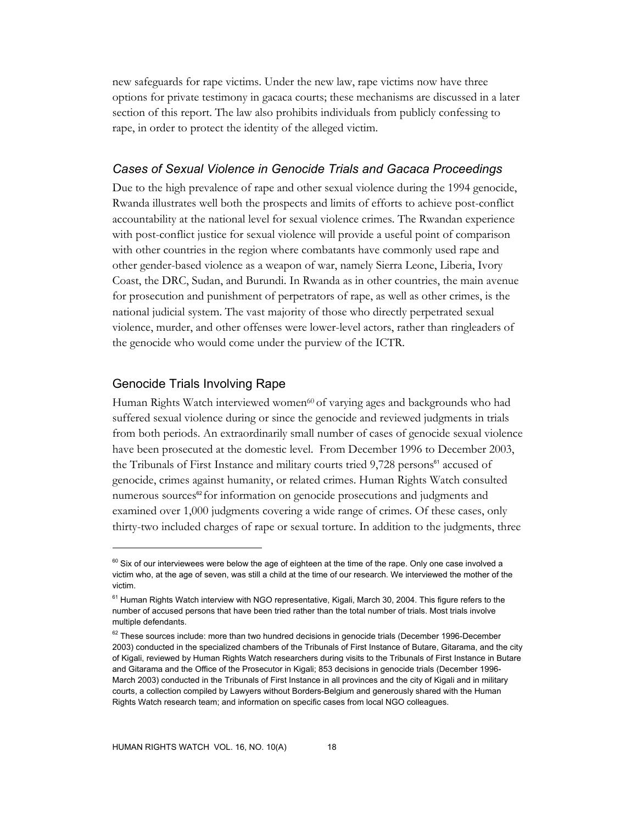new safeguards for rape victims. Under the new law, rape victims now have three options for private testimony in gacaca courts; these mechanisms are discussed in a later section of this report. The law also prohibits individuals from publicly confessing to rape, in order to protect the identity of the alleged victim.

#### *Cases of Sexual Violence in Genocide Trials and Gacaca Proceedings*

Due to the high prevalence of rape and other sexual violence during the 1994 genocide, Rwanda illustrates well both the prospects and limits of efforts to achieve post-conflict accountability at the national level for sexual violence crimes. The Rwandan experience with post-conflict justice for sexual violence will provide a useful point of comparison with other countries in the region where combatants have commonly used rape and other gender-based violence as a weapon of war, namely Sierra Leone, Liberia, Ivory Coast, the DRC, Sudan, and Burundi. In Rwanda as in other countries, the main avenue for prosecution and punishment of perpetrators of rape, as well as other crimes, is the national judicial system. The vast majority of those who directly perpetrated sexual violence, murder, and other offenses were lower-level actors, rather than ringleaders of the genocide who would come under the purview of the ICTR.

#### Genocide Trials Involving Rape

-

Human Rights Watch interviewed women60 of varying ages and backgrounds who had suffered sexual violence during or since the genocide and reviewed judgments in trials from both periods. An extraordinarily small number of cases of genocide sexual violence have been prosecuted at the domestic level. From December 1996 to December 2003, the Tribunals of First Instance and military courts tried 9,728 persons<sup>61</sup> accused of genocide, crimes against humanity, or related crimes. Human Rights Watch consulted numerous sources<sup>62</sup> for information on genocide prosecutions and judgments and examined over 1,000 judgments covering a wide range of crimes. Of these cases, only thirty-two included charges of rape or sexual torture. In addition to the judgments, three

 $60$  Six of our interviewees were below the age of eighteen at the time of the rape. Only one case involved a victim who, at the age of seven, was still a child at the time of our research. We interviewed the mother of the victim.

<sup>&</sup>lt;sup>61</sup> Human Rights Watch interview with NGO representative, Kigali, March 30, 2004. This figure refers to the number of accused persons that have been tried rather than the total number of trials. Most trials involve multiple defendants.

 $62$  These sources include: more than two hundred decisions in genocide trials (December 1996-December 2003) conducted in the specialized chambers of the Tribunals of First Instance of Butare, Gitarama, and the city of Kigali, reviewed by Human Rights Watch researchers during visits to the Tribunals of First Instance in Butare and Gitarama and the Office of the Prosecutor in Kigali; 853 decisions in genocide trials (December 1996- March 2003) conducted in the Tribunals of First Instance in all provinces and the city of Kigali and in military courts, a collection compiled by Lawyers without Borders-Belgium and generously shared with the Human Rights Watch research team; and information on specific cases from local NGO colleagues.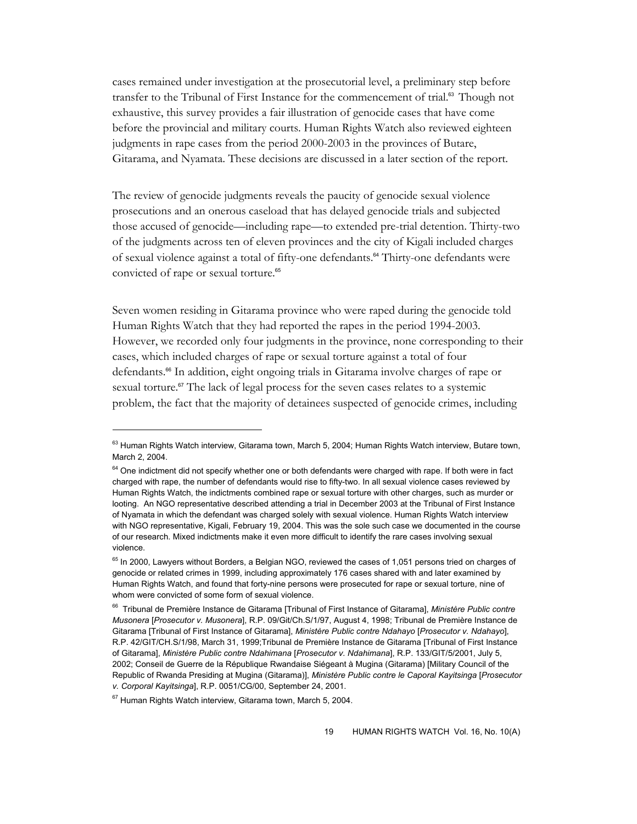cases remained under investigation at the prosecutorial level, a preliminary step before transfer to the Tribunal of First Instance for the commencement of trial.<sup>63</sup> Though not exhaustive, this survey provides a fair illustration of genocide cases that have come before the provincial and military courts. Human Rights Watch also reviewed eighteen judgments in rape cases from the period 2000-2003 in the provinces of Butare, Gitarama, and Nyamata. These decisions are discussed in a later section of the report.

The review of genocide judgments reveals the paucity of genocide sexual violence prosecutions and an onerous caseload that has delayed genocide trials and subjected those accused of genocide—including rape—to extended pre-trial detention. Thirty-two of the judgments across ten of eleven provinces and the city of Kigali included charges of sexual violence against a total of fifty-one defendants.<sup>64</sup> Thirty-one defendants were convicted of rape or sexual torture.<sup>65</sup>

Seven women residing in Gitarama province who were raped during the genocide told Human Rights Watch that they had reported the rapes in the period 1994-2003. However, we recorded only four judgments in the province, none corresponding to their cases, which included charges of rape or sexual torture against a total of four defendants.<sup>66</sup> In addition, eight ongoing trials in Gitarama involve charges of rape or sexual torture.<sup>67</sup> The lack of legal process for the seven cases relates to a systemic problem, the fact that the majority of detainees suspected of genocide crimes, including

 $63$  Human Rights Watch interview, Gitarama town, March 5, 2004; Human Rights Watch interview, Butare town, March 2, 2004.

<sup>&</sup>lt;sup>64</sup> One indictment did not specify whether one or both defendants were charged with rape. If both were in fact charged with rape, the number of defendants would rise to fifty-two. In all sexual violence cases reviewed by Human Rights Watch, the indictments combined rape or sexual torture with other charges, such as murder or looting. An NGO representative described attending a trial in December 2003 at the Tribunal of First Instance of Nyamata in which the defendant was charged solely with sexual violence. Human Rights Watch interview with NGO representative, Kigali, February 19, 2004. This was the sole such case we documented in the course of our research. Mixed indictments make it even more difficult to identify the rare cases involving sexual violence.

<sup>&</sup>lt;sup>65</sup> In 2000, Lawyers without Borders, a Belgian NGO, reviewed the cases of 1,051 persons tried on charges of genocide or related crimes in 1999, including approximately 176 cases shared with and later examined by Human Rights Watch, and found that forty-nine persons were prosecuted for rape or sexual torture, nine of whom were convicted of some form of sexual violence.

<sup>66</sup> Tribunal de Première Instance de Gitarama [Tribunal of First Instance of Gitarama], *Ministère Public contre Musonera* [*Prosecutor v. Musonera*], R.P. 09/Git/Ch.S/1/97, August 4, 1998; Tribunal de Première Instance de Gitarama [Tribunal of First Instance of Gitarama], *Ministère Public contre Ndahayo* [*Prosecutor v. Ndahayo*], R.P. 42/GIT/CH.S/1/98, March 31, 1999;Tribunal de Première Instance de Gitarama [Tribunal of First Instance of Gitarama], *Ministère Public contre Ndahimana* [*Prosecutor v. Ndahimana*], R.P. 133/GIT/5/2001, July 5, 2002; Conseil de Guerre de la République Rwandaise Siégeant à Mugina (Gitarama) [Military Council of the Republic of Rwanda Presiding at Mugina (Gitarama)], *Ministère Public contre le Caporal Kayitsinga* [*Prosecutor v. Corporal Kayitsinga*], R.P. 0051/CG/00, September 24, 2001.

<sup>&</sup>lt;sup>67</sup> Human Rights Watch interview, Gitarama town, March 5, 2004.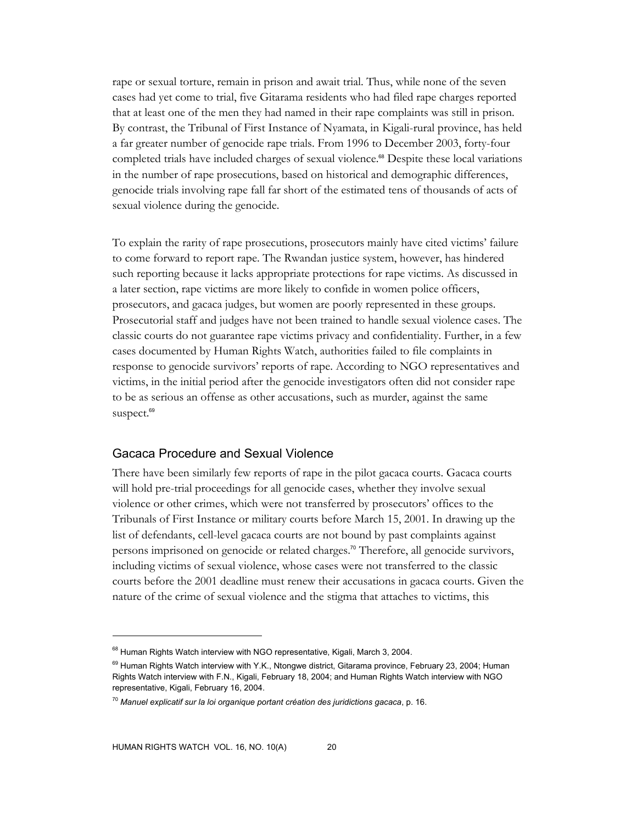rape or sexual torture, remain in prison and await trial. Thus, while none of the seven cases had yet come to trial, five Gitarama residents who had filed rape charges reported that at least one of the men they had named in their rape complaints was still in prison. By contrast, the Tribunal of First Instance of Nyamata, in Kigali-rural province, has held a far greater number of genocide rape trials. From 1996 to December 2003, forty-four completed trials have included charges of sexual violence.<sup>68</sup> Despite these local variations in the number of rape prosecutions, based on historical and demographic differences, genocide trials involving rape fall far short of the estimated tens of thousands of acts of sexual violence during the genocide.

To explain the rarity of rape prosecutions, prosecutors mainly have cited victims' failure to come forward to report rape. The Rwandan justice system, however, has hindered such reporting because it lacks appropriate protections for rape victims. As discussed in a later section, rape victims are more likely to confide in women police officers, prosecutors, and gacaca judges, but women are poorly represented in these groups. Prosecutorial staff and judges have not been trained to handle sexual violence cases. The classic courts do not guarantee rape victims privacy and confidentiality. Further, in a few cases documented by Human Rights Watch, authorities failed to file complaints in response to genocide survivors' reports of rape. According to NGO representatives and victims, in the initial period after the genocide investigators often did not consider rape to be as serious an offense as other accusations, such as murder, against the same suspect.<sup>69</sup>

## Gacaca Procedure and Sexual Violence

There have been similarly few reports of rape in the pilot gacaca courts. Gacaca courts will hold pre-trial proceedings for all genocide cases, whether they involve sexual violence or other crimes, which were not transferred by prosecutors' offices to the Tribunals of First Instance or military courts before March 15, 2001. In drawing up the list of defendants, cell-level gacaca courts are not bound by past complaints against persons imprisoned on genocide or related charges.<sup>70</sup> Therefore, all genocide survivors, including victims of sexual violence, whose cases were not transferred to the classic courts before the 2001 deadline must renew their accusations in gacaca courts. Given the nature of the crime of sexual violence and the stigma that attaches to victims, this

<sup>&</sup>lt;sup>68</sup> Human Rights Watch interview with NGO representative, Kigali, March 3, 2004.

 $^{69}$  Human Rights Watch interview with Y.K., Ntongwe district, Gitarama province, February 23, 2004; Human Rights Watch interview with F.N., Kigali, February 18, 2004; and Human Rights Watch interview with NGO representative, Kigali, February 16, 2004.

<sup>70</sup> *Manuel explicatif sur la loi organique portant création des juridictions gacaca*, p. 16.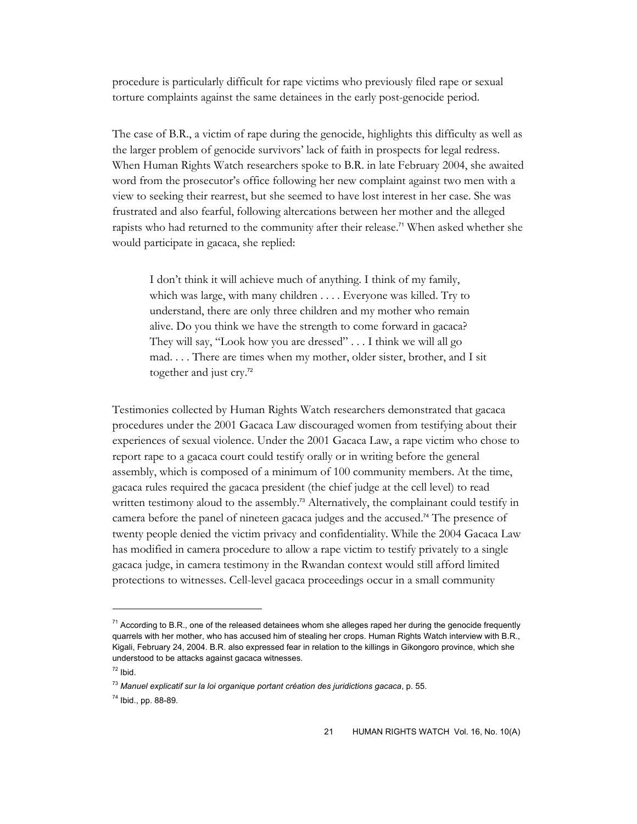procedure is particularly difficult for rape victims who previously filed rape or sexual torture complaints against the same detainees in the early post-genocide period.

The case of B.R., a victim of rape during the genocide, highlights this difficulty as well as the larger problem of genocide survivors' lack of faith in prospects for legal redress. When Human Rights Watch researchers spoke to B.R. in late February 2004, she awaited word from the prosecutor's office following her new complaint against two men with a view to seeking their rearrest, but she seemed to have lost interest in her case. She was frustrated and also fearful, following altercations between her mother and the alleged rapists who had returned to the community after their release.<sup>71</sup> When asked whether she would participate in gacaca, she replied:

I don't think it will achieve much of anything. I think of my family, which was large, with many children . . . . Everyone was killed. Try to understand, there are only three children and my mother who remain alive. Do you think we have the strength to come forward in gacaca? They will say, "Look how you are dressed" . . . I think we will all go mad. . . . There are times when my mother, older sister, brother, and I sit together and just cry.<sup>72</sup>

Testimonies collected by Human Rights Watch researchers demonstrated that gacaca procedures under the 2001 Gacaca Law discouraged women from testifying about their experiences of sexual violence. Under the 2001 Gacaca Law, a rape victim who chose to report rape to a gacaca court could testify orally or in writing before the general assembly, which is composed of a minimum of 100 community members. At the time, gacaca rules required the gacaca president (the chief judge at the cell level) to read written testimony aloud to the assembly.<sup>73</sup> Alternatively, the complainant could testify in camera before the panel of nineteen gacaca judges and the accused.74 The presence of twenty people denied the victim privacy and confidentiality. While the 2004 Gacaca Law has modified in camera procedure to allow a rape victim to testify privately to a single gacaca judge, in camera testimony in the Rwandan context would still afford limited protections to witnesses. Cell-level gacaca proceedings occur in a small community

 $71$  According to B.R., one of the released detainees whom she alleges raped her during the genocide frequently quarrels with her mother, who has accused him of stealing her crops. Human Rights Watch interview with B.R., Kigali, February 24, 2004. B.R. also expressed fear in relation to the killings in Gikongoro province, which she understood to be attacks against gacaca witnesses.

 $72$  Ibid.

<sup>73</sup> *Manuel explicatif sur la loi organique portant création des juridictions gacaca*, p. 55.

<sup>74</sup> Ibid., pp. 88-89.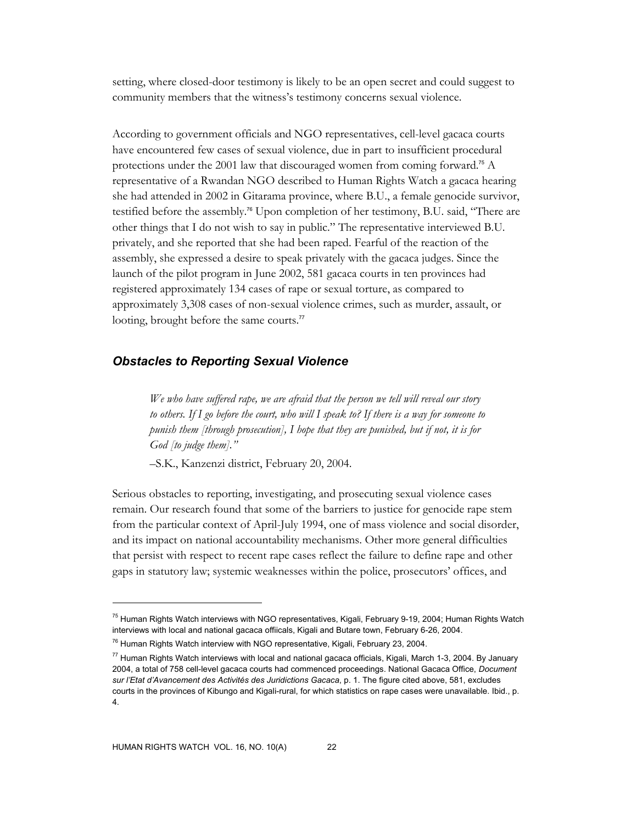setting, where closed-door testimony is likely to be an open secret and could suggest to community members that the witness's testimony concerns sexual violence.

According to government officials and NGO representatives, cell-level gacaca courts have encountered few cases of sexual violence, due in part to insufficient procedural protections under the 2001 law that discouraged women from coming forward.<sup>75</sup> A representative of a Rwandan NGO described to Human Rights Watch a gacaca hearing she had attended in 2002 in Gitarama province, where B.U., a female genocide survivor, testified before the assembly.<sup>76</sup> Upon completion of her testimony, B.U. said, "There are other things that I do not wish to say in public." The representative interviewed B.U. privately, and she reported that she had been raped. Fearful of the reaction of the assembly, she expressed a desire to speak privately with the gacaca judges. Since the launch of the pilot program in June 2002, 581 gacaca courts in ten provinces had registered approximately 134 cases of rape or sexual torture, as compared to approximately 3,308 cases of non-sexual violence crimes, such as murder, assault, or looting, brought before the same courts.<sup>77</sup>

## *Obstacles to Reporting Sexual Violence*

*We who have suffered rape, we are afraid that the person we tell will reveal our story to others. If I go before the court, who will I speak to? If there is a way for someone to punish them [through prosecution], I hope that they are punished, but if not, it is for God [to judge them]."* 

–S.K., Kanzenzi district, February 20, 2004.

Serious obstacles to reporting, investigating, and prosecuting sexual violence cases remain. Our research found that some of the barriers to justice for genocide rape stem from the particular context of April-July 1994, one of mass violence and social disorder, and its impact on national accountability mechanisms. Other more general difficulties that persist with respect to recent rape cases reflect the failure to define rape and other gaps in statutory law; systemic weaknesses within the police, prosecutors' offices, and

<sup>&</sup>lt;sup>75</sup> Human Rights Watch interviews with NGO representatives, Kigali, February 9-19, 2004; Human Rights Watch interviews with local and national gacaca offiicals, Kigali and Butare town, February 6-26, 2004.

<sup>76</sup> Human Rights Watch interview with NGO representative, Kigali, February 23, 2004.

 $77$  Human Rights Watch interviews with local and national gacaca officials, Kigali, March 1-3, 2004. By January 2004, a total of 758 cell-level gacaca courts had commenced proceedings. National Gacaca Office, *Document sur l'Etat d'Avancement des Activités des Juridictions Gacaca*, p. 1. The figure cited above, 581, excludes courts in the provinces of Kibungo and Kigali-rural, for which statistics on rape cases were unavailable. Ibid., p. 4.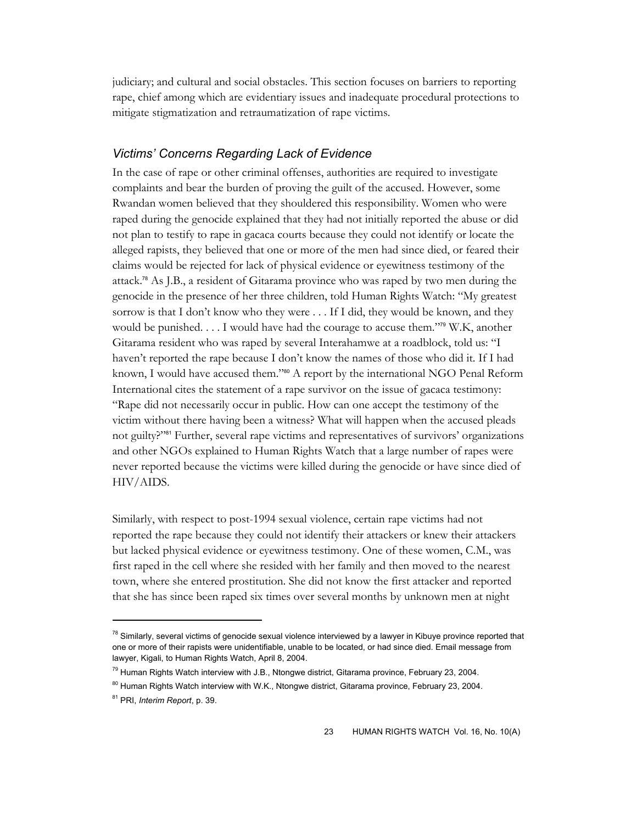judiciary; and cultural and social obstacles. This section focuses on barriers to reporting rape, chief among which are evidentiary issues and inadequate procedural protections to mitigate stigmatization and retraumatization of rape victims.

## *Victims' Concerns Regarding Lack of Evidence*

In the case of rape or other criminal offenses, authorities are required to investigate complaints and bear the burden of proving the guilt of the accused. However, some Rwandan women believed that they shouldered this responsibility. Women who were raped during the genocide explained that they had not initially reported the abuse or did not plan to testify to rape in gacaca courts because they could not identify or locate the alleged rapists, they believed that one or more of the men had since died, or feared their claims would be rejected for lack of physical evidence or eyewitness testimony of the attack.78 As J.B., a resident of Gitarama province who was raped by two men during the genocide in the presence of her three children, told Human Rights Watch: "My greatest sorrow is that I don't know who they were . . . If I did, they would be known, and they would be punished. . . . I would have had the courage to accuse them."79 W.K, another Gitarama resident who was raped by several Interahamwe at a roadblock, told us: "I haven't reported the rape because I don't know the names of those who did it. If I had known, I would have accused them."<sup>80</sup> A report by the international NGO Penal Reform International cites the statement of a rape survivor on the issue of gacaca testimony: "Rape did not necessarily occur in public. How can one accept the testimony of the victim without there having been a witness? What will happen when the accused pleads not guilty?"<sup>81</sup> Further, several rape victims and representatives of survivors' organizations and other NGOs explained to Human Rights Watch that a large number of rapes were never reported because the victims were killed during the genocide or have since died of HIV/AIDS.

Similarly, with respect to post-1994 sexual violence, certain rape victims had not reported the rape because they could not identify their attackers or knew their attackers but lacked physical evidence or eyewitness testimony. One of these women, C.M., was first raped in the cell where she resided with her family and then moved to the nearest town, where she entered prostitution. She did not know the first attacker and reported that she has since been raped six times over several months by unknown men at night

<sup>&</sup>lt;sup>78</sup> Similarly, several victims of genocide sexual violence interviewed by a lawyer in Kibuye province reported that one or more of their rapists were unidentifiable, unable to be located, or had since died. Email message from lawyer, Kigali, to Human Rights Watch, April 8, 2004.

<sup>&</sup>lt;sup>79</sup> Human Rights Watch interview with J.B., Ntongwe district, Gitarama province, February 23, 2004.

<sup>&</sup>lt;sup>80</sup> Human Rights Watch interview with W.K., Ntongwe district, Gitarama province, February 23, 2004.

<sup>81</sup> PRI, *Interim Report*, p. 39.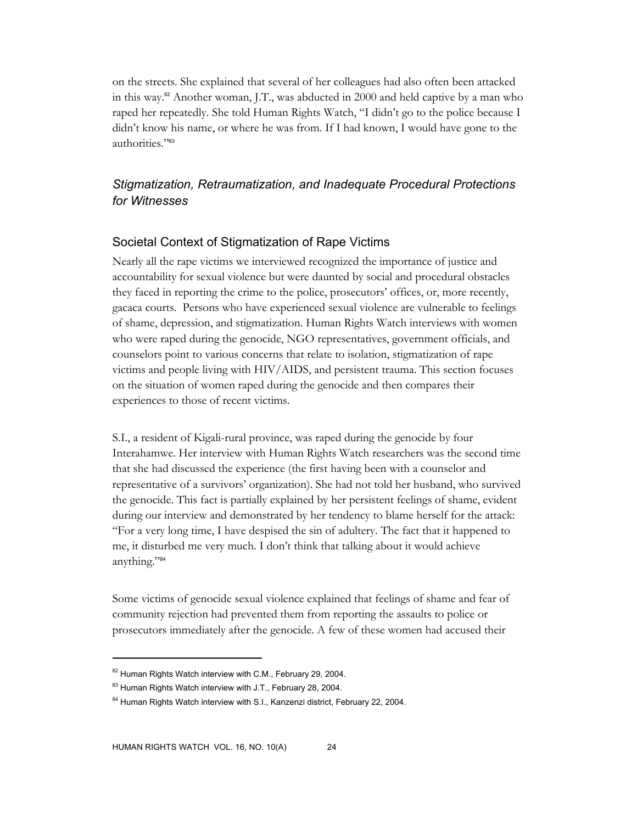on the streets. She explained that several of her colleagues had also often been attacked in this way.82 Another woman, J.T., was abducted in 2000 and held captive by a man who raped her repeatedly. She told Human Rights Watch, "I didn't go to the police because I didn't know his name, or where he was from. If I had known, I would have gone to the authorities."83

# *Stigmatization, Retraumatization, and Inadequate Procedural Protections for Witnesses*

## Societal Context of Stigmatization of Rape Victims

Nearly all the rape victims we interviewed recognized the importance of justice and accountability for sexual violence but were daunted by social and procedural obstacles they faced in reporting the crime to the police, prosecutors' offices, or, more recently, gacaca courts. Persons who have experienced sexual violence are vulnerable to feelings of shame, depression, and stigmatization. Human Rights Watch interviews with women who were raped during the genocide, NGO representatives, government officials, and counselors point to various concerns that relate to isolation, stigmatization of rape victims and people living with HIV/AIDS, and persistent trauma. This section focuses on the situation of women raped during the genocide and then compares their experiences to those of recent victims.

S.I., a resident of Kigali-rural province, was raped during the genocide by four Interahamwe. Her interview with Human Rights Watch researchers was the second time that she had discussed the experience (the first having been with a counselor and representative of a survivors' organization). She had not told her husband, who survived the genocide. This fact is partially explained by her persistent feelings of shame, evident during our interview and demonstrated by her tendency to blame herself for the attack: "For a very long time, I have despised the sin of adultery. The fact that it happened to me, it disturbed me very much. I don't think that talking about it would achieve anything."84

Some victims of genocide sexual violence explained that feelings of shame and fear of community rejection had prevented them from reporting the assaults to police or prosecutors immediately after the genocide. A few of these women had accused their

<sup>82</sup> Human Rights Watch interview with C.M., February 29, 2004.

<sup>83</sup> Human Rights Watch interview with J.T., February 28, 2004.

<sup>&</sup>lt;sup>84</sup> Human Rights Watch interview with S.I., Kanzenzi district, February 22, 2004.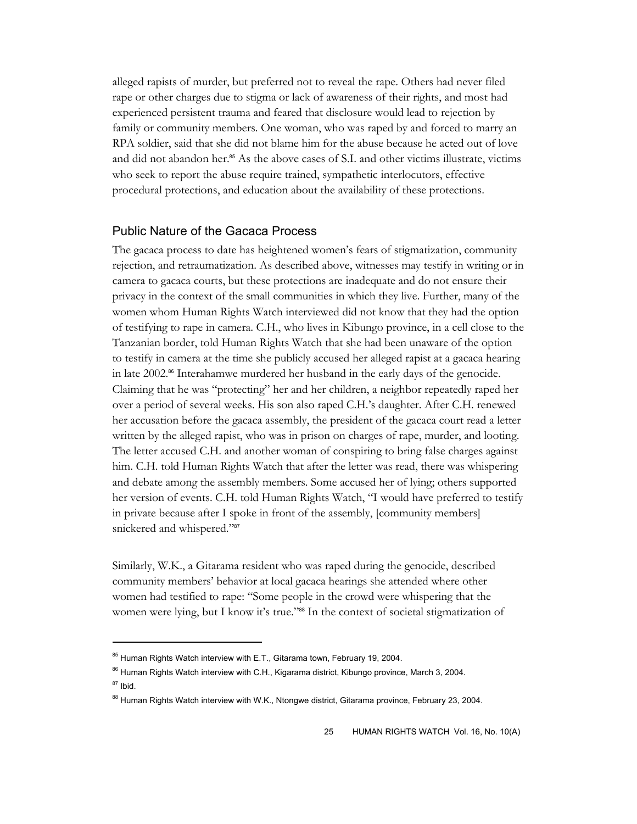alleged rapists of murder, but preferred not to reveal the rape. Others had never filed rape or other charges due to stigma or lack of awareness of their rights, and most had experienced persistent trauma and feared that disclosure would lead to rejection by family or community members. One woman, who was raped by and forced to marry an RPA soldier, said that she did not blame him for the abuse because he acted out of love and did not abandon her.<sup>85</sup> As the above cases of S.I. and other victims illustrate, victims who seek to report the abuse require trained, sympathetic interlocutors, effective procedural protections, and education about the availability of these protections.

#### Public Nature of the Gacaca Process

The gacaca process to date has heightened women's fears of stigmatization, community rejection, and retraumatization. As described above, witnesses may testify in writing or in camera to gacaca courts, but these protections are inadequate and do not ensure their privacy in the context of the small communities in which they live. Further, many of the women whom Human Rights Watch interviewed did not know that they had the option of testifying to rape in camera. C.H., who lives in Kibungo province, in a cell close to the Tanzanian border, told Human Rights Watch that she had been unaware of the option to testify in camera at the time she publicly accused her alleged rapist at a gacaca hearing in late 2002.<sup>86</sup> Interahamwe murdered her husband in the early days of the genocide. Claiming that he was "protecting" her and her children, a neighbor repeatedly raped her over a period of several weeks. His son also raped C.H.'s daughter. After C.H. renewed her accusation before the gacaca assembly, the president of the gacaca court read a letter written by the alleged rapist, who was in prison on charges of rape, murder, and looting. The letter accused C.H. and another woman of conspiring to bring false charges against him. C.H. told Human Rights Watch that after the letter was read, there was whispering and debate among the assembly members. Some accused her of lying; others supported her version of events. C.H. told Human Rights Watch, "I would have preferred to testify in private because after I spoke in front of the assembly, [community members] snickered and whispered."<sup>87</sup>

Similarly, W.K., a Gitarama resident who was raped during the genocide, described community members' behavior at local gacaca hearings she attended where other women had testified to rape: "Some people in the crowd were whispering that the women were lying, but I know it's true."88 In the context of societal stigmatization of

<sup>&</sup>lt;sup>85</sup> Human Rights Watch interview with E.T., Gitarama town, February 19, 2004.

<sup>&</sup>lt;sup>86</sup> Human Rights Watch interview with C.H., Kigarama district, Kibungo province, March 3, 2004.  $^{87}$  Ibid.

<sup>&</sup>lt;sup>88</sup> Human Rights Watch interview with W.K., Ntongwe district, Gitarama province, February 23, 2004.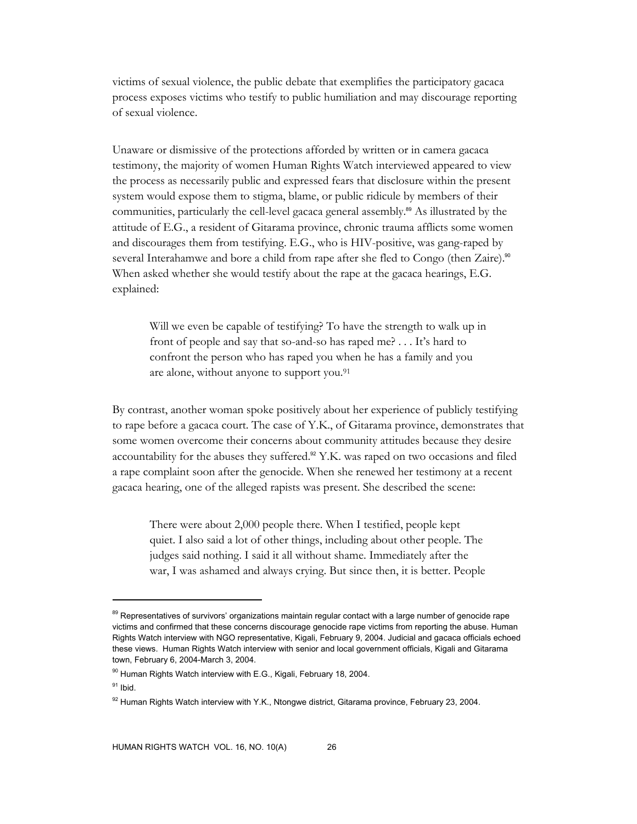victims of sexual violence, the public debate that exemplifies the participatory gacaca process exposes victims who testify to public humiliation and may discourage reporting of sexual violence.

Unaware or dismissive of the protections afforded by written or in camera gacaca testimony, the majority of women Human Rights Watch interviewed appeared to view the process as necessarily public and expressed fears that disclosure within the present system would expose them to stigma, blame, or public ridicule by members of their communities, particularly the cell-level gacaca general assembly.89 As illustrated by the attitude of E.G., a resident of Gitarama province, chronic trauma afflicts some women and discourages them from testifying. E.G., who is HIV-positive, was gang-raped by several Interahamwe and bore a child from rape after she fled to Congo (then Zaire).<sup>90</sup> When asked whether she would testify about the rape at the gacaca hearings, E.G. explained:

Will we even be capable of testifying? To have the strength to walk up in front of people and say that so-and-so has raped me? . . . It's hard to confront the person who has raped you when he has a family and you are alone, without anyone to support you.91

By contrast, another woman spoke positively about her experience of publicly testifying to rape before a gacaca court. The case of Y.K., of Gitarama province, demonstrates that some women overcome their concerns about community attitudes because they desire accountability for the abuses they suffered.<sup>92</sup> Y.K. was raped on two occasions and filed a rape complaint soon after the genocide. When she renewed her testimony at a recent gacaca hearing, one of the alleged rapists was present. She described the scene:

There were about 2,000 people there. When I testified, people kept quiet. I also said a lot of other things, including about other people. The judges said nothing. I said it all without shame. Immediately after the war, I was ashamed and always crying. But since then, it is better. People

<sup>&</sup>lt;sup>89</sup> Representatives of survivors' organizations maintain regular contact with a large number of genocide rape victims and confirmed that these concerns discourage genocide rape victims from reporting the abuse. Human Rights Watch interview with NGO representative, Kigali, February 9, 2004. Judicial and gacaca officials echoed these views. Human Rights Watch interview with senior and local government officials, Kigali and Gitarama town, February 6, 2004-March 3, 2004.

 $90$  Human Rights Watch interview with E.G., Kigali, February 18, 2004.

 $91$  Ibid.

<sup>&</sup>lt;sup>92</sup> Human Rights Watch interview with Y.K., Ntongwe district, Gitarama province, February 23, 2004.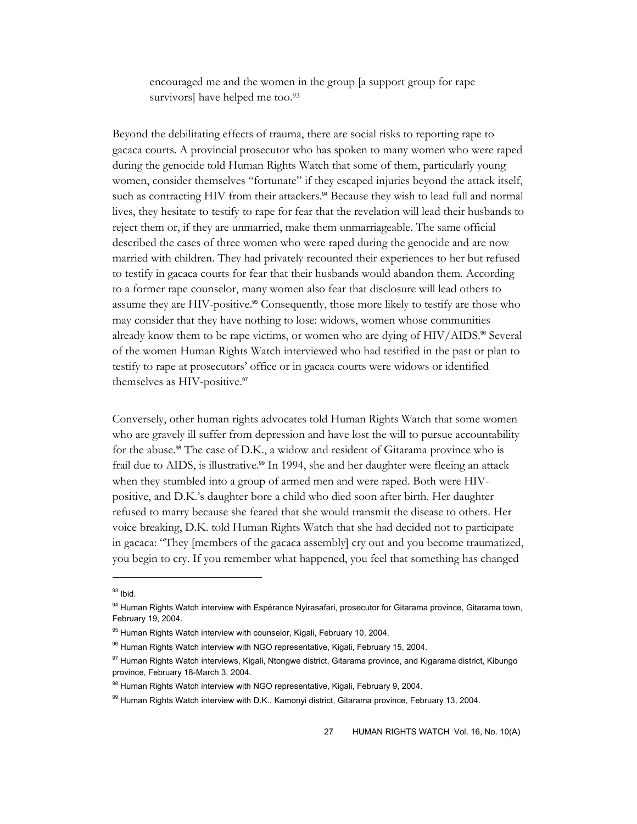encouraged me and the women in the group [a support group for rape survivors] have helped me too.<sup>93</sup>

Beyond the debilitating effects of trauma, there are social risks to reporting rape to gacaca courts. A provincial prosecutor who has spoken to many women who were raped during the genocide told Human Rights Watch that some of them, particularly young women, consider themselves "fortunate" if they escaped injuries beyond the attack itself, such as contracting HIV from their attackers.<sup>94</sup> Because they wish to lead full and normal lives, they hesitate to testify to rape for fear that the revelation will lead their husbands to reject them or, if they are unmarried, make them unmarriageable. The same official described the cases of three women who were raped during the genocide and are now married with children. They had privately recounted their experiences to her but refused to testify in gacaca courts for fear that their husbands would abandon them. According to a former rape counselor, many women also fear that disclosure will lead others to assume they are HIV-positive.<sup>95</sup> Consequently, those more likely to testify are those who may consider that they have nothing to lose: widows, women whose communities already know them to be rape victims, or women who are dying of  $HIV/ AIDS$ .<sup>96</sup> Several of the women Human Rights Watch interviewed who had testified in the past or plan to testify to rape at prosecutors' office or in gacaca courts were widows or identified themselves as HIV-positive.<sup>97</sup>

Conversely, other human rights advocates told Human Rights Watch that some women who are gravely ill suffer from depression and have lost the will to pursue accountability for the abuse.<sup>98</sup> The case of D.K., a widow and resident of Gitarama province who is frail due to AIDS, is illustrative.<sup>99</sup> In 1994, she and her daughter were fleeing an attack when they stumbled into a group of armed men and were raped. Both were HIVpositive, and D.K.'s daughter bore a child who died soon after birth. Her daughter refused to marry because she feared that she would transmit the disease to others. Her voice breaking, D.K. told Human Rights Watch that she had decided not to participate in gacaca: "They [members of the gacaca assembly] cry out and you become traumatized, you begin to cry. If you remember what happened, you feel that something has changed

 $93$  Ibid.

<sup>94</sup> Human Rights Watch interview with Espérance Nyirasafari, prosecutor for Gitarama province, Gitarama town, February 19, 2004.

<sup>&</sup>lt;sup>95</sup> Human Rights Watch interview with counselor, Kigali, February 10, 2004.

<sup>&</sup>lt;sup>96</sup> Human Rights Watch interview with NGO representative, Kigali, February 15, 2004.

<sup>97</sup> Human Rights Watch interviews, Kigali, Ntongwe district, Gitarama province, and Kigarama district, Kibungo province, February 18-March 3, 2004.

<sup>98</sup> Human Rights Watch interview with NGO representative, Kigali, February 9, 2004.

<sup>99</sup> Human Rights Watch interview with D.K., Kamonyi district, Gitarama province, February 13, 2004.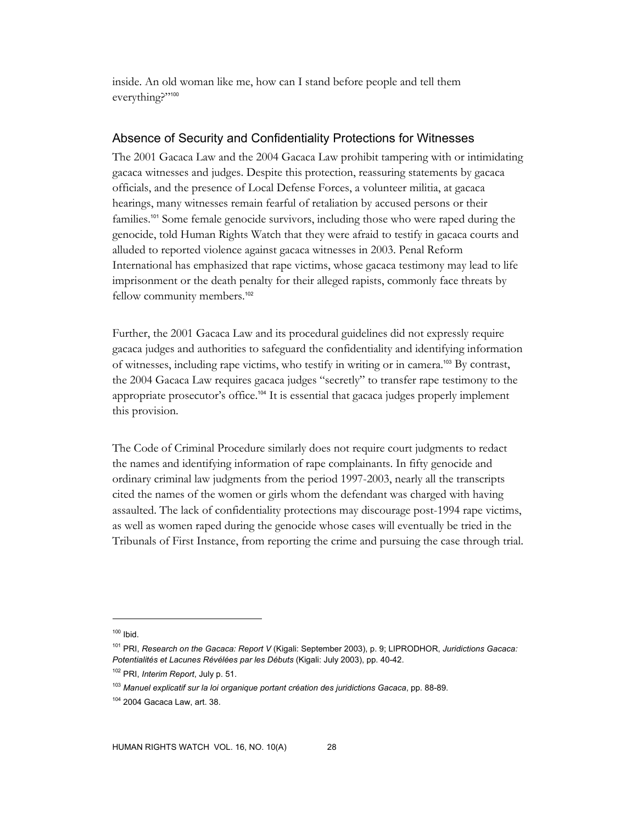inside. An old woman like me, how can I stand before people and tell them everything?"100

#### Absence of Security and Confidentiality Protections for Witnesses

The 2001 Gacaca Law and the 2004 Gacaca Law prohibit tampering with or intimidating gacaca witnesses and judges. Despite this protection, reassuring statements by gacaca officials, and the presence of Local Defense Forces, a volunteer militia, at gacaca hearings, many witnesses remain fearful of retaliation by accused persons or their families.<sup>101</sup> Some female genocide survivors, including those who were raped during the genocide, told Human Rights Watch that they were afraid to testify in gacaca courts and alluded to reported violence against gacaca witnesses in 2003. Penal Reform International has emphasized that rape victims, whose gacaca testimony may lead to life imprisonment or the death penalty for their alleged rapists, commonly face threats by fellow community members.<sup>102</sup>

Further, the 2001 Gacaca Law and its procedural guidelines did not expressly require gacaca judges and authorities to safeguard the confidentiality and identifying information of witnesses, including rape victims, who testify in writing or in camera.103 By contrast, the 2004 Gacaca Law requires gacaca judges "secretly" to transfer rape testimony to the appropriate prosecutor's office.<sup>104</sup> It is essential that gacaca judges properly implement this provision.

The Code of Criminal Procedure similarly does not require court judgments to redact the names and identifying information of rape complainants. In fifty genocide and ordinary criminal law judgments from the period 1997-2003, nearly all the transcripts cited the names of the women or girls whom the defendant was charged with having assaulted. The lack of confidentiality protections may discourage post-1994 rape victims, as well as women raped during the genocide whose cases will eventually be tried in the Tribunals of First Instance, from reporting the crime and pursuing the case through trial.

 $100$  Ibid.

<sup>101</sup> PRI, *Research on the Gacaca: Report V* (Kigali: September 2003), p. 9; LIPRODHOR, *Juridictions Gacaca: Potentialités et Lacunes Révélées par les Débuts* (Kigali: July 2003), pp. 40-42.

<sup>102</sup> PRI, *Interim Report*, July p. 51.

<sup>103</sup> *Manuel explicatif sur la loi organique portant création des juridictions Gacaca*, pp. 88-89.

<sup>104 2004</sup> Gacaca Law, art. 38.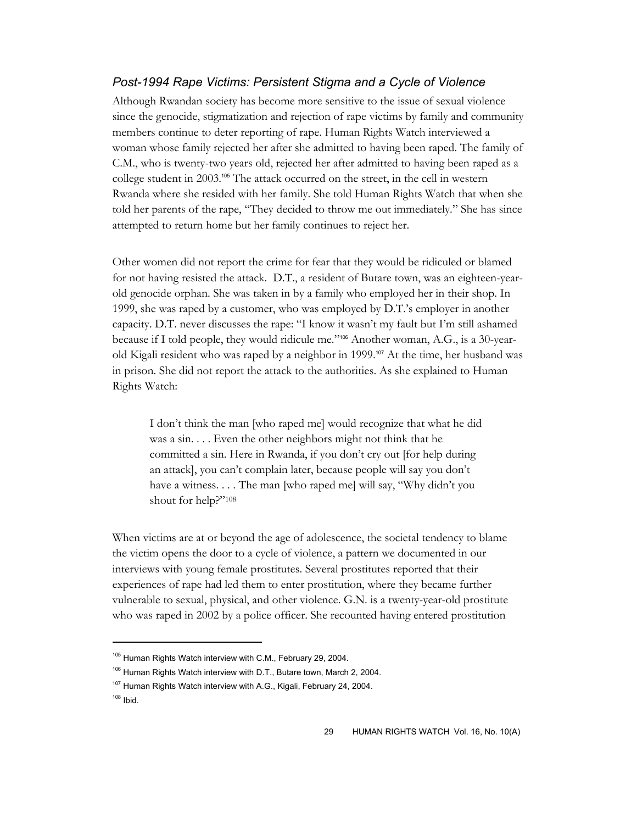## *Post-1994 Rape Victims: Persistent Stigma and a Cycle of Violence*

Although Rwandan society has become more sensitive to the issue of sexual violence since the genocide, stigmatization and rejection of rape victims by family and community members continue to deter reporting of rape. Human Rights Watch interviewed a woman whose family rejected her after she admitted to having been raped. The family of C.M., who is twenty-two years old, rejected her after admitted to having been raped as a college student in 2003.105 The attack occurred on the street, in the cell in western Rwanda where she resided with her family. She told Human Rights Watch that when she told her parents of the rape, "They decided to throw me out immediately." She has since attempted to return home but her family continues to reject her.

Other women did not report the crime for fear that they would be ridiculed or blamed for not having resisted the attack. D.T., a resident of Butare town, was an eighteen-yearold genocide orphan. She was taken in by a family who employed her in their shop. In 1999, she was raped by a customer, who was employed by D.T.'s employer in another capacity. D.T. never discusses the rape: "I know it wasn't my fault but I'm still ashamed because if I told people, they would ridicule me."106 Another woman, A.G., is a 30-yearold Kigali resident who was raped by a neighbor in 1999.107 At the time, her husband was in prison. She did not report the attack to the authorities. As she explained to Human Rights Watch:

I don't think the man [who raped me] would recognize that what he did was a sin. . . . Even the other neighbors might not think that he committed a sin. Here in Rwanda, if you don't cry out [for help during an attack], you can't complain later, because people will say you don't have a witness. . . . The man [who raped me] will say, "Why didn't you shout for help?"108

When victims are at or beyond the age of adolescence, the societal tendency to blame the victim opens the door to a cycle of violence, a pattern we documented in our interviews with young female prostitutes. Several prostitutes reported that their experiences of rape had led them to enter prostitution, where they became further vulnerable to sexual, physical, and other violence. G.N. is a twenty-year-old prostitute who was raped in 2002 by a police officer. She recounted having entered prostitution

<sup>&</sup>lt;sup>105</sup> Human Rights Watch interview with C.M., February 29, 2004.

<sup>106</sup> Human Rights Watch interview with D.T., Butare town, March 2, 2004.

<sup>&</sup>lt;sup>107</sup> Human Rights Watch interview with A.G., Kigali, February 24, 2004.

 $108$  Ibid.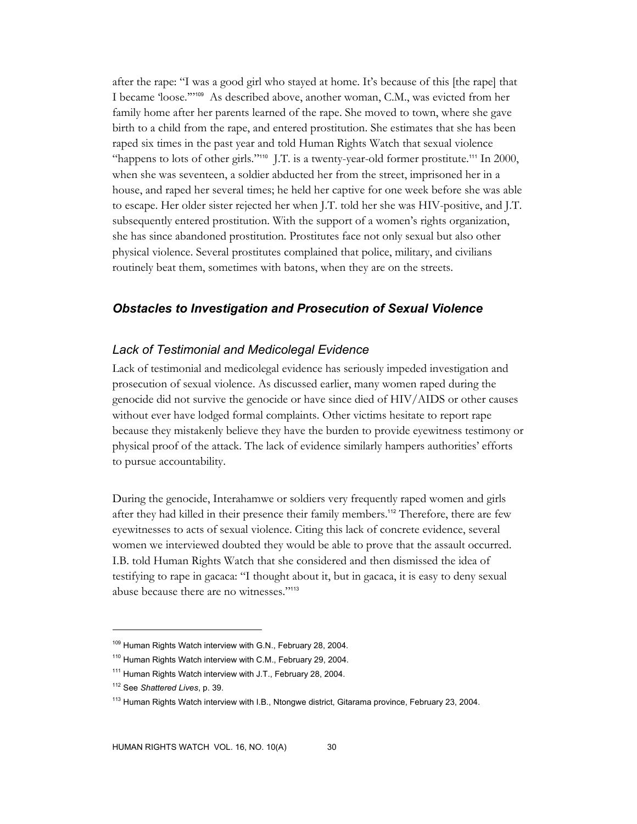after the rape: "I was a good girl who stayed at home. It's because of this [the rape] that I became 'loose.'"109 As described above, another woman, C.M., was evicted from her family home after her parents learned of the rape. She moved to town, where she gave birth to a child from the rape, and entered prostitution. She estimates that she has been raped six times in the past year and told Human Rights Watch that sexual violence "happens to lots of other girls."<sup>110</sup> J.T. is a twenty-year-old former prostitute.<sup>111</sup> In 2000, when she was seventeen, a soldier abducted her from the street, imprisoned her in a house, and raped her several times; he held her captive for one week before she was able to escape. Her older sister rejected her when J.T. told her she was HIV-positive, and J.T. subsequently entered prostitution. With the support of a women's rights organization, she has since abandoned prostitution. Prostitutes face not only sexual but also other physical violence. Several prostitutes complained that police, military, and civilians routinely beat them, sometimes with batons, when they are on the streets.

## *Obstacles to Investigation and Prosecution of Sexual Violence*

#### *Lack of Testimonial and Medicolegal Evidence*

Lack of testimonial and medicolegal evidence has seriously impeded investigation and prosecution of sexual violence. As discussed earlier, many women raped during the genocide did not survive the genocide or have since died of HIV/AIDS or other causes without ever have lodged formal complaints. Other victims hesitate to report rape because they mistakenly believe they have the burden to provide eyewitness testimony or physical proof of the attack. The lack of evidence similarly hampers authorities' efforts to pursue accountability.

During the genocide, Interahamwe or soldiers very frequently raped women and girls after they had killed in their presence their family members.<sup>112</sup> Therefore, there are few eyewitnesses to acts of sexual violence. Citing this lack of concrete evidence, several women we interviewed doubted they would be able to prove that the assault occurred. I.B. told Human Rights Watch that she considered and then dismissed the idea of testifying to rape in gacaca: "I thought about it, but in gacaca, it is easy to deny sexual abuse because there are no witnesses."<sup>113</sup>

<sup>&</sup>lt;sup>109</sup> Human Rights Watch interview with G.N., February 28, 2004.

<sup>&</sup>lt;sup>110</sup> Human Rights Watch interview with C.M., February 29, 2004.

<sup>&</sup>lt;sup>111</sup> Human Rights Watch interview with J.T., February 28, 2004.

<sup>112</sup> See *Shattered Lives*, p. 39.

<sup>&</sup>lt;sup>113</sup> Human Rights Watch interview with I.B., Ntongwe district, Gitarama province, February 23, 2004.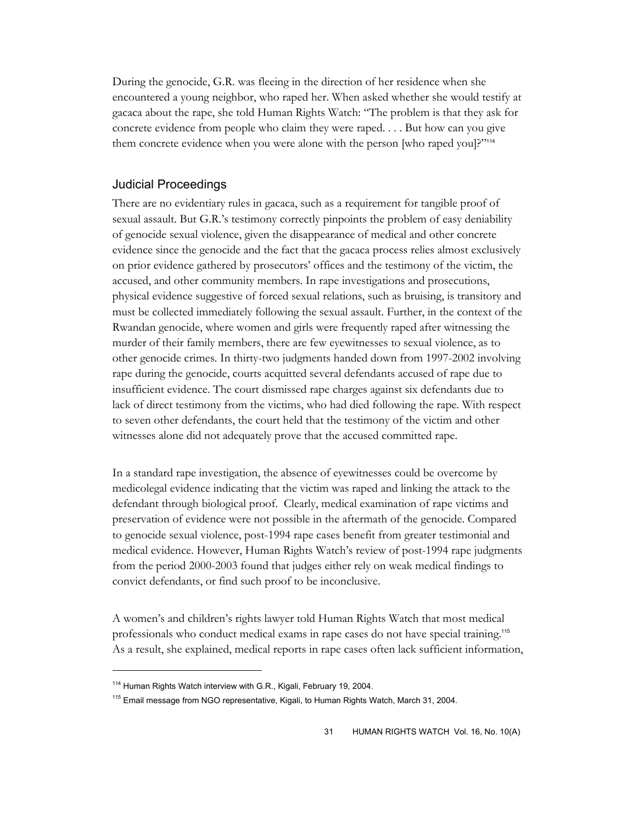During the genocide, G.R. was fleeing in the direction of her residence when she encountered a young neighbor, who raped her. When asked whether she would testify at gacaca about the rape, she told Human Rights Watch: "The problem is that they ask for concrete evidence from people who claim they were raped. . . . But how can you give them concrete evidence when you were alone with the person [who raped you]?"<sup>114</sup>

## Judicial Proceedings

There are no evidentiary rules in gacaca, such as a requirement for tangible proof of sexual assault. But G.R.'s testimony correctly pinpoints the problem of easy deniability of genocide sexual violence, given the disappearance of medical and other concrete evidence since the genocide and the fact that the gacaca process relies almost exclusively on prior evidence gathered by prosecutors' offices and the testimony of the victim, the accused, and other community members. In rape investigations and prosecutions, physical evidence suggestive of forced sexual relations, such as bruising, is transitory and must be collected immediately following the sexual assault. Further, in the context of the Rwandan genocide, where women and girls were frequently raped after witnessing the murder of their family members, there are few eyewitnesses to sexual violence, as to other genocide crimes. In thirty-two judgments handed down from 1997-2002 involving rape during the genocide, courts acquitted several defendants accused of rape due to insufficient evidence. The court dismissed rape charges against six defendants due to lack of direct testimony from the victims, who had died following the rape. With respect to seven other defendants, the court held that the testimony of the victim and other witnesses alone did not adequately prove that the accused committed rape.

In a standard rape investigation, the absence of eyewitnesses could be overcome by medicolegal evidence indicating that the victim was raped and linking the attack to the defendant through biological proof. Clearly, medical examination of rape victims and preservation of evidence were not possible in the aftermath of the genocide. Compared to genocide sexual violence, post-1994 rape cases benefit from greater testimonial and medical evidence. However, Human Rights Watch's review of post-1994 rape judgments from the period 2000-2003 found that judges either rely on weak medical findings to convict defendants, or find such proof to be inconclusive.

A women's and children's rights lawyer told Human Rights Watch that most medical professionals who conduct medical exams in rape cases do not have special training.<sup>115</sup> As a result, she explained, medical reports in rape cases often lack sufficient information,

<sup>&</sup>lt;sup>114</sup> Human Rights Watch interview with G.R., Kigali, February 19, 2004.

<sup>&</sup>lt;sup>115</sup> Email message from NGO representative, Kigali, to Human Rights Watch, March 31, 2004.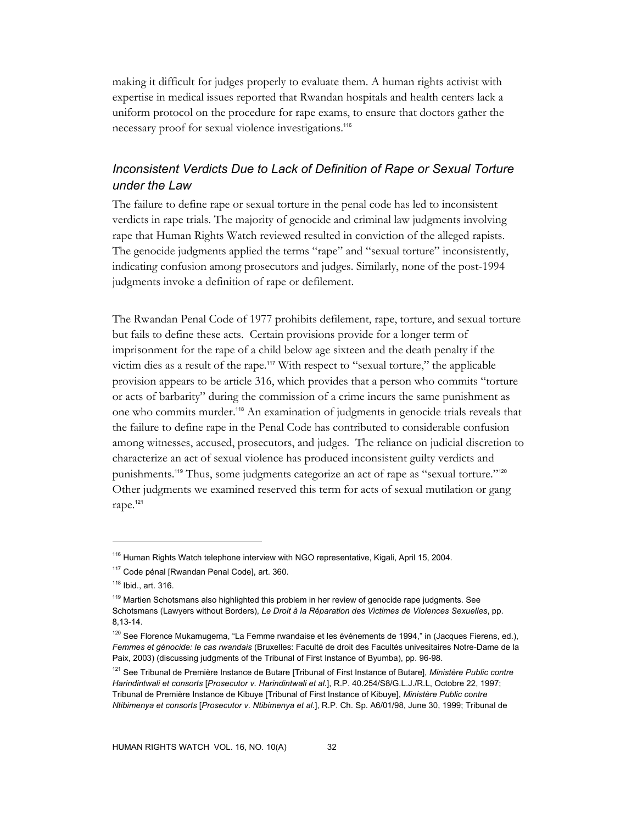making it difficult for judges properly to evaluate them. A human rights activist with expertise in medical issues reported that Rwandan hospitals and health centers lack a uniform protocol on the procedure for rape exams, to ensure that doctors gather the necessary proof for sexual violence investigations.<sup>116</sup>

# *Inconsistent Verdicts Due to Lack of Definition of Rape or Sexual Torture under the Law*

The failure to define rape or sexual torture in the penal code has led to inconsistent verdicts in rape trials. The majority of genocide and criminal law judgments involving rape that Human Rights Watch reviewed resulted in conviction of the alleged rapists. The genocide judgments applied the terms "rape" and "sexual torture" inconsistently, indicating confusion among prosecutors and judges. Similarly, none of the post-1994 judgments invoke a definition of rape or defilement.

The Rw andan Penal Code of 1977 prohibits defilement, rape, torture, and sexual torture but fails to define these acts. Certain provisions provide for a longer term of imprisonment for the rape of a child below age sixteen and the death penalty if the victim dies as a result of the rape.117 With respect to "sexual torture," the applicable provision appears to be article 316, which provides that a person who commits "torture or acts of barbarity" during the commission of a crime incurs the same punishment as one who commits murder.118 An examination of judgments in genocide trials reveals that the failure to define rape in the Penal Code has contributed to considerable confusion among witnesses, accused, prosecutors, and judges. The reliance on judicial discretion to characterize an act of sexual violence has produced inconsistent guilty verdicts and punishments.119 Thus, some judgments categorize an act of rape as "sexual torture."<sup>120</sup> Other judgments we examined reserved this term for acts of sexual mutilation or gang rape.<sup>121</sup>

<sup>&</sup>lt;sup>116</sup> Human Rights Watch telephone interview with NGO representative, Kigali, April 15, 2004.

<sup>117</sup> Code pénal [Rwandan Penal Code], art. 360.

<sup>118</sup> Ibid., art. 316.

<sup>&</sup>lt;sup>119</sup> Martien Schotsmans also highlighted this problem in her review of genocide rape judgments. See Schotsmans (Lawyers without Borders), *Le Droit à la Réparation des Victimes de Violences Sexuelles*, pp. 8,13-14.

<sup>&</sup>lt;sup>120</sup> See Florence Mukamugema, "La Femme rwandaise et les événements de 1994," in (Jacques Fierens, ed.), *Femmes et génocide: le cas rwandais* (Bruxelles: Faculté de droit des Facultés univesitaires Notre-Dame de la Paix, 2003) (discussing judgments of the Tribunal of First Instance of Byumba), pp. 96-98.

<sup>121</sup> See Tribunal de Première Instance de Butare [Tribunal of First Instance of Butare], *Ministère Public contre Harindintwali et consorts* [*Prosecutor v. Harindintwali et al.*], R.P. 40.254/S8/G.L.J./R.L, Octobre 22, 1997; Tribunal de Première Instance de Kibuye [Tribunal of First Instance of Kibuye], *Ministère Public contre Ntibimenya et consorts* [*Prosecutor v. Ntibimenya et al.*], R.P. Ch. Sp. A6/01/98, June 30, 1999; Tribunal de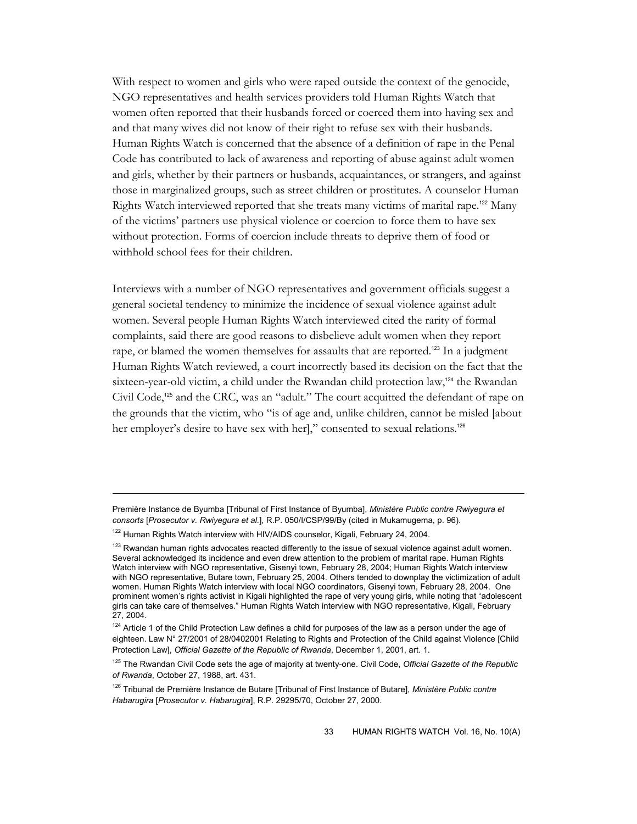With respect to women and girls who were raped outside the context of the genocide, NGO representatives and health services providers told Human Rights Watch that women often reported that their husbands forced or coerced them into having sex and and that many wives did not know of their right to refuse sex with their husbands. Human Rights Watch is concerned that the absence of a definition of rape in the Penal Code has contributed to lack of awareness and reporting of abuse against adult women and girls, whether by their partners or husbands, acquaintances, or strangers, and against those in marginalized groups, such as street children or prostitutes. A counselor Human Rights Watch interviewed reported that she treats many victims of marital rape.<sup>122</sup> Many of the victims' partners use physical violence or coercion to force them to have sex without protection. Forms of coercion include threats to deprive them of food or withhold school fees for their children.

Interviews with a number of NGO representatives and government officials suggest a general societal tendency to minimize the incidence of sexual violence against adult women. Several people Human Rights Watch interviewed cited the rarity of formal complaints, said there are good reasons to disbelieve adult women when they report rape, or blamed the women themselves for assaults that are reported.<sup>123</sup> In a judgment Human Rights Watch reviewed, a court incorrectly based its decision on the fact that the sixteen-year-old victim, a child under the Rwandan child protection law,<sup>124</sup> the Rwandan Civil Code,<sup>125</sup> and the CRC, was an "adult." The court acquitted the defendant of rape on the grounds that the victim, who "is of age and, unlike children, cannot be misled [about her employer's desire to have sex with her]," consented to sexual relations.<sup>126</sup>

Première Instance de Byumba [Tribunal of First Instance of Byumba], *Ministère Public contre Rwiyegura et consorts* [*Prosecutor v. Rwiyegura et al.*], R.P. 050/I/CSP/99/By (cited in Mukamugema, p. 96).

<sup>&</sup>lt;sup>122</sup> Human Rights Watch interview with HIV/AIDS counselor, Kigali, February 24, 2004.

 $123$  Rwandan human rights advocates reacted differently to the issue of sexual violence against adult women. Several acknowledged its incidence and even drew attention to the problem of marital rape. Human Rights Watch interview with NGO representative, Gisenyi town, February 28, 2004; Human Rights Watch interview with NGO representative, Butare town, February 25, 2004. Others tended to downplay the victimization of adult women. Human Rights Watch interview with local NGO coordinators, Gisenyi town, February 28, 2004. One prominent women's rights activist in Kigali highlighted the rape of very young girls, while noting that "adolescent girls can take care of themselves." Human Rights Watch interview with NGO representative, Kigali, February 27, 2004.

 $124$  Article 1 of the Child Protection Law defines a child for purposes of the law as a person under the age of eighteen. Law N° 27/2001 of 28/0402001 Relating to Rights and Protection of the Child against Violence [Child Protection Law], *Official Gazette of the Republic of Rwanda*, December 1, 2001, art. 1.

<sup>125</sup> The Rwandan Civil Code sets the age of majority at twenty-one. Civil Code, *Official Gazette of the Republic of Rwanda*, October 27, 1988, art. 431.

<sup>126</sup> Tribunal de Première Instance de Butare [Tribunal of First Instance of Butare], *Ministère Public contre Habarugira* [*Prosecutor v. Habarugira*], R.P. 29295/70, October 27, 2000.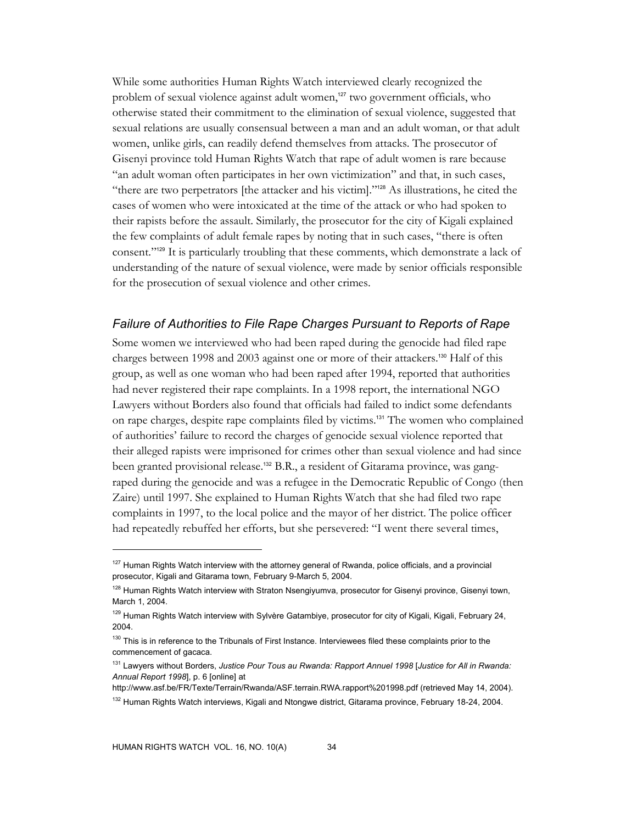While some authorities Human Rights Watch interviewed clearly recognized the problem of sexual violence against adult women,<sup>127</sup> two government officials, who otherwise stated their commitment to the elimination of sexual violence, suggested that sexual relations are usually consensual between a man and an adult woman, or that adult women, unlike girls, can readily defend themselves from attacks. The prosecutor of Gisenyi province told Human Rights Watch that rape of adult women is rare because "an adult woman often participates in her own victimization" and that, in such cases, "there are two perpetrators [the attacker and his victim]."128 As illustrations, he cited the cases of women who were intoxicated at the time of the attack or who had spoken to their rapists before the assault. Similarly, the prosecutor for the city of Kigali explained the few complaints of adult female rapes by noting that in such cases, "there is often consent."129 It is particularly troubling that these comments, which demonstrate a lack of understanding of the nature of sexual violence, were made by senior officials responsible for the prosecution of sexual violence and other crimes.

#### *Failure of Authorities to File Rape Charges Pursuant to Reports of Rape*

Some women we interviewed who had been raped during the genocide had filed rape charges between 1998 and 2003 against one or more of their attackers.130 Half of this group, as well as one woman who had been raped after 1994, reported that authorities had never registered their rape complaints. In a 1998 report, the international NGO Lawyers without Borders also found that officials had failed to indict some defendants on rape charges, despite rape complaints filed by victims.131 The women who complained of authorities' failure to record the charges of genocide sexual violence reported that their alleged rapists were imprisoned for crimes other than sexual violence and had since been granted provisional release.<sup>132</sup> B.R., a resident of Gitarama province, was gangraped during the genocide and was a refugee in the Democratic Republic of Congo (then Zaire) until 1997. She explained to Human Rights Watch that she had filed two rape complaints in 1997, to the local police and the mayor of her district. The police officer had repeatedly rebuffed her efforts, but she persevered: "I went there several times,

<sup>&</sup>lt;sup>127</sup> Human Rights Watch interview with the attorney general of Rwanda, police officials, and a provincial prosecutor, Kigali and Gitarama town, February 9-March 5, 2004.

<sup>&</sup>lt;sup>128</sup> Human Rights Watch interview with Straton Nsengiyumva, prosecutor for Gisenyi province, Gisenyi town, March 1, 2004.

<sup>&</sup>lt;sup>129</sup> Human Rights Watch interview with Sylvère Gatambiye, prosecutor for city of Kigali, Kigali, February 24, 2004.

<sup>&</sup>lt;sup>130</sup> This is in reference to the Tribunals of First Instance. Interviewees filed these complaints prior to the commencement of gacaca.

<sup>131</sup> Lawyers without Borders, *Justice Pour Tous au Rwanda: Rapport Annuel 1998* [*Justice for All in Rwanda: Annual Report 1998*], p. 6 [online] at

http://www.asf.be/FR/Texte/Terrain/Rwanda/ASF.terrain.RWA.rapport%201998.pdf (retrieved May 14, 2004).

<sup>&</sup>lt;sup>132</sup> Human Rights Watch interviews, Kigali and Ntongwe district, Gitarama province, February 18-24, 2004.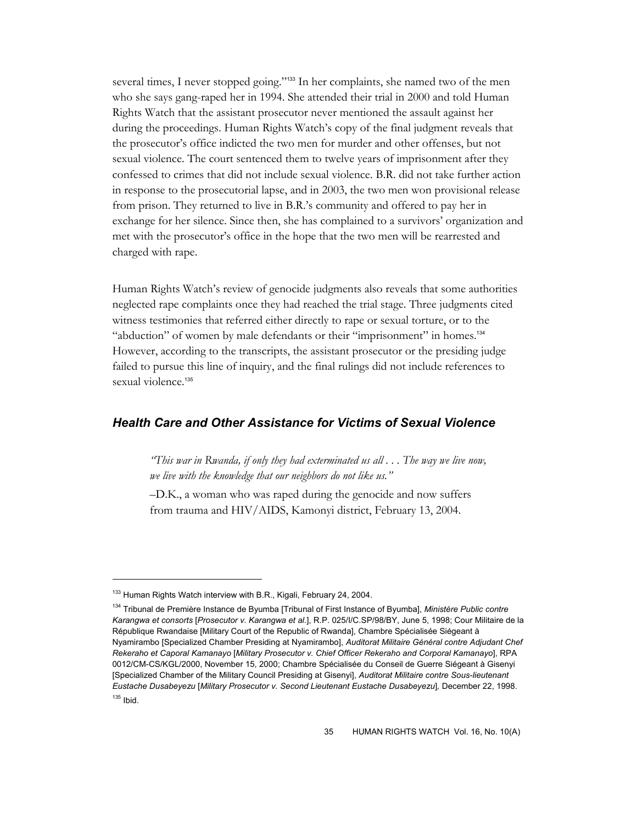several times, I never stopped going."<sup>133</sup> In her complaints, she named two of the men who she says gang-raped her in 1994. She attended their trial in 2000 and told Human Rights Watch that the assistant prosecutor never mentioned the assault against her during the proceedings. Human Rights Watch's copy of the final judgment reveals that the prosecutor's office indicted the two men for murder and other offenses, but not sexual violence. The court sentenced them to twelve years of imprisonment after they confessed to crimes that did not include sexual violence. B.R. did not take further action in response to the prosecutorial lapse, and in 2003, the two men won provisional release from prison. They returned to live in B.R.'s community and offered to pay her in exchange for her silence. Since then, she has complained to a survivors' organization and met with the prosecutor's office in the hope that the two men will be rearrested and charged with rape.

Human Rights Watch's review of genocide judgments also reveals that some authorities neglected rape complaints once they had reached the trial stage. Three judgments cited witness testimonies that referred either directly to rape or sexual torture, or to the "abduction" of women by male defendants or their "imprisonment" in homes.<sup>134</sup> However, according to the transcripts, the assistant prosecutor or the presiding judge failed to pursue this line of inquiry, and the final rulings did not include references to sexual violence.<sup>135</sup>

## *Health Care and Other Assistance for Victims of Sexual Violence*

*"This war in Rwanda, if only they had exterminated us all . . . The way we live now, we live with the knowledge that our neighbors do not like us."* 

–D.K., a woman who was raped during the genocide and now suffers from trauma and HIV/AIDS, Kamonyi district, February 13, 2004.

<sup>&</sup>lt;sup>133</sup> Human Rights Watch interview with B.R., Kigali, February 24, 2004.

<sup>134</sup> Tribunal de Première Instance de Byumba [Tribunal of First Instance of Byumba], *Ministère Public contre Karangwa et consorts* [*Prosecutor v. Karangwa et al.*], R.P. 025/I/C.SP/98/BY, June 5, 1998; Cour Militaire de la République Rwandaise [Military Court of the Republic of Rwanda], Chambre Spécialisée Siégeant à Nyamirambo [Specialized Chamber Presiding at Nyamirambo], *Auditorat Militaire Général contre Adjudant Chef Rekeraho et Caporal Kamanayo* [*Military Prosecutor v. Chief Officer Rekeraho and Corporal Kamanayo*], RPA 0012/CM-CS/KGL/2000, November 15, 2000; Chambre Spécialisée du Conseil de Guerre Siégeant à Gisenyi [Specialized Chamber of the Military Council Presiding at Gisenyi], *Auditorat Militaire contre Sous-lieutenant Eustache Dusabeyezu* [*Military Prosecutor v. Second Lieutenant Eustache Dusabeyezu*]*,* December 22, 1998.  $135$  Ibid.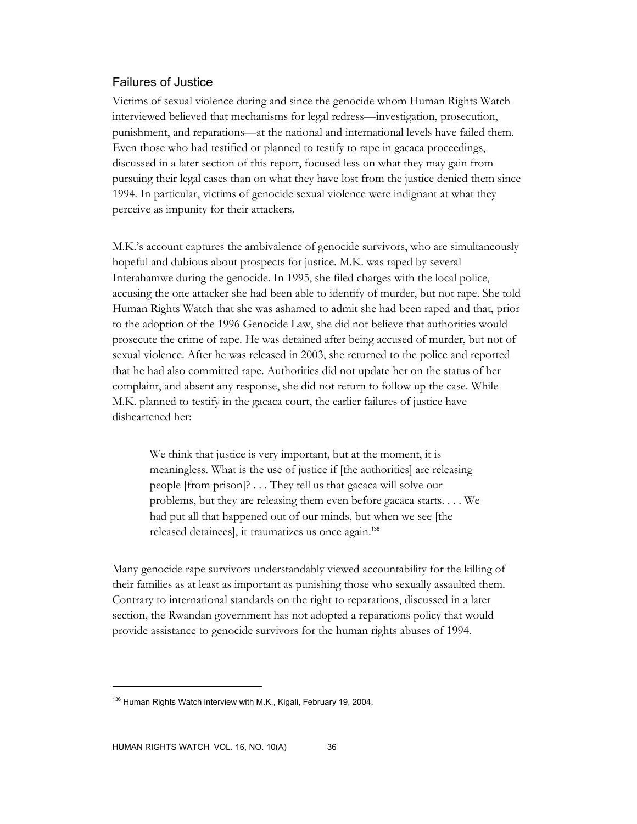## Failures of Justice

Victims of sexual violence during and since the genocide whom Human Rights Watch interviewed believed that mechanisms for legal redress—investigation, prosecution, punishment, and reparations—at the national and international levels have failed them. Even those who had testified or planned to testify to rape in gacaca proceedings, discussed in a later section of this report, focused less on what they may gain from pursuing their legal cases than on what they have lost from the justice denied them since 1994. In particular, victims of genocide sexual violence were indignant at what they perceive as impunity for their attackers.

M.K.'s account captures the ambivalence of genocide survivors, who are simultaneously hopeful and dubious about prospects for justice. M.K. was raped by several Interahamwe during the genocide. In 1995, she filed charges with the local police, accusing the one attacker she had been able to identify of murder, but not rape. She told Human Rights Watch that she was ashamed to admit she had been raped and that, prior to the adoption of the 1996 Genocide Law, she did not believe that authorities would prosecute the crime of rape. He was detained after being accused of murder, but not of sexual violence. After he was released in 2003, she returned to the police and reported that he had also committed rape. Authorities did not update her on the status of her complaint, and absent any response, she did not return to follow up the case. While M.K. planned to testify in the gacaca court, the earlier failures of justice have disheartened her:

We think that justice is very important, but at the moment, it is meaningless. What is the use of justice if [the authorities] are releasing people [from prison]? . . . They tell us that gacaca will solve our problems, but they are releasing them even before gacaca starts. . . . We had put all that happened out of our minds, but when we see [the released detainees], it traumatizes us once again.<sup>136</sup>

Many genocide rape survivors understandably viewed accountability for the killing of their families as at least as important as punishing those who sexually assaulted them. Contrary to international standards on the right to reparations, discussed in a later section, the Rwandan government has not adopted a reparations policy that would provide assistance to genocide survivors for the human rights abuses of 1994.

 $136$  Human Rights Watch interview with M.K., Kigali, February 19, 2004.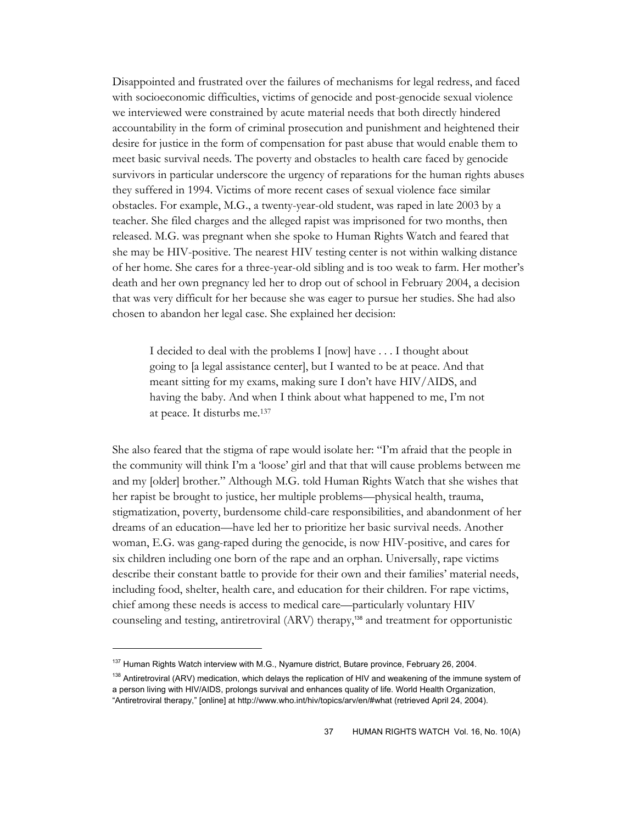Disappointed and frustrated over the failures of mechanisms for legal redress, and faced with socioeconomic difficulties, victims of genocide and post-genocide sexual violence we interviewed were constrained by acute material needs that both directly hindered accountability in the form of criminal prosecution and punishment and heightened their desire for justice in the form of compensation for past abuse that would enable them to meet basic survival needs. The poverty and obstacles to health care faced by genocide survivors in particular underscore the urgency of reparations for the human rights abuses they suffered in 1994. Victims of more recent cases of sexual violence face similar obstacles. For example, M.G., a twenty-year-old student, was raped in late 2003 by a teacher. She filed charges and the alleged rapist was imprisoned for two months, then released. M.G. was pregnant when she spoke to Human Rights Watch and feared that she may be HIV-positive. The nearest HIV testing center is not within walking distance of her home. She cares for a three-year-old sibling and is too weak to farm. Her mother's death and her own pregnancy led her to drop out of school in February 2004, a decision that was very difficult for her because she was eager to pursue her studies. She had also chosen to abandon her legal case. She explained her decision:

I decided to deal with the problems I [now] have . . . I thought about going to [a legal assistance center], but I wanted to be at peace. And that meant sitting for my exams, making sure I don't have HIV/AIDS, and having the baby. And when I think about what happened to me, I'm not at peace. It disturbs me.137

She also feared that the stigma of rape would isolate her: "I'm afraid that the people in the community will think I'm a 'loose' girl and that that will cause problems between me and my [older] brother." Although M.G. told Human Rights Watch that she wishes that her rapist be brought to justice, her multiple problems—physical health, trauma, stigmatization, poverty, burdensome child-care responsibilities, and abandonment of her dreams of an education—have led her to prioritize her basic survival needs. Another woman, E.G. was gang-raped during the genocide, is now HIV-positive, and cares for six children including one born of the rape and an orphan. Universally, rape victims describe their constant battle to provide for their own and their families' material needs, including food, shelter, health care, and education for their children. For rape victims, chief among these needs is access to medical care—particularly voluntary HIV counseling and testing, antiretroviral (ARV) therapy,<sup>138</sup> and treatment for opportunistic

<sup>&</sup>lt;sup>137</sup> Human Rights Watch interview with M.G., Nyamure district, Butare province, February 26, 2004.

<sup>&</sup>lt;sup>138</sup> Antiretroviral (ARV) medication, which delays the replication of HIV and weakening of the immune system of a person living with HIV/AIDS, prolongs survival and enhances quality of life. World Health Organization, "Antiretroviral therapy," [online] at http://www.who.int/hiv/topics/arv/en/#what (retrieved April 24, 2004).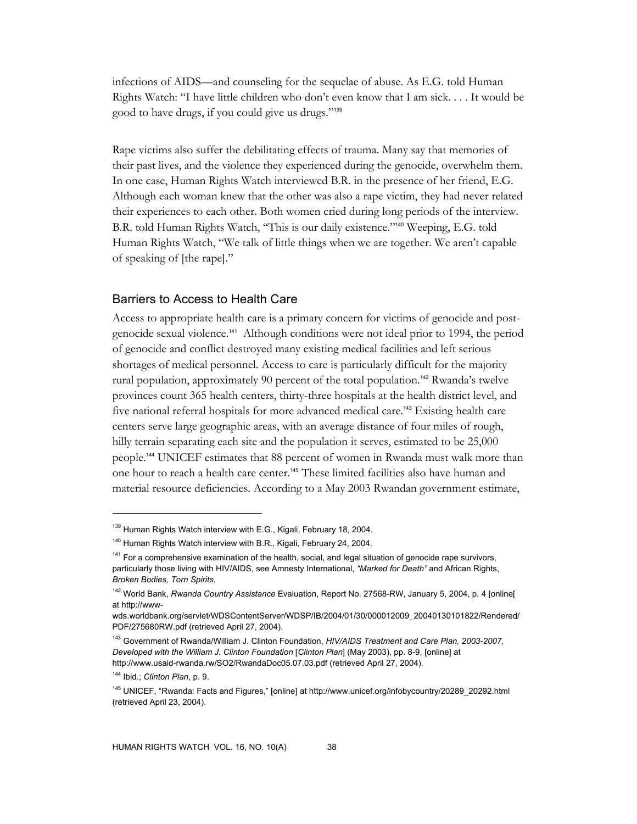infections of AIDS—and counseling for the sequelae of abuse. As E.G. told Human Rights Watch: "I have little children who don't even know that I am sick. . . . It would be good to have drugs, if you could give us drugs."<sup>139</sup>

Rape victims also suffer the debilitating effects of trauma. Many say that memories of their past lives, and the violence they experienced during the genocide, overwhelm them. In one case, Human Rights Watch interviewed B.R. in the presence of her friend, E.G. Although each woman knew that the other was also a rape victim, they had never related their experiences to each other. Both women cried during long periods of the interview. B.R. told Human Rights Watch, "This is our daily existence."140 Weeping, E.G. told Human Rights Watch, "We talk of little things when we are together. We aren't capable of speaking of [the rape]."

#### Barriers to Access to Health Care

Access to appropriate health care is a primary concern for victims of genocide and postgenocide sexual violence.141 Although conditions were not ideal prior to 1994, the period of genocide and conflict destroyed many existing medical facilities and left serious shortages of medical personnel. Access to care is particularly difficult for the majority rural population, approximately 90 percent of the total population.<sup>142</sup> Rwanda's twelve provinces count 365 health centers, thirty-three hospitals at the health district level, and five national referral hospitals for more advanced medical care.143 Existing health care centers serve large geographic areas, with an average distance of four miles of rough, hilly terrain separating each site and the population it serves, estimated to be 25,000 people.144 UNICEF estimates that 88 percent of women in Rwanda must walk more than one hour to reach a health care center.<sup>145</sup> These limited facilities also have human and material resource deficiencies. According to a May 2003 Rwandan government estimate,

<sup>&</sup>lt;sup>139</sup> Human Rights Watch interview with E.G., Kigali, February 18, 2004.

<sup>&</sup>lt;sup>140</sup> Human Rights Watch interview with B.R., Kigali, February 24, 2004.

<sup>&</sup>lt;sup>141</sup> For a comprehensive examination of the health, social, and legal situation of genocide rape survivors, particularly those living with HIV/AIDS, see Amnesty International, *"Marked for Death"* and African Rights, *Broken Bodies, Torn Spirits*.

<sup>142</sup> World Bank, *Rwanda Country Assistance* Evaluation, Report No. 27568-RW, January 5, 2004, p. 4 [online[ at http://www-

wds.worldbank.org/servlet/WDSContentServer/WDSP/IB/2004/01/30/000012009\_20040130101822/Rendered/ PDF/275680RW.pdf (retrieved April 27, 2004).

<sup>143</sup> Government of Rwanda/William J. Clinton Foundation, *HIV/AIDS Treatment and Care Plan, 2003-2007, Developed with the William J. Clinton Foundation* [*Clinton Plan*] (May 2003), pp. 8-9, [online] at http://www.usaid-rwanda.rw/SO2/RwandaDoc05.07.03.pdf (retrieved April 27, 2004).

<sup>144</sup> Ibid.; *Clinton Plan*, p. 9.

<sup>145</sup> UNICEF, "Rwanda: Facts and Figures," [online] at http://www.unicef.org/infobycountry/20289\_20292.html (retrieved April 23, 2004).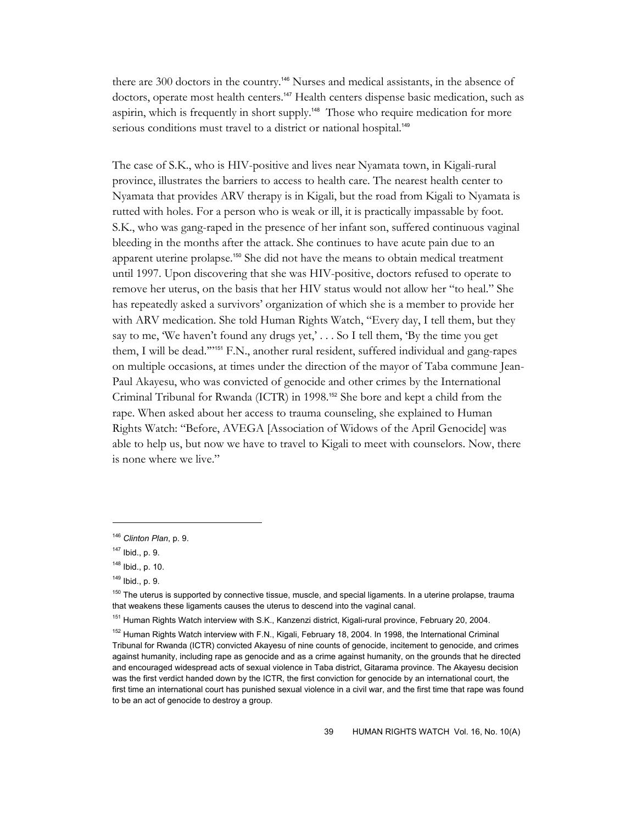there are 300 doctors in the country.146 Nurses and medical assistants, in the absence of doctors, operate most health centers.<sup>147</sup> Health centers dispense basic medication, such as aspirin, which is frequently in short supply.<sup>148</sup> Those who require medication for more serious conditions must travel to a district or national hospital.<sup>149</sup>

The case of S.K., who is HIV-positive and lives near Nyamata town, in Kigali-rural province, illustrates the barriers to access to health care. The nearest health center to Nyamata that provides ARV therapy is in Kigali, but the road from Kigali to Nyamata is rutted with holes. For a person who is weak or ill, it is practically impassable by foot. S.K., who was gang-raped in the presence of her infant son, suffered continuous vaginal bleeding in the months after the attack. She continues to have acute pain due to an apparent uterine prolapse.150 She did not have the means to obtain medical treatment until 1997. Upon discovering that she was HIV-positive, doctors refused to operate to remove her uterus, on the basis that her HIV status would not allow her "to heal." She has repeatedly asked a survivors' organization of which she is a member to provide her with ARV medication. She told Human Rights Watch, "Every day, I tell them, but they say to me, 'We haven't found any drugs yet,' . . . So I tell them, 'By the time you get them, I will be dead.'"151 F.N., another rural resident, suffered individual and gang-rapes on multiple occasions, at times under the direction of the mayor of Taba commune Jean-Paul Akayesu, who was convicted of genocide and other crimes by the International Criminal Tribunal for Rwanda (ICTR) in 1998.<sup>152</sup> She bore and kept a child from the rape. When asked about her access to trauma counseling, she explained to Human Rights Watch: "Before, AVEGA [Association of Widows of the April Genocide] was able to help us, but now we have to travel to Kigali to meet with counselors. Now, there is none where we live."

<sup>146</sup> *Clinton Plan*, p. 9.

 $147$  Ibid., p. 9.

<sup>148</sup> Ibid., p. 10.

 $149$  Ibid., p. 9.

<sup>&</sup>lt;sup>150</sup> The uterus is supported by connective tissue, muscle, and special ligaments. In a uterine prolapse, trauma that weakens these ligaments causes the uterus to descend into the vaginal canal.

<sup>&</sup>lt;sup>151</sup> Human Rights Watch interview with S.K., Kanzenzi district, Kigali-rural province, February 20, 2004.

<sup>&</sup>lt;sup>152</sup> Human Rights Watch interview with F.N., Kigali, February 18, 2004. In 1998, the International Criminal Tribunal for Rwanda (ICTR) convicted Akayesu of nine counts of genocide, incitement to genocide, and crimes against humanity, including rape as genocide and as a crime against humanity, on the grounds that he directed and encouraged widespread acts of sexual violence in Taba district, Gitarama province. The Akayesu decision was the first verdict handed down by the ICTR, the first conviction for genocide by an international court, the first time an international court has punished sexual violence in a civil war, and the first time that rape was found to be an act of genocide to destroy a group.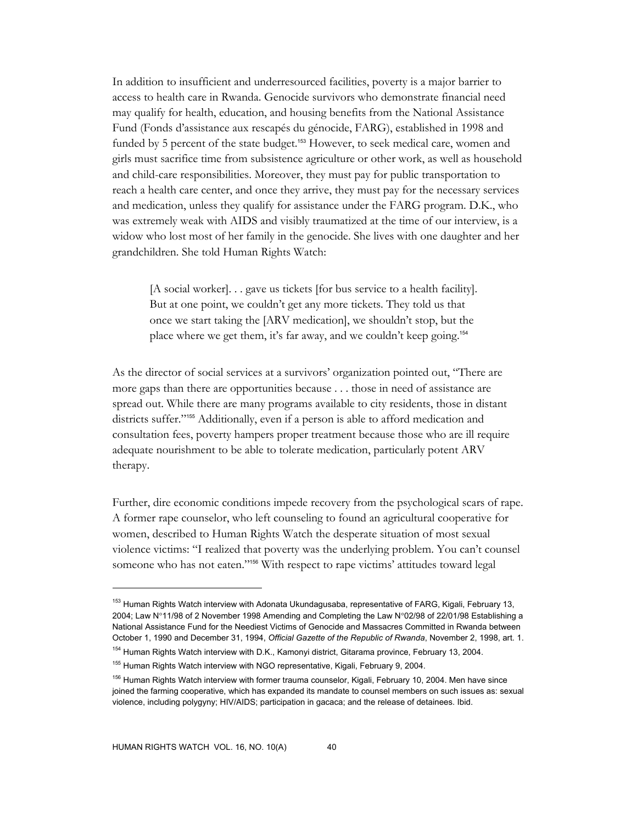In addition to insufficient and underresourced facilities, poverty is a major barrier to access to health care in Rwanda. Genocide survivors who demonstrate financial need may qualify for health, education, and housing benefits from the National Assistance Fund (Fonds d'assistance aux rescapés du génocide, FARG), established in 1998 and funded by 5 percent of the state budget.<sup>153</sup> However, to seek medical care, women and girls must sacrifice time from subsistence agriculture or other work, as well as household and child-care responsibilities. Moreover, they must pay for public transportation to reach a health care center, and once they arrive, they must pay for the necessary services and medication, unless they qualify for assistance under the FARG program. D.K., who was extremely weak with AIDS and visibly traumatized at the time of our interview, is a widow who lost most of her family in the genocide. She lives with one daughter and her grandchildren. She told Human Rights Watch:

[A social worker]. . . gave us tickets [for bus service to a health facility]. But at one point, we couldn't get any more tickets. They told us that once we start taking the [ARV medication], we shouldn't stop, but the place where we get them, it's far away, and we couldn't keep going.<sup>154</sup>

As the director of social services at a survivors' organization pointed out, "There are more gaps than there are opportunities because . . . those in need of assistance are spread out. While there are many programs available to city residents, those in distant districts suffer."155 Additionally, even if a person is able to afford medication and consultation fees, poverty hampers proper treatment because those who are ill require adequate nourishment to be able to tolerate medication, particularly potent ARV therapy.

Further, dire economic conditions impede recovery from the psychological scars of rape. A former rape counselor, who left counseling to found an agricultural cooperative for women, described to Human Rights Watch the desperate situation of most sexual violence victims: "I realized that poverty was the underlying problem. You can't counsel someone who has not eaten."156 With respect to rape victims' attitudes toward legal

<sup>&</sup>lt;sup>153</sup> Human Rights Watch interview with Adonata Ukundagusaba, representative of FARG, Kigali, February 13, 2004; Law N°11/98 of 2 November 1998 Amending and Completing the Law N°02/98 of 22/01/98 Establishing a National Assistance Fund for the Neediest Victims of Genocide and Massacres Committed in Rwanda between October 1, 1990 and December 31, 1994, *Official Gazette of the Republic of Rwanda*, November 2, 1998, art. 1.

<sup>&</sup>lt;sup>154</sup> Human Rights Watch interview with D.K., Kamonyi district, Gitarama province, February 13, 2004.

<sup>&</sup>lt;sup>155</sup> Human Rights Watch interview with NGO representative, Kigali, February 9, 2004.

<sup>&</sup>lt;sup>156</sup> Human Rights Watch interview with former trauma counselor, Kigali, February 10, 2004. Men have since joined the farming cooperative, which has expanded its mandate to counsel members on such issues as: sexual violence, including polygyny; HIV/AIDS; participation in gacaca; and the release of detainees. Ibid.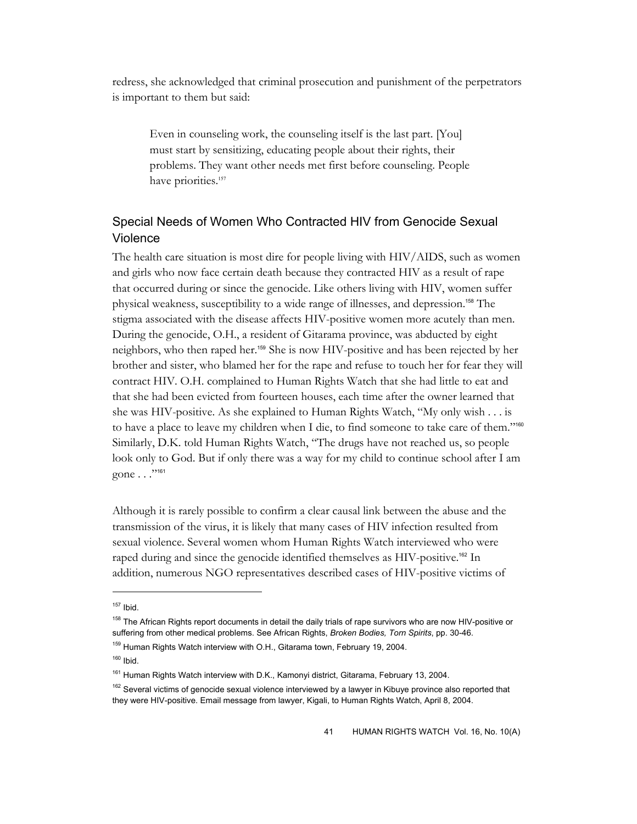redress, she acknowledged that criminal prosecution and punishment of the perpetrators is important to them but said:

Even in counseling work, the counseling itself is the last part. [You] must start by sensitizing, educating people about their rights, their problems. They want other needs met first before counseling. People have priorities.<sup>157</sup>

# Special Needs of Women Who Contracted HIV from Genocide Sexual Violence

The health care situation is most dire for people living with HIV/AIDS, such as women and girls who now face certain death because they contracted HIV as a result of rape that occurred during or since the genocide. Like others living with HIV, women suffer physical weakness, susceptibility to a wide range of illnesses, and depression.158 The stigma associated with the disease affects HIV-positive women more acutely than men. During the genocide, O.H., a resident of Gitarama province, was abducted by eight neighbors, who then raped her.<sup>159</sup> She is now HIV-positive and has been rejected by her brother and sister, who blamed her for the rape and refuse to touch her for fear they will contract HIV. O.H. complained to Human Rights Watch that she had little to eat and that she had been evicted from fourteen houses, each time after the owner learned that she was HIV-positive. As she explained to Human Rights Watch, "My only wish . . . is to have a place to leave my children when I die, to find someone to take care of them."<sup>160</sup> Similarly, D.K. told Human Rights Watch, "The drugs have not reached us, so people look only to God. But if only there was a way for my child to continue school after I am gone . . ."<sup>161</sup>

Although it is rarely possible to confirm a clear causal link between the abuse and the transmission of the virus, it is likely that many cases of HIV infection resulted from sexual violence. Several women whom Human Rights Watch interviewed who were raped during and since the genocide identified themselves as HIV-positive.<sup>162</sup> In addition, numerous NGO representatives described cases of HIV-positive victims of

 $157$  Ibid.

<sup>&</sup>lt;sup>158</sup> The African Rights report documents in detail the daily trials of rape survivors who are now HIV-positive or suffering from other medical problems. See African Rights, *Broken Bodies, Torn Spirits*, pp. 30-46.

<sup>&</sup>lt;sup>159</sup> Human Rights Watch interview with O.H., Gitarama town, February 19, 2004.

 $160$  Ibid.

<sup>&</sup>lt;sup>161</sup> Human Rights Watch interview with D.K., Kamonyi district, Gitarama, February 13, 2004.

<sup>&</sup>lt;sup>162</sup> Several victims of genocide sexual violence interviewed by a lawyer in Kibuye province also reported that they were HIV-positive. Email message from lawyer, Kigali, to Human Rights Watch, April 8, 2004.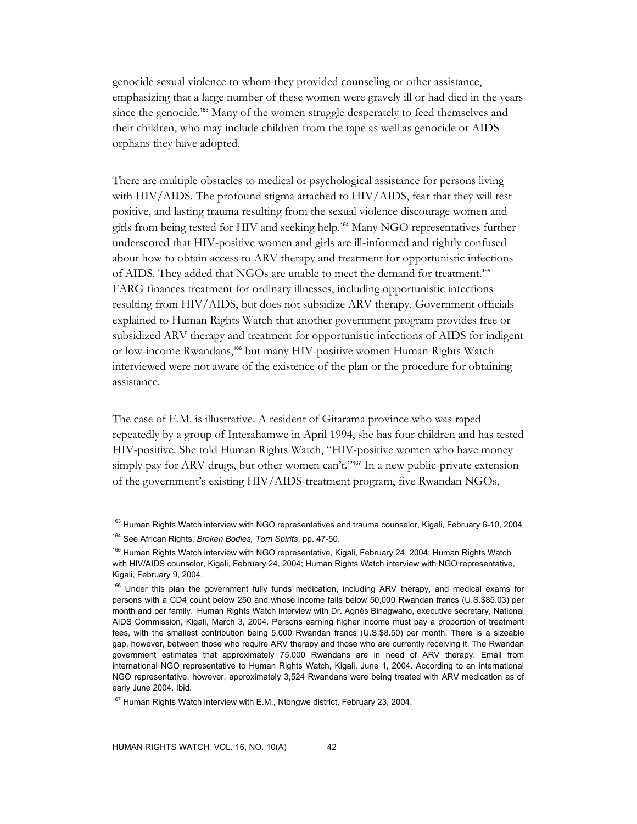genocide sexual violence to whom they provided counseling or other assistance, emphasizing that a large number of these women were gravely ill or had died in the years since the genocide.<sup>163</sup> Many of the women struggle desperately to feed themselves and their children, who may include children from the rape as well as genocide or AIDS orphans they have adopted.

There are multiple obstacles to medical or psychological assistance for persons living with HIV/AIDS. The profound stigma attached to HIV/AIDS, fear that they will test positive, and lasting trauma resulting from the sexual violence discourage women and girls from being tested for HIV and seeking help.164 Many NGO representatives further underscored that HIV-positive women and girls are ill-informed and rightly confused about how to obtain access to ARV therapy and treatment for opportunistic infections of AIDS. They added that NGOs are unable to meet the demand for treatment.<sup>165</sup> FARG finances treatment for ordinary illnesses, including opportunistic infections resulting from HIV/AIDS, but does not subsidize ARV therapy. Government officials explained to Human Rights Watch that another government program provides free or subsidized ARV therapy and treatment for opportunistic infections of AIDS for indigent or low-income Rwandans,<sup>166</sup> but many HIV-positive women Human Rights Watch interviewed were not aware of the existence of the plan or the procedure for obtaining assistance.

The case of E.M. is illustrative. A resident of Gitarama province who was raped repeatedly by a group of Interahamwe in April 1994, she has four children and has tested HIV-positive. She told Human Rights Watch, "HIV-positive women who have money simply pay for ARV drugs, but other women can't."<sup>167</sup> In a new public-private extension of the government's existing HIV/AIDS-treatment program, five Rwandan NGOs,

<sup>&</sup>lt;sup>163</sup> Human Rights Watch interview with NGO representatives and trauma counselor, Kigali, February 6-10, 2004 164 See African Rights, *Broken Bodies, Torn Spirits*, pp. 47-50.

<sup>&</sup>lt;sup>165</sup> Human Rights Watch interview with NGO representative, Kigali, February 24, 2004; Human Rights Watch with HIV/AIDS counselor, Kigali, February 24, 2004; Human Rights Watch interview with NGO representative, Kigali, February 9, 2004.

<sup>&</sup>lt;sup>166</sup> Under this plan the government fully funds medication, including ARV therapy, and medical exams for persons with a CD4 count below 250 and whose income falls below 50,000 Rwandan francs (U.S.\$85.03) per month and per family. Human Rights Watch interview with Dr. Agnès Binagwaho, executive secretary, National AIDS Commission, Kigali, March 3, 2004. Persons earning higher income must pay a proportion of treatment fees, with the smallest contribution being 5,000 Rwandan francs (U.S.\$8.50) per month. There is a sizeable gap, however, between those who require ARV therapy and those who are currently receiving it. The Rwandan government estimates that approximately 75,000 Rwandans are in need of ARV therapy. Email from international NGO representative to Human Rights Watch, Kigali, June 1, 2004. According to an international NGO representative, however, approximately 3,524 Rwandans were being treated with ARV medication as of early June 2004. Ibid.

<sup>&</sup>lt;sup>167</sup> Human Rights Watch interview with E.M., Ntongwe district, February 23, 2004.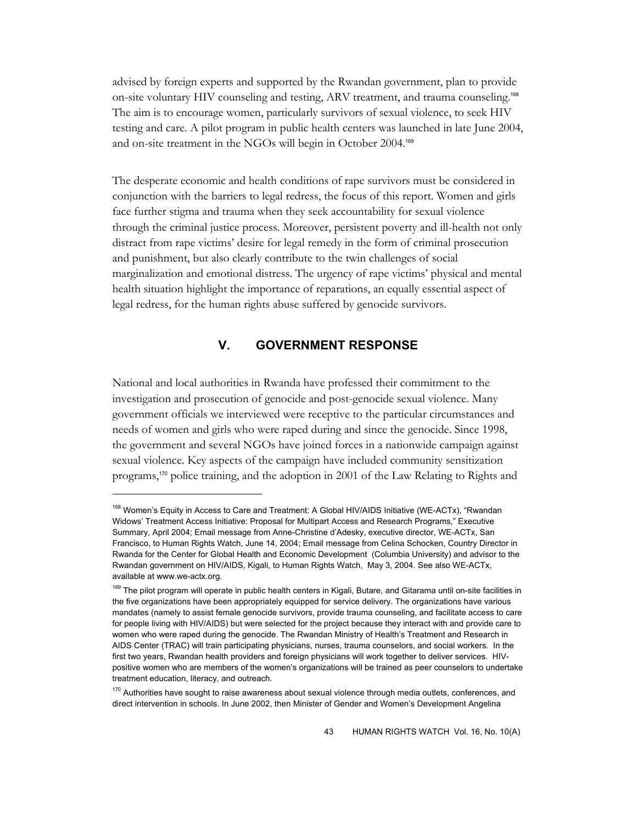advised by foreign experts and supported by the Rwandan government, plan to provide on-site voluntary HIV counseling and testing, ARV treatment, and trauma counseling.<sup>168</sup> The aim is to encourage women, particularly survivors of sexual violence, to seek HIV testing and care. A pilot program in public health centers was launched in late June 2004, and on-site treatment in the NGOs will begin in October 2004.<sup>169</sup>

The desperate economic and health conditions of rape survivors must be considered in conjunction with the barriers to legal redress, the focus of this report. Women and girls face further stigma and trauma when they seek accountability for sexual violence through the criminal justice process. Moreover, persistent poverty and ill-health not only distract from rape victims' desire for legal remedy in the form of criminal prosecution and punishment, but also clearly contribute to the twin challenges of social marginalization and emotional distress. The urgency of rape victims' physical and mental health situation highlight the importance of reparations, an equally essential aspect of legal redress, for the human rights abuse suffered by genocide survivors.

## **V. GOVERNMENT RESPONSE**

National and local authorities in Rwanda have professed their commitment to the investigation and prosecution of genocide and post-genocide sexual violence. Many government officials we interviewed were receptive to the particular circumstances and needs of women and girls who were raped during and since the genocide. Since 1998, the government and several NGOs have joined forces in a nationwide campaign against sexual violence. Key aspects of the campaign have included community sensitization programs,170 police training, and the adoption in 2001 of the Law Relating to Rights and

<sup>&</sup>lt;sup>168</sup> Women's Equity in Access to Care and Treatment: A Global HIV/AIDS Initiative (WE-ACTx), "Rwandan Widows' Treatment Access Initiative: Proposal for Multipart Access and Research Programs," Executive Summary, April 2004; Email message from Anne-Christine d'Adesky, executive director, WE-ACTx, San Francisco, to Human Rights Watch, June 14, 2004; Email message from Celina Schocken, Country Director in Rwanda for the Center for Global Health and Economic Development (Columbia University) and advisor to the Rwandan government on HIV/AIDS, Kigali, to Human Rights Watch, May 3, 2004. See also WE-ACTx, available at www.we-actx.org.

<sup>169</sup> The pilot program will operate in public health centers in Kigali, Butare, and Gitarama until on-site facilities in the five organizations have been appropriately equipped for service delivery. The organizations have various mandates (namely to assist female genocide survivors, provide trauma counseling, and facilitate access to care for people living with HIV/AIDS) but were selected for the project because they interact with and provide care to women who were raped during the genocide. The Rwandan Ministry of Health's Treatment and Research in AIDS Center (TRAC) will train participating physicians, nurses, trauma counselors, and social workers. In the first two years, Rwandan health providers and foreign physicians will work together to deliver services. HIVpositive women who are members of the women's organizations will be trained as peer counselors to undertake treatment education, literacy, and outreach.

<sup>&</sup>lt;sup>170</sup> Authorities have sought to raise awareness about sexual violence through media outlets, conferences, and direct intervention in schools. In June 2002, then Minister of Gender and Women's Development Angelina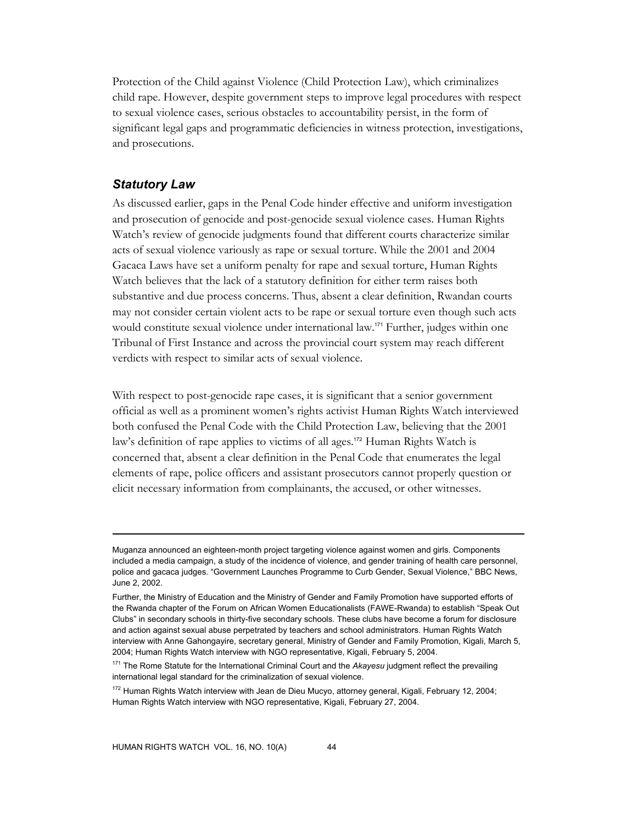Protection of the Child against Violence (Child Protection Law), which criminalizes child rape. However, despite government steps to improve legal procedures with respect to sexual violence cases, serious obstacles to accountability persist, in the form of significant legal gaps and programmatic deficiencies in witness protection, investigations, and prosecutions.

## *Statutory Law*

-

As discussed earlier, gaps in the Penal Code hinder effective and uniform investigation and prosecution of genocide and post-genocide sexual violence cases. Human Rights Watch's review of genocide judgments found that different courts characterize similar acts of sexual violence variously as rape or sexual torture. While the 2001 and 2004 Gacaca Laws have set a uniform penalty for rape and sexual torture, Human Rights Watch believes that the lack of a statutory definition for either term raises both substantive and due process concerns. Thus, absent a clear definition, Rwandan courts may not consider certain violent acts to be rape or sexual torture even though such acts would constitute sexual violence under international law.<sup>171</sup> Further, judges within one Tribunal of First Instance and across the provincial court system may reach different verdicts with respect to similar acts of sexual violence.

With respect to post-genocide rape cases, it is significant that a senior government official as well as a prominent women's rights activist Human Rights Watch interviewed both confused the Penal Code with the Child Protection Law, believing that the 2001 law's definition of rape applies to victims of all ages.<sup>172</sup> Human Rights Watch is concerned that, absent a clear definition in the Penal Code that enumerates the legal elements of rape, police officers and assistant prosecutors cannot properly question or elicit necessary information from complainants, the accused, or other witnesses.

Muganza announced an eighteen-month project targeting violence against women and girls. Components included a media campaign, a study of the incidence of violence, and gender training of health care personnel, police and gacaca judges. "Government Launches Programme to Curb Gender, Sexual Violence," BBC News, June 2, 2002.

Further, the Ministry of Education and the Ministry of Gender and Family Promotion have supported efforts of the Rwanda chapter of the Forum on African Women Educationalists (FAWE-Rwanda) to establish "Speak Out Clubs" in secondary schools in thirty-five secondary schools. These clubs have become a forum for disclosure and action against sexual abuse perpetrated by teachers and school administrators. Human Rights Watch interview with Anne Gahongayire, secretary general, Ministry of Gender and Family Promotion, Kigali, March 5, 2004; Human Rights Watch interview with NGO representative, Kigali, February 5, 2004.

<sup>&</sup>lt;sup>171</sup> The Rome Statute for the International Criminal Court and the Akayesu judgment reflect the prevailing international legal standard for the criminalization of sexual violence.

<sup>&</sup>lt;sup>172</sup> Human Rights Watch interview with Jean de Dieu Mucyo, attorney general, Kigali, February 12, 2004; Human Rights Watch interview with NGO representative, Kigali, February 27, 2004.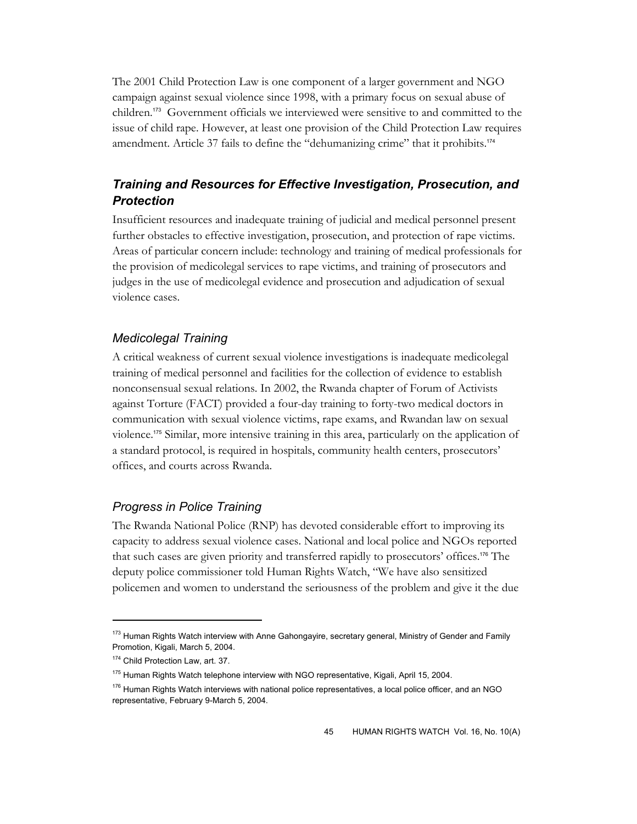The 2001 Child Protection Law is one component of a larger government and NGO campaign against sexual violence since 1998, with a primary focus on sexual abuse of children.173 Government officials we interviewed were sensitive to and committed to the issue of child rape. However, at least one provision of the Child Protection Law requires amendment. Article 37 fails to define the "dehumanizing crime" that it prohibits.<sup>174</sup>

# *Training and Resources for Effective Investigation, Prosecution, and Protection*

Insufficient resources and inadequate training of judicial and medical personnel present further obstacles to effective investigation, prosecution, and protection of rape victims. Areas of particular concern include: technology and training of medical professionals for the provision of medicolegal services to rape victims, and training of prosecutors and judges in the use of medicolegal evidence and prosecution and adjudication of sexual violence cases.

## *Medicolegal Training*

A critical weakness of current sexual violence investigations is inadequate medicolegal training of medical personnel and facilities for the collection of evidence to establish nonconsensual sexual relations. In 2002, the Rwanda chapter of Forum of Activists against Torture (FACT) provided a four-day training to forty-two medical doctors in communication with sexual violence victims, rape exams, and Rwandan law on sexual violence.175 Similar, more intensive training in this area, particularly on the application of a standard protocol, is required in hospitals, community health centers, prosecutors' offices, and courts across Rwanda.

## *Progress in Police Training*

The Rwanda National Police (RNP) has devoted considerable effort to improving its capacity to address sexual violence cases. National and local police and NGOs reported that such cases are given priority and transferred rapidly to prosecutors' offices.176 The deputy police commissioner told Human Rights Watch, "We have also sensitized policemen and women to understand the seriousness of the problem and give it the due

<sup>&</sup>lt;sup>173</sup> Human Rights Watch interview with Anne Gahongayire, secretary general, Ministry of Gender and Family Promotion, Kigali, March 5, 2004.

<sup>174</sup> Child Protection Law, art. 37.

<sup>&</sup>lt;sup>175</sup> Human Rights Watch telephone interview with NGO representative, Kigali, April 15, 2004.

<sup>&</sup>lt;sup>176</sup> Human Rights Watch interviews with national police representatives, a local police officer, and an NGO representative, February 9-March 5, 2004.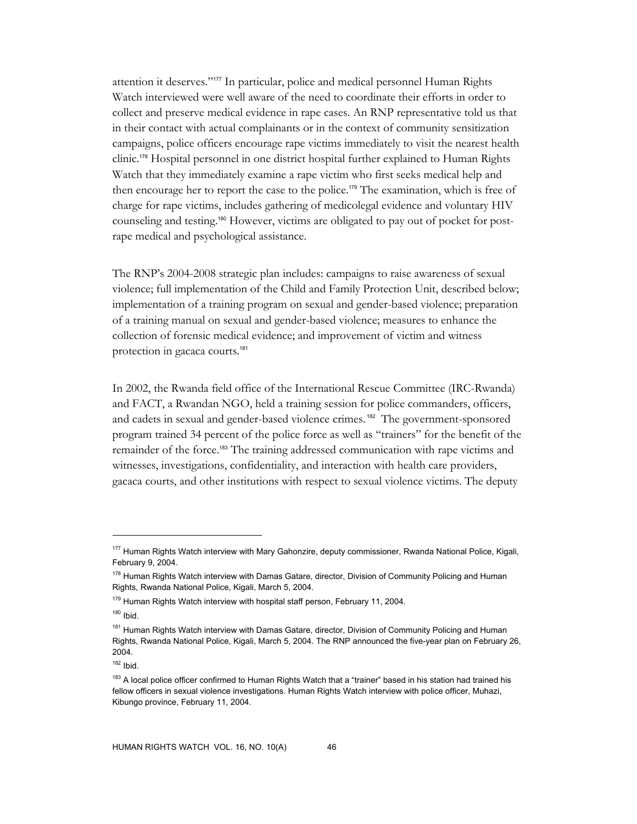attention it deserves."177 In particular, police and medical personnel Human Rights Watch interviewed were well aware of the need to coordinate their efforts in order to collect and preserve medical evidence in rape cases. An RNP representative told us that in their contact with actual complainants or in the context of community sensitization campaigns, police officers encourage rape victims immediately to visit the nearest health clinic.178 Hospital personnel in one district hospital further explained to Human Rights Watch that they immediately examine a rape victim who first seeks medical help and then encourage her to report the case to the police.179 The examination, which is free of charge for rape victims, includes gathering of medicolegal evidence and voluntary HIV counseling and testing.180 However, victims are obligated to pay out of pocket for postrape medical and psychological assistance.

The RNP's 2004-2008 strategic plan includes: campaigns to raise awareness of sexual violence; full implementation of the Child and Family Protection Unit, described below; implementation of a training program on sexual and gender-based violence; preparation of a training manual on sexual and gender-based violence; measures to enhance the collection of forensic medical evidence; and improvement of victim and witness protection in gacaca courts.<sup>181</sup>

In 2002, the Rwanda field office of the International Rescue Committee (IRC-Rwanda) and FACT, a Rwandan NGO, held a training session for police commanders, officers, and cadets in sexual and gender-based violence crimes. <sup>182</sup> The government-sponsored program trained 34 percent of the police force as well as "trainers" for the benefit of the remainder of the force.183 The training addressed communication with rape victims and witnesses, investigations, confidentiality, and interaction with health care providers, gacaca courts, and other institutions with respect to sexual violence victims. The deputy

<sup>&</sup>lt;sup>177</sup> Human Rights Watch interview with Mary Gahonzire, deputy commissioner, Rwanda National Police, Kigali, February 9, 2004.

<sup>&</sup>lt;sup>178</sup> Human Rights Watch interview with Damas Gatare, director, Division of Community Policing and Human Rights, Rwanda National Police, Kigali, March 5, 2004.

<sup>&</sup>lt;sup>179</sup> Human Rights Watch interview with hospital staff person, February 11, 2004.

 $180$  Ibid.

<sup>&</sup>lt;sup>181</sup> Human Rights Watch interview with Damas Gatare, director, Division of Community Policing and Human Rights, Rwanda National Police, Kigali, March 5, 2004. The RNP announced the five-year plan on February 26, 2004.

 $182$  Ibid.

<sup>&</sup>lt;sup>183</sup> A local police officer confirmed to Human Rights Watch that a "trainer" based in his station had trained his fellow officers in sexual violence investigations. Human Rights Watch interview with police officer, Muhazi, Kibungo province, February 11, 2004.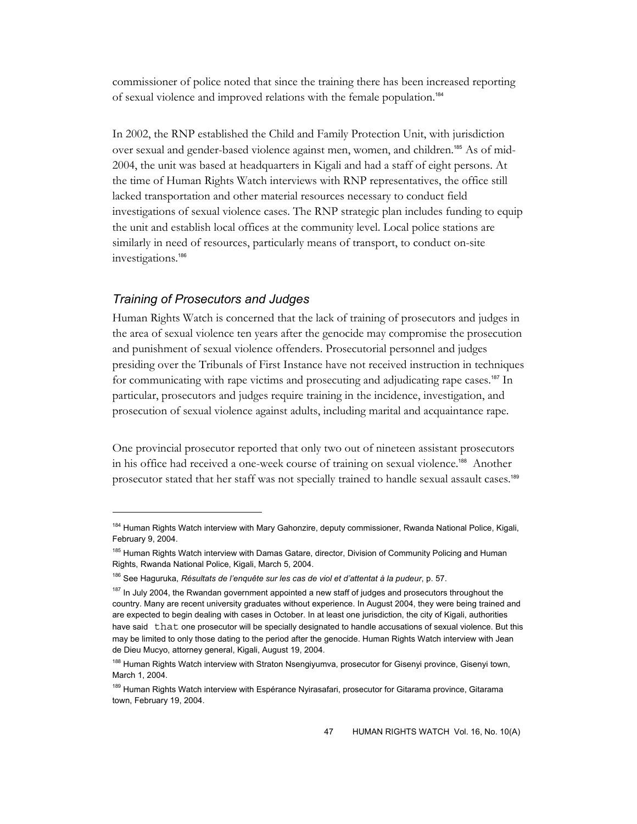commissioner of police noted that since the training there has been increased reporting of sexual violence and improved relations with the female population.<sup>184</sup>

In 2002, the RNP established the Child and Family Protection Unit, with jurisdiction over sexual and gender-based violence against men, women, and children.<sup>185</sup> As of mid-2004, the unit was based at headquarters in Kigali and had a staff of eight persons. At the time of Human Rights Watch interviews with RNP representatives, the office still lacked transportation and other material resources necessary to conduct field investigations of sexual violence cases. The RNP strategic plan includes funding to equip the unit and establish local offices at the community level. Local police stations are similarly in need of resources, particularly means of transport, to conduct on-site investigations.<sup>186</sup>

#### *Training of Prosecutors and Judges*

 $\overline{a}$ 

Human Rights Watch is concerned that the lack of training of prosecutors and judges in the area of sexual violence ten years after the genocide may compromise the prosecution and punishment of sexual violence offenders. Prosecutorial personnel and judges presiding over the Tribunals of First Instance have not received instruction in techniques for communicating with rape victims and prosecuting and adjudicating rape cases.187 In particular, prosecutors and judges require training in the incidence, investigation, and prosecution of sexual violence against adults, including marital and acquaintance rape.

One provincial prosecutor reported that only two out of nineteen assistant prosecutors in his office had received a one-week course of training on sexual violence.188 Another prosecutor stated that her staff was not specially trained to handle sexual assault cases.<sup>189</sup>

<sup>&</sup>lt;sup>184</sup> Human Rights Watch interview with Mary Gahonzire, deputy commissioner, Rwanda National Police, Kigali, February 9, 2004.

<sup>&</sup>lt;sup>185</sup> Human Rights Watch interview with Damas Gatare, director, Division of Community Policing and Human Rights, Rwanda National Police, Kigali, March 5, 2004.

<sup>186</sup> See Haguruka, *Résultats de l'enquête sur les cas de viol et d'attentat à la pudeur*, p. 57.

<sup>&</sup>lt;sup>187</sup> In July 2004, the Rwandan government appointed a new staff of judges and prosecutors throughout the country. Many are recent university graduates without experience. In August 2004, they were being trained and are expected to begin dealing with cases in October. In at least one jurisdiction, the city of Kigali, authorities have said that one prosecutor will be specially designated to handle accusations of sexual violence. But this may be limited to only those dating to the period after the genocide. Human Rights Watch interview with Jean de Dieu Mucyo, attorney general, Kigali, August 19, 2004.

<sup>&</sup>lt;sup>188</sup> Human Rights Watch interview with Straton Nsengiyumva, prosecutor for Gisenyi province, Gisenyi town, March 1, 2004.

<sup>&</sup>lt;sup>189</sup> Human Rights Watch interview with Espérance Nyirasafari, prosecutor for Gitarama province, Gitarama town, February 19, 2004.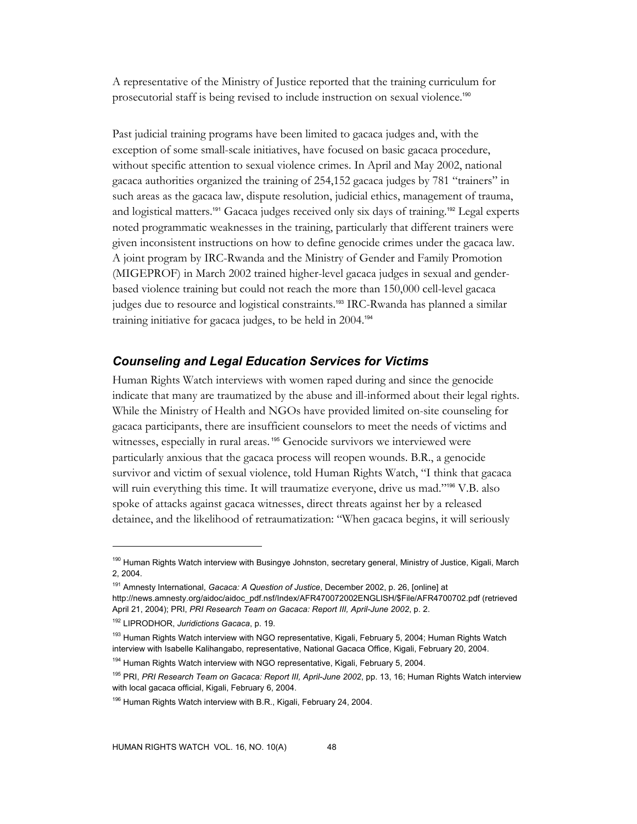A representative of the Ministry of Justice reported that the training curriculum for prosecutorial staff is being revised to include instruction on sexual violence.<sup>190</sup>

Past judicial training programs have been limited to gacaca judges and, with the exception of some small-scale initiatives, have focused on basic gacaca procedure, without specific attention to sexual violence crimes. In April and May 2002, national gacaca authorities organized the training of 254,152 gacaca judges by 781 "trainers" in such areas as the gacaca law, dispute resolution, judicial ethics, management of trauma, and logistical matters.<sup>191</sup> Gacaca judges received only six days of training.<sup>192</sup> Legal experts noted programmatic weaknesses in the training, particularly that different trainers were given inconsistent instructions on how to define genocide crimes under the gacaca law. A joint program by IRC-Rwanda and the Ministry of Gender and Family Promotion (MIGEPROF) in March 2002 trained higher-level gacaca judges in sexual and genderbased violence training but could not reach the more than 150,000 cell-level gacaca judges due to resource and logistical constraints.193 IRC-Rwanda has planned a similar training initiative for gacaca judges, to be held in 2004.<sup>194</sup>

## *Counseling and Legal Education Services for Victims*

Human Rights Watch interviews with women raped during and since the genocide indicate that many are traumatized by the abuse and ill-informed about their legal rights. While the Ministry of Health and NGOs have provided limited on-site counseling for gacaca participants, there are insufficient counselors to meet the needs of victims and witnesses, especially in rural areas.<sup>195</sup> Genocide survivors we interviewed were particularly anxious that the gacaca process will reopen wounds. B.R., a genocide survivor and victim of sexual violence, told Human Rights Watch, "I think that gacaca will ruin everything this time. It will traumatize everyone, drive us mad."<sup>196</sup> V.B. also spoke of attacks against gacaca witnesses, direct threats against her by a released detainee, and the likelihood of retraumatization: "When gacaca begins, it will seriously

<sup>&</sup>lt;sup>190</sup> Human Rights Watch interview with Busingye Johnston, secretary general, Ministry of Justice, Kigali, March 2, 2004.

<sup>191</sup> Amnesty International, *Gacaca: A Question of Justice*, December 2002, p. 26, [online] at http://news.amnesty.org/aidoc/aidoc\_pdf.nsf/Index/AFR470072002ENGLISH/\$File/AFR4700702.pdf (retrieved April 21, 2004); PRI, *PRI Research Team on Gacaca: Report III, April-June 2002*, p. 2.

<sup>192</sup> LIPRODHOR, *Juridictions Gacaca*, p. 19.

<sup>&</sup>lt;sup>193</sup> Human Rights Watch interview with NGO representative, Kigali, February 5, 2004; Human Rights Watch interview with Isabelle Kalihangabo, representative, National Gacaca Office, Kigali, February 20, 2004.

<sup>&</sup>lt;sup>194</sup> Human Rights Watch interview with NGO representative, Kigali, February 5, 2004.

<sup>195</sup> PRI, *PRI Research Team on Gacaca: Report III, April-June 2002*, pp. 13, 16; Human Rights Watch interview with local gacaca official, Kigali, February 6, 2004.

 $196$  Human Rights Watch interview with B.R., Kigali, February 24, 2004.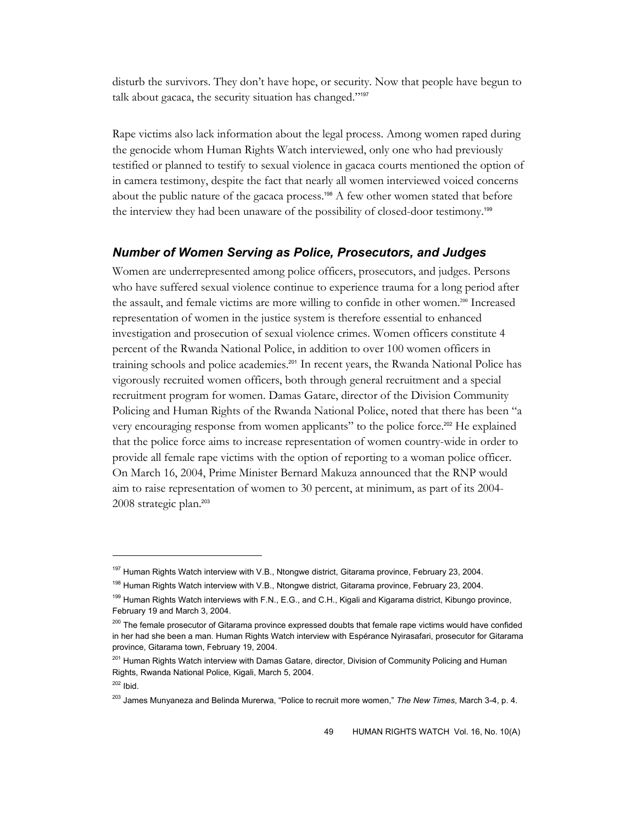disturb the survivors. They don't have hope, or security. Now that people have begun to talk about gacaca, the security situation has changed."<sup>197</sup>

Rape victims also lack information about the legal process. Among women raped during the genocide whom Human Rights Watch interviewed, only one who had previously testified or planned to testify to sexual violence in gacaca courts mentioned the option of in camera testimony, despite the fact that nearly all women interviewed voiced concerns about the public nature of the gacaca process.<sup>198</sup> A few other women stated that before the interview they had been unaware of the possibility of closed-door testimony.<sup>199</sup>

## *Number of Women Serving as Police, Prosecutors, and Judges*

Women are underrepresented among police officers, prosecutors, and judges. Persons who have suffered sexual violence continue to experience trauma for a long period after the assault, and female victims are more willing to confide in other women.200 Increased representation of women in the justice system is therefore essential to enhanced investigation and prosecution of sexual violence crimes. Women officers constitute 4 percent of the Rwanda National Police, in addition to over 100 women officers in training schools and police academies.<sup>201</sup> In recent years, the Rwanda National Police has vigorously recruited women officers, both through general recruitment and a special recruitment program for women. Damas Gatare, director of the Division Community Policing and Human Rights of the Rwanda National Police, noted that there has been "a very encouraging response from women applicants" to the police force.202 He explained that the police force aims to increase representation of women country-wide in order to provide all female rape victims with the option of reporting to a woman police officer. On March 16, 2004, Prime Minister Bernard Makuza announced that the RNP would aim to raise representation of women to 30 percent, at minimum, as part of its 2004- 2008 strategic plan.<sup>203</sup>

 $\ddot{\phantom{a}}$ 

<sup>&</sup>lt;sup>197</sup> Human Rights Watch interview with V.B., Ntongwe district, Gitarama province, February 23, 2004.

<sup>&</sup>lt;sup>198</sup> Human Rights Watch interview with V.B., Ntongwe district, Gitarama province, February 23, 2004.

<sup>&</sup>lt;sup>199</sup> Human Rights Watch interviews with F.N., E.G., and C.H., Kigali and Kigarama district, Kibungo province, February 19 and March 3, 2004.

<sup>&</sup>lt;sup>200</sup> The female prosecutor of Gitarama province expressed doubts that female rape victims would have confided in her had she been a man. Human Rights Watch interview with Espérance Nyirasafari, prosecutor for Gitarama province, Gitarama town, February 19, 2004.

<sup>&</sup>lt;sup>201</sup> Human Rights Watch interview with Damas Gatare, director, Division of Community Policing and Human Rights, Rwanda National Police, Kigali, March 5, 2004.

 $202$  Ibid.

<sup>203</sup> James Munyaneza and Belinda Murerwa, "Police to recruit more women," *The New Times*, March 3-4, p. 4.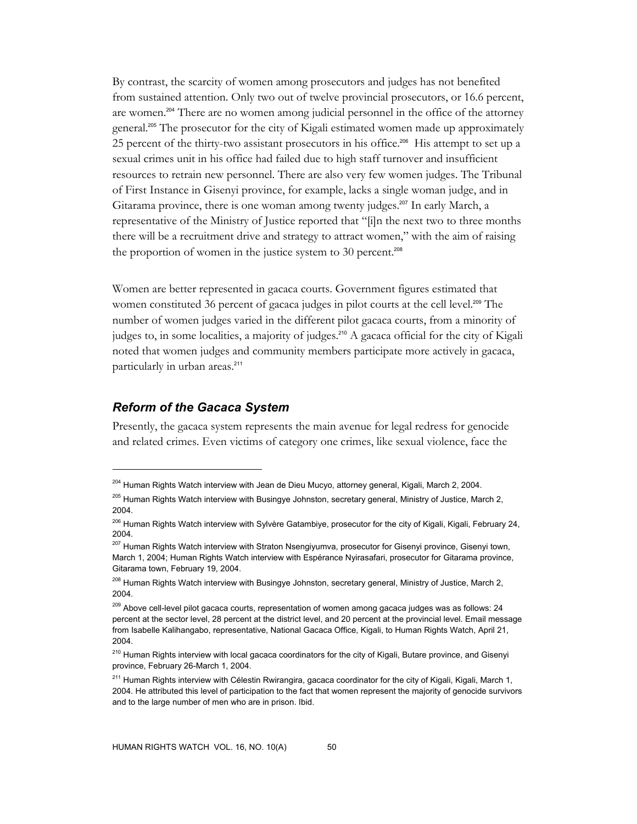By contrast, the scarcity of women among prosecutors and judges has not benefited from sustained attention. Only two out of twelve provincial prosecutors, or 16.6 percent, are women.204 There are no women among judicial personnel in the office of the attorney general.<sup>205</sup> The prosecutor for the city of Kigali estimated women made up approximately 25 percent of the thirty-two assistant prosecutors in his office.<sup>206</sup> His attempt to set up a sexual crimes unit in his office had failed due to high staff turnover and insufficient resources to retrain new personnel. There are also very few women judges. The Tribunal of First Instance in Gisenyi province, for example, lacks a single woman judge, and in Gitarama province, there is one woman among twenty judges.<sup>207</sup> In early March, a representative of the Ministry of Justice reported that "[i]n the next two to three months there will be a recruitment drive and strategy to attract women," with the aim of raising the proportion of women in the justice system to 30 percent.<sup>208</sup>

Women are better represented in gacaca courts. Government figures estimated that women constituted 36 percent of gacaca judges in pilot courts at the cell level.<sup>209</sup> The number of women judges varied in the different pilot gacaca courts, from a minority of judges to, in some localities, a majority of judges.<sup>210</sup> A gacaca official for the city of Kigali noted that women judges and community members participate more actively in gacaca, particularly in urban areas.<sup>211</sup>

## *Reform of the Gacaca System*

 $\overline{a}$ 

Presently, the gacaca system represents the main avenue for legal redress for genocide and related crimes. Even victims of category one crimes, like sexual violence, face the

<sup>&</sup>lt;sup>204</sup> Human Rights Watch interview with Jean de Dieu Mucyo, attorney general, Kigali, March 2, 2004.

<sup>&</sup>lt;sup>205</sup> Human Rights Watch interview with Busingye Johnston, secretary general, Ministry of Justice, March 2, 2004.

<sup>&</sup>lt;sup>206</sup> Human Rights Watch interview with Sylvère Gatambiye, prosecutor for the city of Kigali, Kigali, February 24, 2004.

<sup>&</sup>lt;sup>207</sup> Human Rights Watch interview with Straton Nsengiyumva, prosecutor for Gisenyi province, Gisenyi town, March 1, 2004; Human Rights Watch interview with Espérance Nyirasafari, prosecutor for Gitarama province, Gitarama town, February 19, 2004.

<sup>&</sup>lt;sup>208</sup> Human Rights Watch interview with Busingye Johnston, secretary general, Ministry of Justice, March 2, 2004.

<sup>&</sup>lt;sup>209</sup> Above cell-level pilot gacaca courts, representation of women among gacaca judges was as follows: 24 percent at the sector level, 28 percent at the district level, and 20 percent at the provincial level. Email message from Isabelle Kalihangabo, representative, National Gacaca Office, Kigali, to Human Rights Watch, April 21, 2004.

<sup>&</sup>lt;sup>210</sup> Human Rights interview with local gacaca coordinators for the city of Kigali, Butare province, and Gisenyi province, February 26-March 1, 2004.

<sup>&</sup>lt;sup>211</sup> Human Rights interview with Célestin Rwirangira, gacaca coordinator for the city of Kigali, Kigali, March 1, 2004. He attributed this level of participation to the fact that women represent the majority of genocide survivors and to the large number of men who are in prison. Ibid.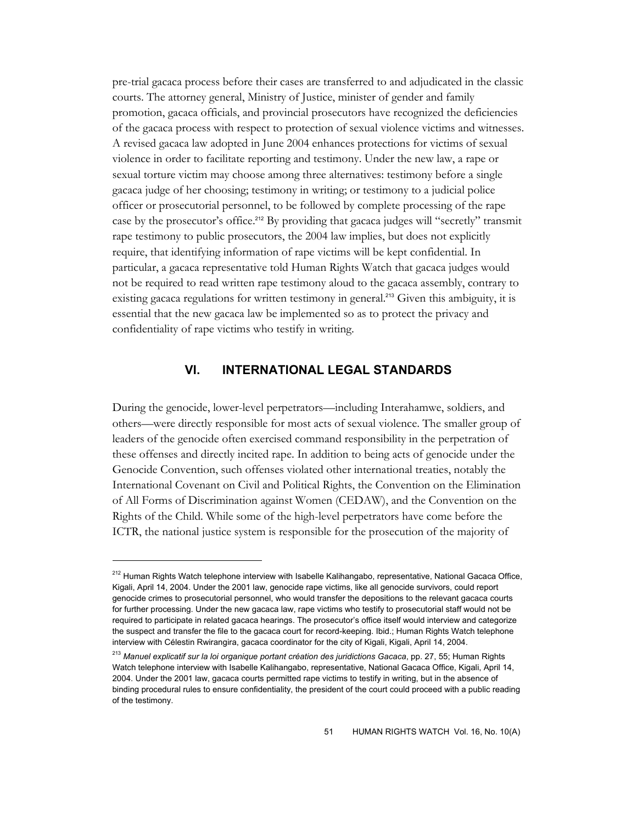pre-trial gacaca process before their cases are transferred to and adjudicated in the classic courts. The attorney general, Ministry of Justice, minister of gender and family promotion, gacaca officials, and provincial prosecutors have recognized the deficiencies of the gacaca process with respect to protection of sexual violence victims and witnesses. A revised gacaca law adopted in June 2004 enhances protections for victims of sexual violence in order to facilitate reporting and testimony. Under the new law, a rape or sexual torture victim may choose among three alternatives: testimony before a single gacaca judge of her choosing; testimony in writing; or testimony to a judicial police officer or prosecutorial personnel, to be followed by complete processing of the rape case by the prosecutor's office.<sup>212</sup> By providing that gacaca judges will "secretly" transmit rape testimony to public prosecutors, the 2004 law implies, but does not explicitly require, that identifying information of rape victims will be kept confidential. In particular, a gacaca representative told Human Rights Watch that gacaca judges would not be required to read written rape testimony aloud to the gacaca assembly, contrary to existing gacaca regulations for written testimony in general.<sup>213</sup> Given this ambiguity, it is essential that the new gacaca law be implemented so as to protect the privacy and confidentiality of rape victims who testify in writing.

## **VI. INTERNATIONAL LEGAL STANDARDS**

During the genocide, lower-level perpetrators—including Interahamwe, soldiers, and others—were directly responsible for most acts of sexual violence. The smaller group of leaders of the genocide often exercised command responsibility in the perpetration of these offenses and directly incited rape. In addition to being acts of genocide under the Genocide Convention, such offenses violated other international treaties, notably the International Covenant on Civil and Political Rights, the Convention on the Elimination of All Forms of Discrimination against Women (CEDAW), and the Convention on the Rights of the Child. While some of the high-level perpetrators have come before the ICTR, the national justice system is responsible for the prosecution of the majority of

<sup>&</sup>lt;sup>212</sup> Human Rights Watch telephone interview with Isabelle Kalihangabo, representative, National Gacaca Office, Kigali, April 14, 2004. Under the 2001 law, genocide rape victims, like all genocide survivors, could report genocide crimes to prosecutorial personnel, who would transfer the depositions to the relevant gacaca courts for further processing. Under the new gacaca law, rape victims who testify to prosecutorial staff would not be required to participate in related gacaca hearings. The prosecutor's office itself would interview and categorize the suspect and transfer the file to the gacaca court for record-keeping. Ibid.; Human Rights Watch telephone interview with Célestin Rwirangira, gacaca coordinator for the city of Kigali, Kigali, April 14, 2004.

<sup>213</sup> *Manuel explicatif sur la loi organique portant création des juridictions Gacaca*, pp. 27, 55; Human Rights Watch telephone interview with Isabelle Kalihangabo, representative, National Gacaca Office, Kigali, April 14, 2004. Under the 2001 law, gacaca courts permitted rape victims to testify in writing, but in the absence of binding procedural rules to ensure confidentiality, the president of the court could proceed with a public reading of the testimony.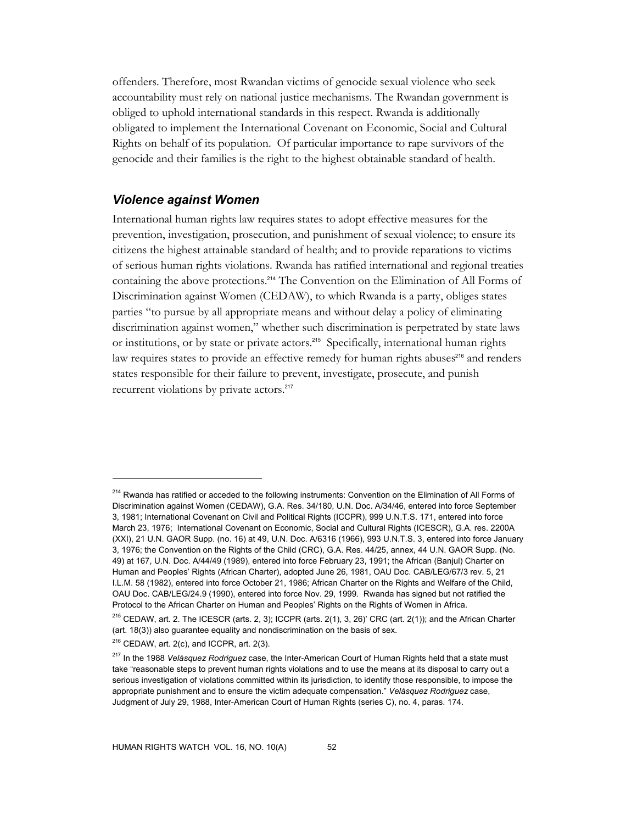offenders. Therefore, most Rwandan victims of genocide sexual violence who seek accountability must rely on national justice mechanisms. The Rwandan government is obliged to uphold international standards in this respect. Rwanda is additionally obligated to implement the International Covenant on Economic, Social and Cultural Rights on behalf of its population. Of particular importance to rape survivors of the genocide and their families is the right to the highest obtainable standard of health.

## *Violence against Women*

International human rights law requires states to adopt effective measures for the prevention, investigation, prosecution, and punishment of sexual violence; to ensure its citizens the highest attainable standard of health; and to provide reparations to victims of serious human rights violations. Rwanda has ratified international and regional treaties containing the above protections.<sup>214</sup> The Convention on the Elimination of All Forms of Discrimination against Women (CEDAW), to which Rwanda is a party, obliges states parties "to pursue by all appropriate means and without delay a policy of eliminating discrimination against women," whether such discrimination is perpetrated by state laws or institutions, or by state or private actors.<sup>215</sup> Specifically, international human rights law requires states to provide an effective remedy for human rights abuses<sup>216</sup> and renders states responsible for their failure to prevent, investigate, prosecute, and punish recurrent violations by private actors.<sup>217</sup>

<sup>&</sup>lt;sup>214</sup> Rwanda has ratified or acceded to the following instruments: Convention on the Elimination of All Forms of Discrimination against Women (CEDAW), G.A. Res. 34/180, U.N. Doc. A/34/46, entered into force September 3, 1981; International Covenant on Civil and Political Rights (ICCPR), 999 U.N.T.S. 171, entered into force March 23, 1976; International Covenant on Economic, Social and Cultural Rights (ICESCR), G.A. res. 2200A (XXI), 21 U.N. GAOR Supp. (no. 16) at 49, U.N. Doc. A/6316 (1966), 993 U.N.T.S. 3, entered into force January 3, 1976; the Convention on the Rights of the Child (CRC), G.A. Res. 44/25, annex, 44 U.N. GAOR Supp. (No. 49) at 167, U.N. Doc. A/44/49 (1989), entered into force February 23, 1991; the African (Banjul) Charter on Human and Peoples' Rights (African Charter), adopted June 26, 1981, OAU Doc. CAB/LEG/67/3 rev. 5, 21 I.L.M. 58 (1982), entered into force October 21, 1986; African Charter on the Rights and Welfare of the Child, OAU Doc. CAB/LEG/24.9 (1990), entered into force Nov. 29, 1999. Rwanda has signed but not ratified the Protocol to the African Charter on Human and Peoples' Rights on the Rights of Women in Africa.

<sup>&</sup>lt;sup>215</sup> CEDAW, art. 2. The ICESCR (arts. 2, 3); ICCPR (arts. 2(1), 3, 26)' CRC (art. 2(1)); and the African Charter (art. 18(3)) also guarantee equality and nondiscrimination on the basis of sex.

 $216$  CEDAW, art. 2(c), and ICCPR, art. 2(3).

<sup>217</sup> In the 1988 *Velásquez Rodriguez* case, the Inter-American Court of Human Rights held that a state must take "reasonable steps to prevent human rights violations and to use the means at its disposal to carry out a serious investigation of violations committed within its jurisdiction, to identify those responsible, to impose the appropriate punishment and to ensure the victim adequate compensation." *Velásquez Rodriguez* case, Judgment of July 29, 1988, Inter-American Court of Human Rights (series C), no. 4, paras. 174.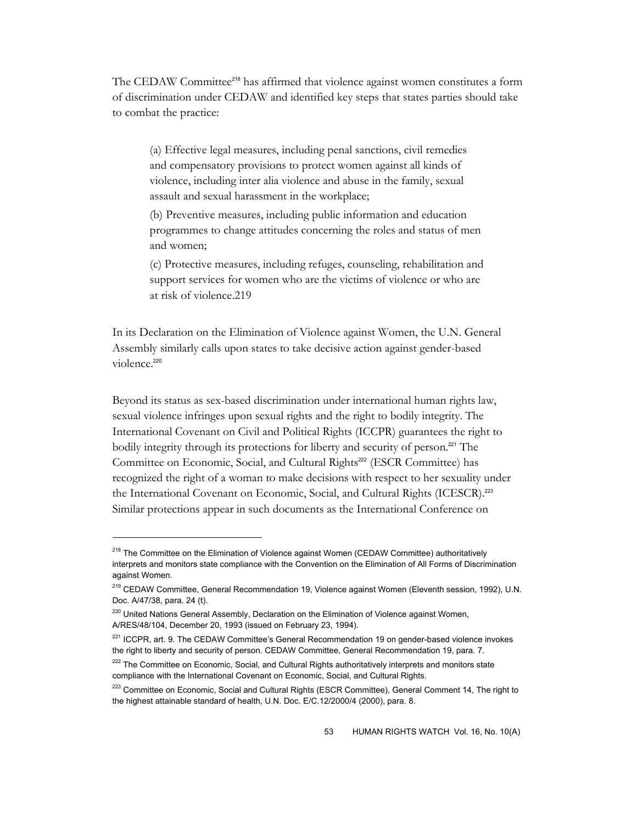The CEDAW Committee218 has affirmed that violence against women constitutes a form of discrimination under CEDAW and identified key steps that states parties should take to combat the practice:

(a) Effective legal measures, including penal sanctions, civil remedies and compensatory provisions to protect women against all kinds of violence, including inter alia violence and abuse in the family, sexual assault and sexual harassment in the workplace;

(b) Preventive measures, including public information and education programmes to change attitudes concerning the roles and status of men and women;

(c) Protective measures, including refuges, counseling, rehabilitation and support services for women who are the victims of violence or who are at risk of violence.219

In its Declaration on the Elimination of Violence against Women, the U.N. General Assembly similarly calls upon states to take decisive action against gender-based violence<sup>220</sup>

Beyond its status as sex-based discrimination under international human rights law, sexual violence infringes upon sexual rights and the right to bodily integrity. The International Covenant on Civil and Political Rights (ICCPR) guarantees the right to bodily integrity through its protections for liberty and security of person.<sup>221</sup> The Committee on Economic, Social, and Cultural Rights<sup>222</sup> (ESCR Committee) has recognized the right of a woman to make decisions with respect to her sexuality under the International Covenant on Economic, Social, and Cultural Rights (ICESCR).<sup>223</sup> Similar protections appear in such documents as the International Conference on

<sup>&</sup>lt;sup>218</sup> The Committee on the Elimination of Violence against Women (CEDAW Committee) authoritatively interprets and monitors state compliance with the Convention on the Elimination of All Forms of Discrimination against Women.

<sup>219</sup> CEDAW Committee, General Recommendation 19, Violence against Women (Eleventh session, 1992), U.N. Doc. A/47/38, para. 24 (t).

<sup>&</sup>lt;sup>220</sup> United Nations General Assembly, Declaration on the Elimination of Violence against Women, A/RES/48/104, December 20, 1993 (issued on February 23, 1994).

<sup>&</sup>lt;sup>221</sup> ICCPR, art. 9. The CEDAW Committee's General Recommendation 19 on gender-based violence invokes the right to liberty and security of person. CEDAW Committee, General Recommendation 19, para. 7.

<sup>&</sup>lt;sup>222</sup> The Committee on Economic, Social, and Cultural Rights authoritatively interprets and monitors state compliance with the International Covenant on Economic, Social, and Cultural Rights.

<sup>&</sup>lt;sup>223</sup> Committee on Economic, Social and Cultural Rights (ESCR Committee), General Comment 14, The right to the highest attainable standard of health, U.N. Doc. E/C.12/2000/4 (2000), para. 8.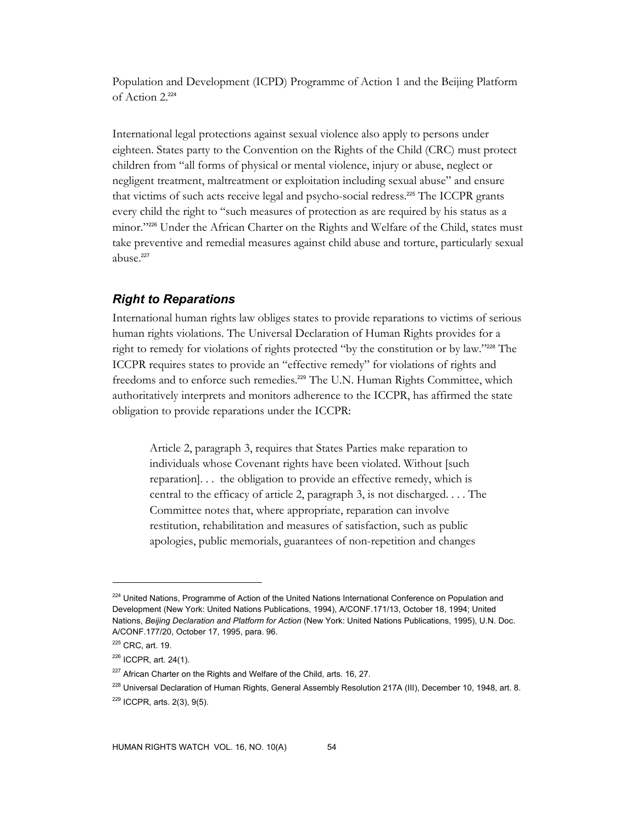Population and Development (ICPD) Programme of Action 1 and the Beijing Platform of Action 2.<sup>224</sup>

International legal protections against sexual violence also apply to persons under eighteen. States party to the Convention on the Rights of the Child (CRC) must protect children from "all forms of physical or mental violence, injury or abuse, neglect or negligent treatment, maltreatment or exploitation including sexual abuse" and ensure that victims of such acts receive legal and psycho-social redress.225 The ICCPR grants every child the right to "such measures of protection as are required by his status as a minor."226 Under the African Charter on the Rights and Welfare of the Child, states must take preventive and remedial measures against child abuse and torture, particularly sexual abuse.<sup>227</sup>

## *Right to Reparations*

International human rights law obliges states to provide reparations to victims of serious human rights violations. The Universal Declaration of Human Rights provides for a right to remedy for violations of rights protected "by the constitution or by law."228 The ICCPR requires states to provide an "effective remedy" for violations of rights and freedoms and to enforce such remedies.<sup>229</sup> The U.N. Human Rights Committee, which authoritatively interprets and monitors adherence to the ICCPR, has affirmed the state obligation to provide reparations under the ICCPR:

Article 2, paragraph 3, requires that States Parties make reparation to individuals whose Covenant rights have been violated. Without [such reparation]. . . the obligation to provide an effective remedy, which is central to the efficacy of article 2, paragraph 3, is not discharged. . . . The Committee notes that, where appropriate, reparation can involve restitution, rehabilitation and measures of satisfaction, such as public apologies, public memorials, guarantees of non-repetition and changes

 $\ddot{\phantom{a}}$ 

<sup>&</sup>lt;sup>224</sup> United Nations, Programme of Action of the United Nations International Conference on Population and Development (New York: United Nations Publications, 1994), A/CONF.171/13, October 18, 1994; United Nations, *Beijing Declaration and Platform for Action* (New York: United Nations Publications, 1995), U.N. Doc. A/CONF.177/20, October 17, 1995, para. 96.

<sup>225</sup> CRC, art. 19.

 $226$  ICCPR, art. 24(1).

<sup>&</sup>lt;sup>227</sup> African Charter on the Rights and Welfare of the Child, arts. 16, 27.

<sup>&</sup>lt;sup>228</sup> Universal Declaration of Human Rights, General Assembly Resolution 217A (III), December 10, 1948, art. 8. 229 ICCPR, arts. 2(3), 9(5).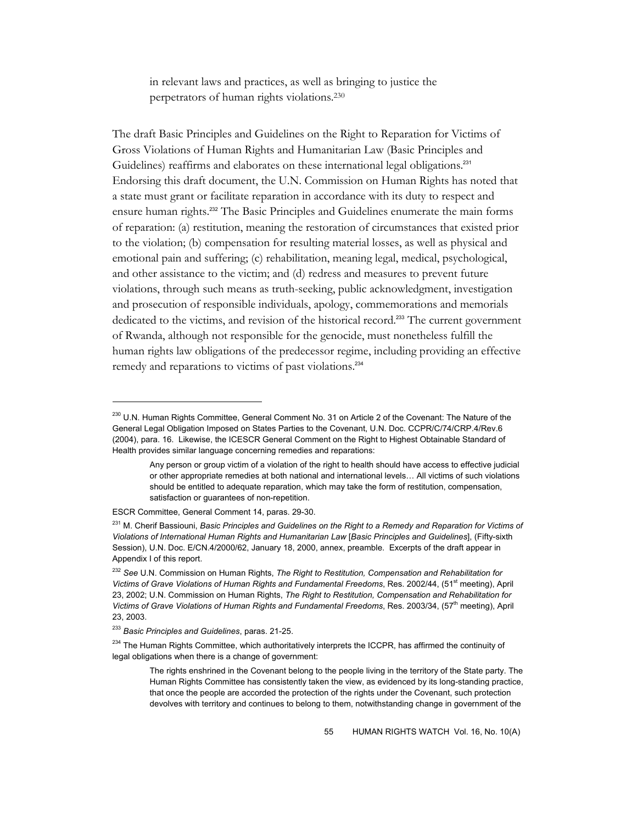in relevant laws and practices, as well as bringing to justice the perpetrators of human rights violations.230

The draft Basic Principles and Guidelines on the Right to Reparation for Victims of Gross Violations of Human Rights and Humanitarian Law (Basic Principles and Guidelines) reaffirms and elaborates on these international legal obligations.<sup>231</sup> Endorsing this draft document, the U.N. Commission on Human Rights has noted that a state must grant or facilitate reparation in accordance with its duty to respect and ensure human rights.232 The Basic Principles and Guidelines enumerate the main forms of reparation: (a) restitution, meaning the restoration of circumstances that existed prior to the violation; (b) compensation for resulting material losses, as well as physical and emotional pain and suffering; (c) rehabilitation, meaning legal, medical, psychological, and other assistance to the victim; and (d) redress and measures to prevent future violations, through such means as truth-seeking, public acknowledgment, investigation and prosecution of responsible individuals, apology, commemorations and memorials dedicated to the victims, and revision of the historical record.<sup>233</sup> The current government of Rwanda, although not responsible for the genocide, must nonetheless fulfill the human rights law obligations of the predecessor regime, including providing an effective remedy and reparations to victims of past violations.<sup>234</sup>

ESCR Committee, General Comment 14, paras. 29-30.

<sup>&</sup>lt;sup>230</sup> U.N. Human Rights Committee, General Comment No. 31 on Article 2 of the Covenant: The Nature of the General Legal Obligation Imposed on States Parties to the Covenant, U.N. Doc. CCPR/C/74/CRP.4/Rev.6 (2004), para. 16. Likewise, the ICESCR General Comment on the Right to Highest Obtainable Standard of Health provides similar language concerning remedies and reparations:

Any person or group victim of a violation of the right to health should have access to effective judicial or other appropriate remedies at both national and international levels… All victims of such violations should be entitled to adequate reparation, which may take the form of restitution, compensation, satisfaction or guarantees of non-repetition.

<sup>231</sup> M. Cherif Bassiouni, *Basic Principles and Guidelines on the Right to a Remedy and Reparation for Victims of Violations of International Human Rights and Humanitarian Law* [*Basic Principles and Guidelines*], (Fifty-sixth Session), U.N. Doc. E/CN.4/2000/62, January 18, 2000, annex, preamble. Excerpts of the draft appear in Appendix I of this report.

<sup>232</sup> *See* U.N. Commission on Human Rights, *The Right to Restitution, Compensation and Rehabilitation for*  Victims of Grave Violations of Human Rights and Fundamental Freedoms, Res. 2002/44, (51<sup>st</sup> meeting), April 23, 2002; U.N. Commission on Human Rights, *The Right to Restitution, Compensation and Rehabilitation for*  Victims of Grave Violations of Human Rights and Fundamental Freedoms, Res. 2003/34, (57<sup>th</sup> meeting), April 23, 2003.

<sup>233</sup> *Basic Principles and Guidelines*, paras. 21-25.

 $234$  The Human Rights Committee, which authoritatively interprets the ICCPR, has affirmed the continuity of legal obligations when there is a change of government:

The rights enshrined in the Covenant belong to the people living in the territory of the State party. The Human Rights Committee has consistently taken the view, as evidenced by its long-standing practice, that once the people are accorded the protection of the rights under the Covenant, such protection devolves with territory and continues to belong to them, notwithstanding change in government of the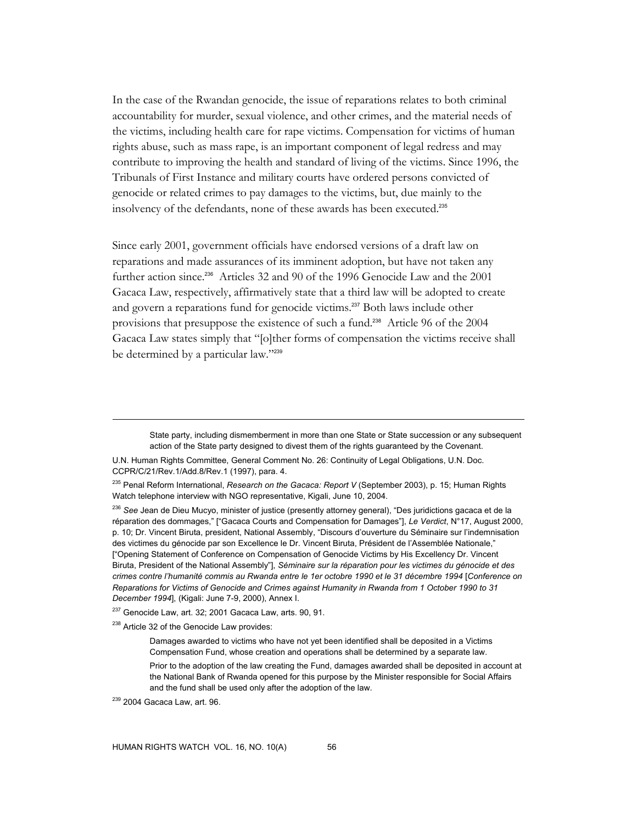In the case of the Rwandan genocide, the issue of reparations relates to both criminal accountability for murder, sexual violence, and other crimes, and the material needs of the victims, including health care for rape victims. Compensation for victims of human rights abuse, such as mass rape, is an important component of legal redress and may contribute to improving the health and standard of living of the victims. Since 1996, the Tribunals of First Instance and military courts have ordered persons convicted of genocide or related crimes to pay damages to the victims, but, due mainly to the insolvency of the defendants, none of these awards has been executed.<sup>235</sup>

Since early 2001, government officials have endorsed versions of a draft law on reparations and made assurances of its imminent adoption, but have not taken any further action since.<sup>236</sup> Articles 32 and 90 of the 1996 Genocide Law and the 2001 Gacaca Law, respectively, affirmatively state that a third law will be adopted to create and govern a reparations fund for genocide victims.<sup>237</sup> Both laws include other provisions that presuppose the existence of such a fund.238 Article 96 of the 2004 Gacaca Law states simply that "[o]ther forms of compensation the victims receive shall be determined by a particular law."239

State party, including dismemberment in more than one State or State succession or any subsequent action of the State party designed to divest them of the rights guaranteed by the Covenant.

U.N. Human Rights Committee, General Comment No. 26: Continuity of Legal Obligations, U.N. Doc. CCPR/C/21/Rev.1/Add.8/Rev.1 (1997), para. 4.

 $237$  Genocide Law, art. 32; 2001 Gacaca Law, arts. 90, 91.

<sup>238</sup> Article 32 of the Genocide Law provides:

Damages awarded to victims who have not yet been identified shall be deposited in a Victims Compensation Fund, whose creation and operations shall be determined by a separate law.

Prior to the adoption of the law creating the Fund, damages awarded shall be deposited in account at the National Bank of Rwanda opened for this purpose by the Minister responsible for Social Affairs and the fund shall be used only after the adoption of the law.

<sup>235</sup> Penal Reform International, *Research on the Gacaca: Report V* (September 2003), p. 15; Human Rights Watch telephone interview with NGO representative, Kigali, June 10, 2004.

<sup>236</sup> *See* Jean de Dieu Mucyo, minister of justice (presently attorney general), "Des juridictions gacaca et de la réparation des dommages," ["Gacaca Courts and Compensation for Damages"], *Le Verdict*, N°17, August 2000, p. 10; Dr. Vincent Biruta, president, National Assembly, "Discours d'ouverture du Séminaire sur l'indemnisation des victimes du génocide par son Excellence le Dr. Vincent Biruta, Président de l'Assemblée Nationale," ["Opening Statement of Conference on Compensation of Genocide Victims by His Excellency Dr. Vincent Biruta, President of the National Assembly"], *Séminaire sur la réparation pour les victimes du génocide et des crimes contre l'humanité commis au Rwanda entre le 1er octobre 1990 et le 31 décembre 1994* [*Conference on Reparations for Victims of Genocide and Crimes against Humanity in Rwanda from 1 October 1990 to 31 December 1994*], (Kigali: June 7-9, 2000), Annex I.

 $239$  2004 Gacaca Law, art. 96.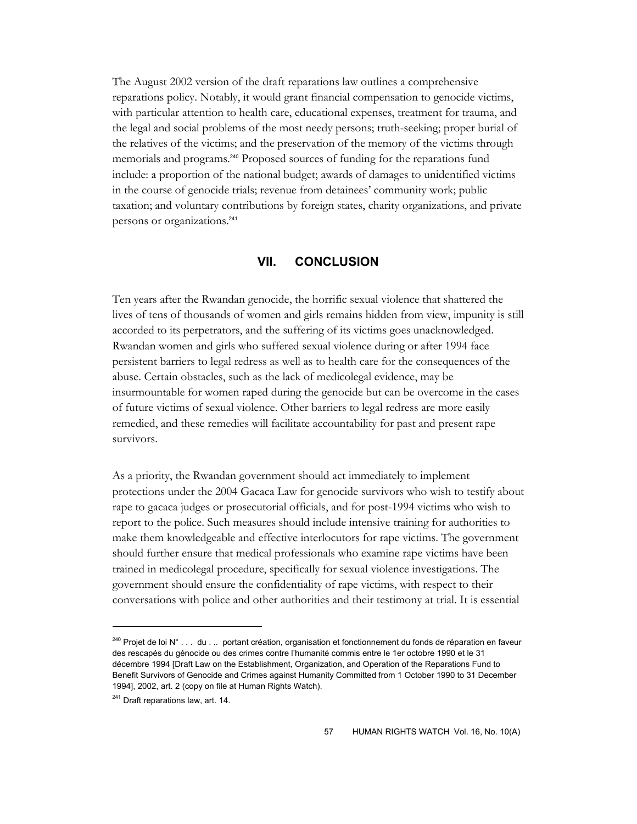The August 2002 version of the draft reparations law outlines a comprehensive reparations policy. Notably, it would grant financial compensation to genocide victims, with particular attention to health care, educational expenses, treatment for trauma, and the legal and social problems of the most needy persons; truth-seeking; proper burial of the relatives of the victims; and the preservation of the memory of the victims through memorials and programs.<sup>240</sup> Proposed sources of funding for the reparations fund include: a proportion of the national budget; awards of damages to unidentified victims in the course of genocide trials; revenue from detainees' community work; public taxation; and voluntary contributions by foreign states, charity organizations, and private persons or organizations.<sup>241</sup>

## **VII. CONCLUSION**

Ten years after the Rwandan genocide, the horrific sexual violence that shattered the lives of tens of thousands of women and girls remains hidden from view, impunity is still accorded to its perpetrators, and the suffering of its victims goes unacknowledged. Rwandan women and girls who suffered sexual violence during or after 1994 face persistent barriers to legal redress as well as to health care for the consequences of the abuse. Certain obstacles, such as the lack of medicolegal evidence, may be insurmountable for women raped during the genocide but can be overcome in the cases of future victims of sexual violence. Other barriers to legal redress are more easily remedied, and these remedies will facilitate accountability for past and present rape survivors.

As a priority, the Rwandan government should act immediately to implement protections under the 2004 Gacaca Law for genocide survivors who wish to testify about rape to gacaca judges or prosecutorial officials, and for post-1994 victims who wish to report to the police. Such measures should include intensive training for authorities to make them knowledgeable and effective interlocutors for rape victims. The government should further ensure that medical professionals who examine rape victims have been trained in medicolegal procedure, specifically for sexual violence investigations. The government should ensure the confidentiality of rape victims, with respect to their conversations with police and other authorities and their testimony at trial. It is essential

<sup>&</sup>lt;sup>240</sup> Projet de loi N° . . . du . .. portant création, organisation et fonctionnement du fonds de réparation en faveur des rescapés du génocide ou des crimes contre l'humanité commis entre le 1er octobre 1990 et le 31 décembre 1994 [Draft Law on the Establishment, Organization, and Operation of the Reparations Fund to Benefit Survivors of Genocide and Crimes against Humanity Committed from 1 October 1990 to 31 December 1994], 2002, art. 2 (copy on file at Human Rights Watch).

<sup>&</sup>lt;sup>241</sup> Draft reparations law, art. 14.